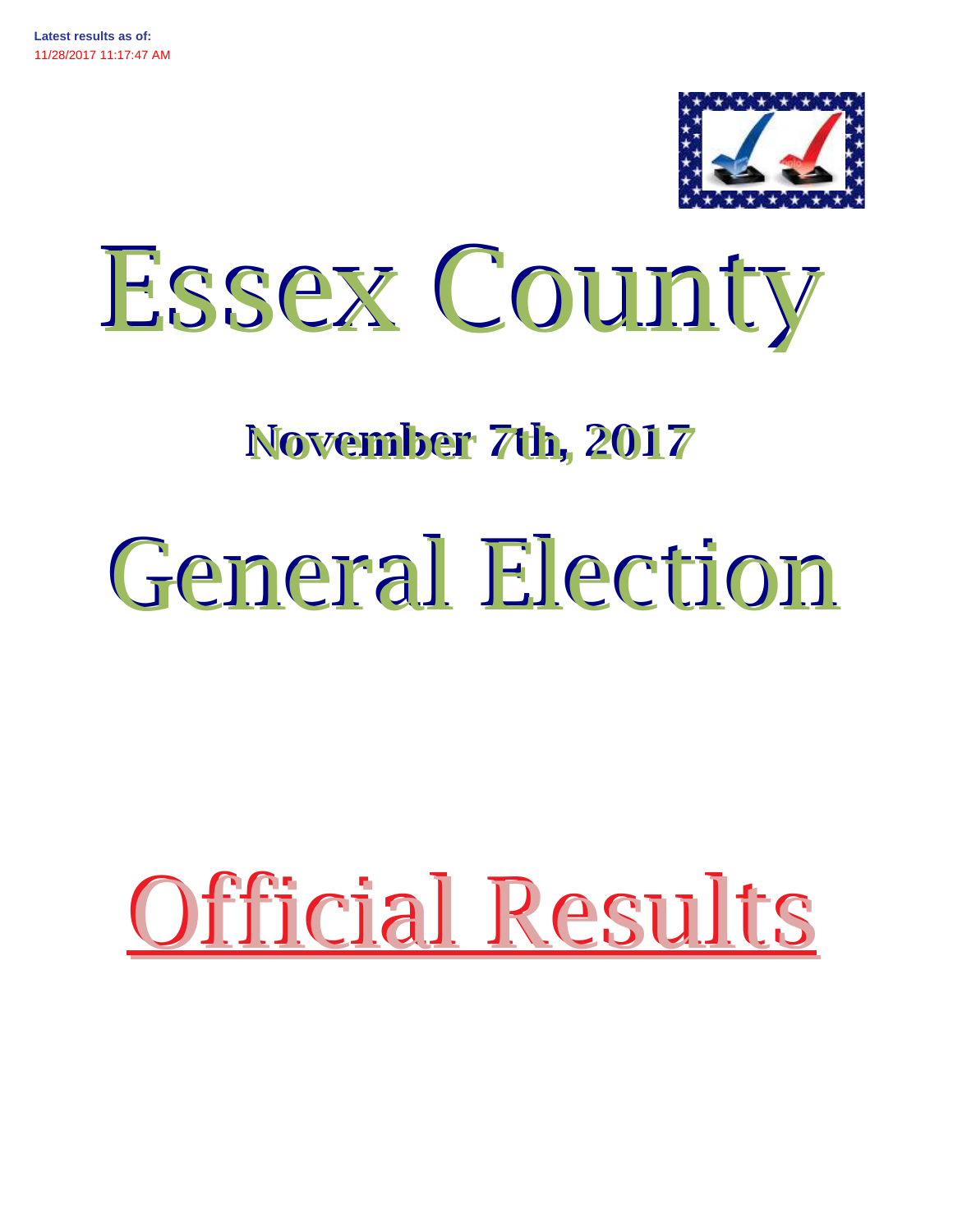

# Essex County

## **November 7th, 2017**

# General Election

# Official Results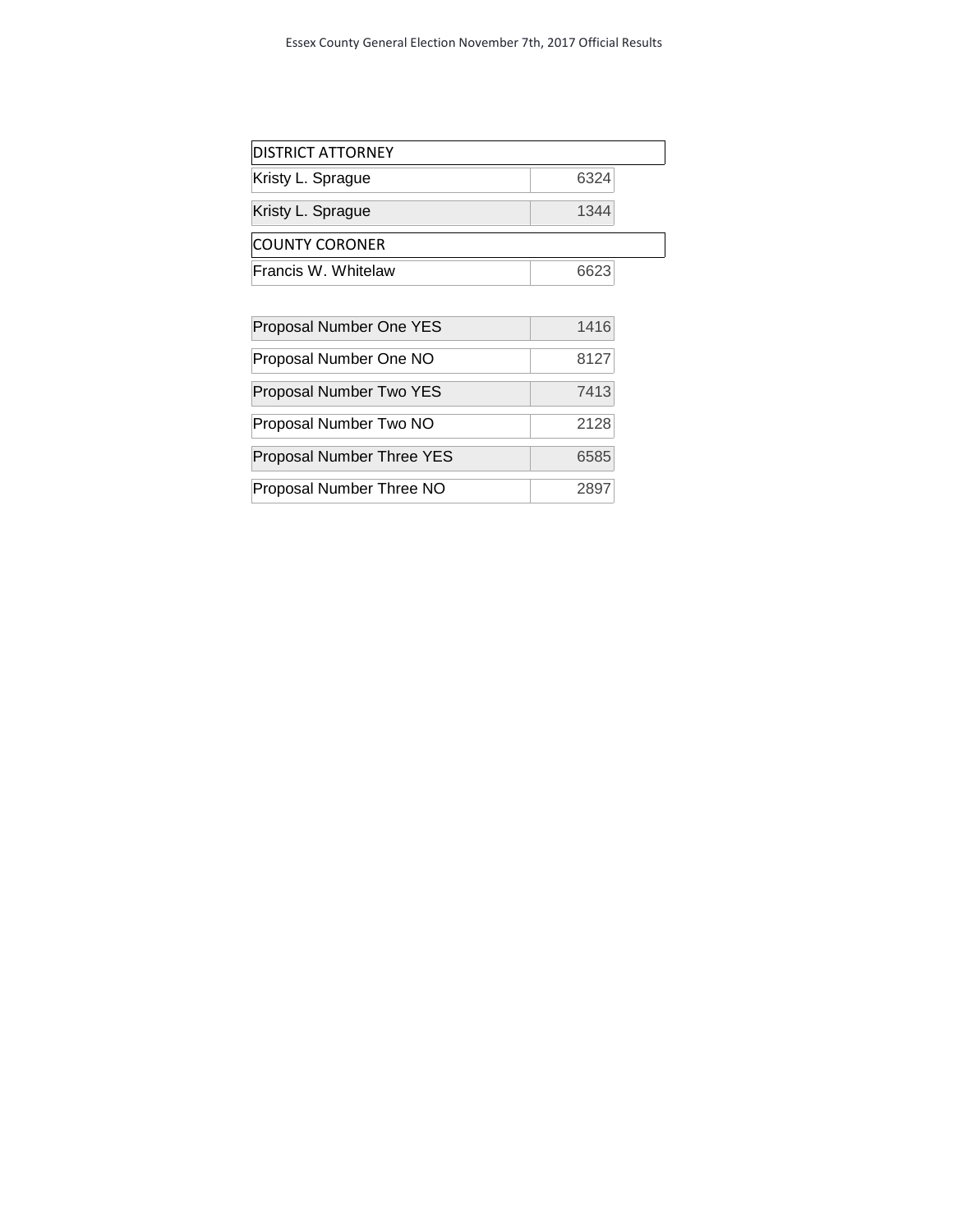| <b>DISTRICT ATTORNEY</b> |      |  |  |  |  |
|--------------------------|------|--|--|--|--|
| Kristy L. Sprague        | 6324 |  |  |  |  |
| Kristy L. Sprague        | 1344 |  |  |  |  |
| <b>COUNTY CORONER</b>    |      |  |  |  |  |
| Francis W. Whitelaw      | 6623 |  |  |  |  |

| Proposal Number One YES   | 1416 |
|---------------------------|------|
| Proposal Number One NO    | 8127 |
| Proposal Number Two YES   | 7413 |
| Proposal Number Two NO    | 2128 |
| Proposal Number Three YES | 6585 |
| Proposal Number Three NO  | 289  |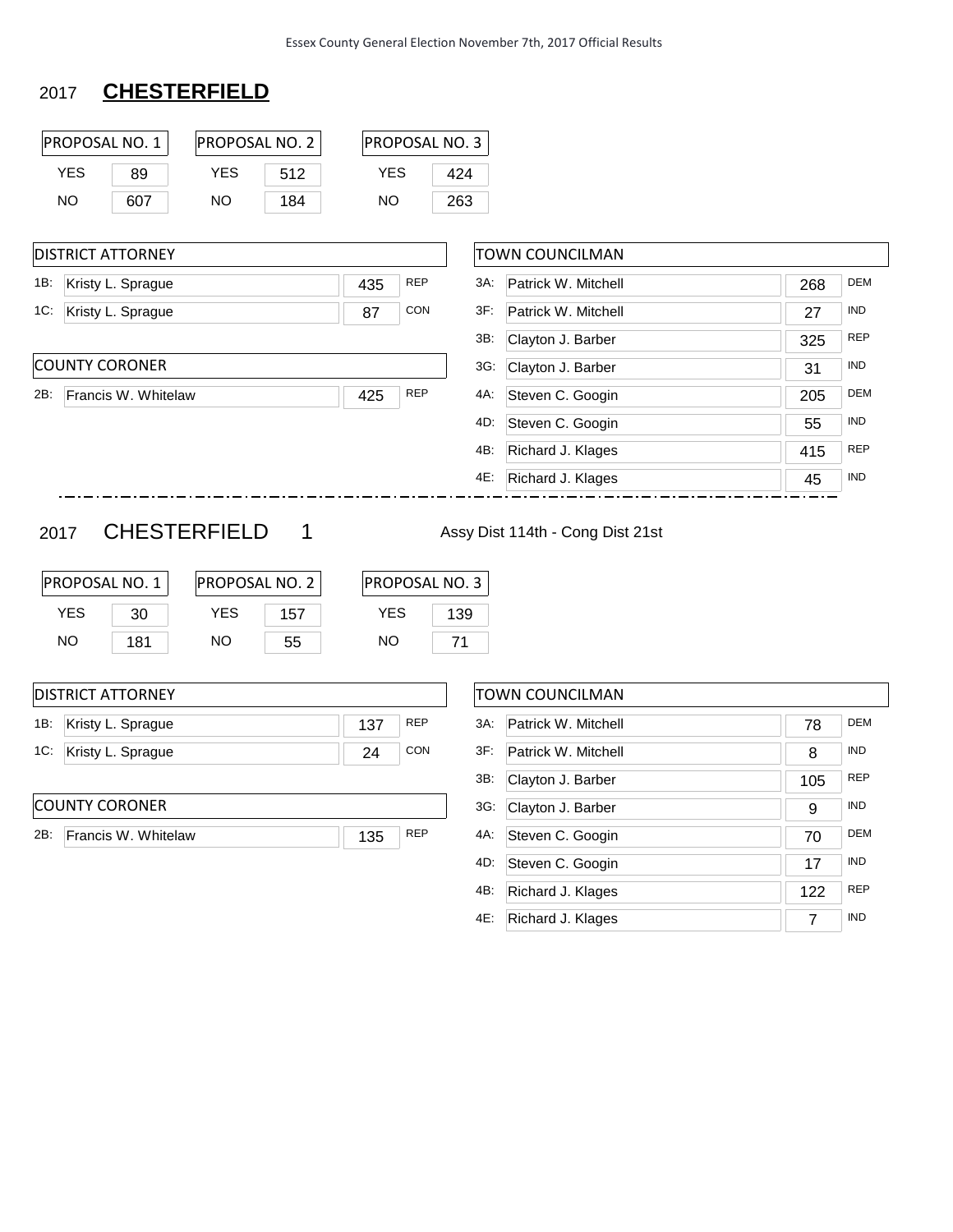### 2017 **CHESTERFIELD**

|                         | PROPOSAL NO. 1                                          | PROPOSAL NO. 2                            |           |                         |            | PROPOSAL NO. 3              |     |                        |     |            |
|-------------------------|---------------------------------------------------------|-------------------------------------------|-----------|-------------------------|------------|-----------------------------|-----|------------------------|-----|------------|
| <b>YES</b>              | 89                                                      | <b>YES</b>                                | 512       | <b>YES</b>              |            | 424                         |     |                        |     |            |
| <b>NO</b>               | 607                                                     | <b>NO</b>                                 | 184       | <b>NO</b>               |            | 263                         |     |                        |     |            |
|                         | <b>DISTRICT ATTORNEY</b>                                |                                           |           |                         |            |                             |     | <b>TOWN COUNCILMAN</b> |     |            |
| 1B:                     | Kristy L. Sprague                                       |                                           |           | 435                     | <b>REP</b> |                             | 3A. | Patrick W. Mitchell    | 268 | <b>DEM</b> |
| 1C:                     | Kristy L. Sprague                                       |                                           |           | 87                      | CON        |                             | 3F: | Patrick W. Mitchell    | 27  | <b>IND</b> |
|                         |                                                         |                                           |           |                         |            |                             | 3B: | Clayton J. Barber      | 325 | <b>REP</b> |
|                         | <b>COUNTY CORONER</b>                                   |                                           |           |                         |            |                             | 3G: | Clayton J. Barber      | 31  | <b>IND</b> |
| 2B:                     | Francis W. Whitelaw                                     |                                           |           | 425                     | <b>REP</b> |                             | 4A: | Steven C. Googin       | 205 | <b>DEM</b> |
|                         |                                                         |                                           |           |                         |            |                             | 4D: | Steven C. Googin       | 55  | <b>IND</b> |
|                         |                                                         |                                           |           |                         |            |                             | 4B: | Richard J. Klages      | 415 | <b>REP</b> |
|                         |                                                         |                                           |           |                         |            |                             | 4E: | Richard J. Klages      | 45  | IND        |
| <b>YES</b><br><b>NO</b> | PROPOSAL NO. 1<br>30<br>181<br><b>DISTRICT ATTORNEY</b> | PROPOSAL NO. 2<br><b>YES</b><br><b>NO</b> | 157<br>55 | <b>YES</b><br><b>NO</b> |            | PROPOSAL NO. 3<br>139<br>71 |     | <b>TOWN COUNCILMAN</b> |     |            |
|                         |                                                         |                                           |           |                         |            |                             |     |                        |     |            |
| 1B:                     | Kristy L. Sprague                                       |                                           |           | 137                     | <b>REP</b> |                             | 3A: | Patrick W. Mitchell    | 78  | <b>DEM</b> |
| 1C:                     | Kristy L. Sprague                                       |                                           |           | 24                      | <b>CON</b> |                             | 3F: | Patrick W. Mitchell    | 8   | <b>IND</b> |
|                         |                                                         |                                           |           |                         |            |                             | 3B: | Clayton J. Barber      | 105 | <b>REP</b> |
|                         | <b>COUNTY CORONER</b>                                   |                                           |           |                         |            |                             | 3G: | Clayton J. Barber      | 9   | <b>IND</b> |
| 2B:                     | Francis W. Whitelaw                                     |                                           |           | 135                     | <b>REP</b> |                             | 4A: | Steven C. Googin       | 70  | <b>DEM</b> |
|                         |                                                         |                                           |           |                         |            |                             | 4D: | Steven C. Googin       | 17  | <b>IND</b> |
|                         |                                                         |                                           |           |                         |            |                             | 4B: | Richard J. Klages      | 122 | <b>REP</b> |

4E: Richard J. Klages 7

IND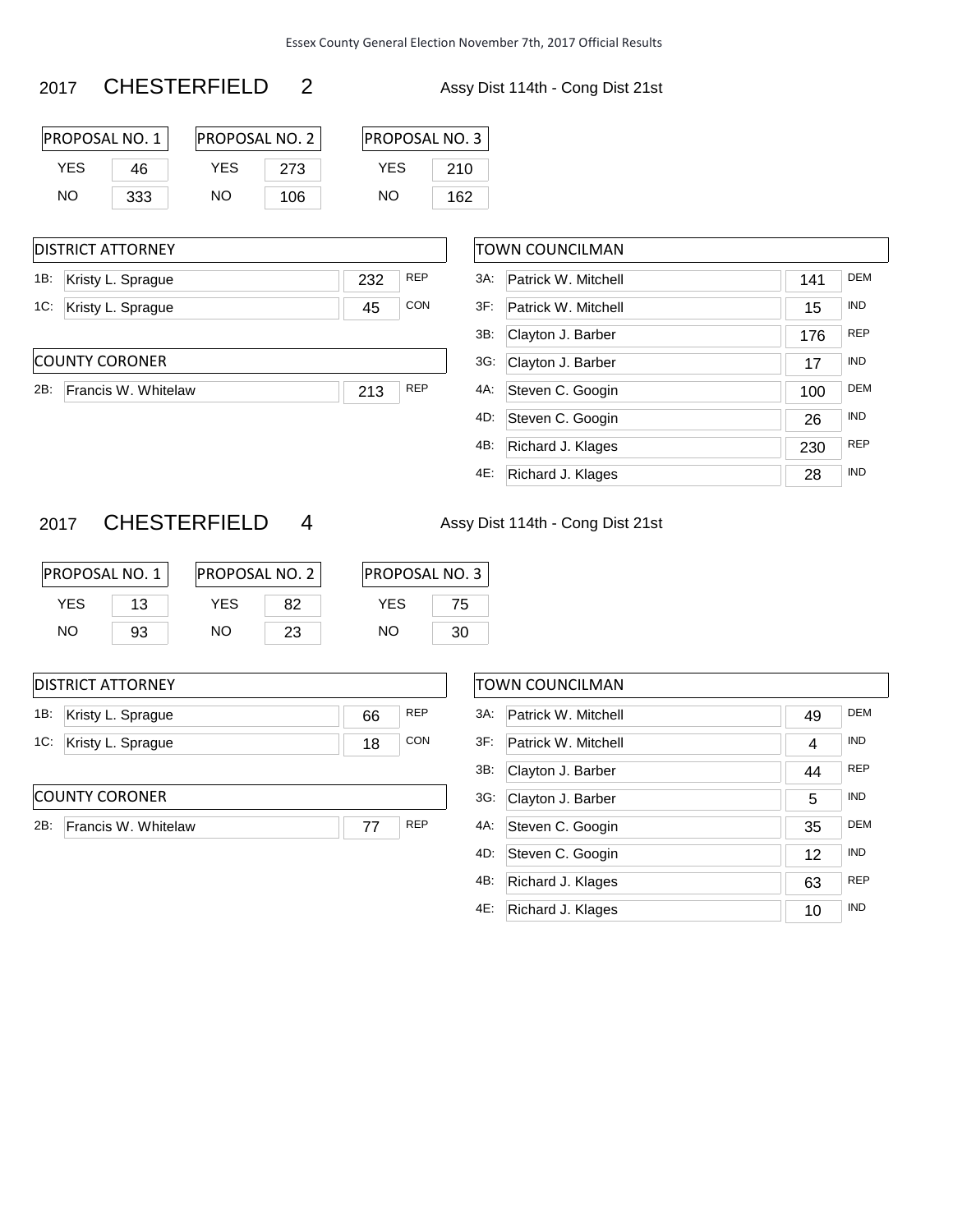#### 2017 CHESTERFIELD 2 Assy Dist 114th - Cong Dist 21st

| IPROPOSAL NO. 1 |     | PROPOSAL NO. 2 |     | <b>PROPOSAL NO. 3</b> |     |  |
|-----------------|-----|----------------|-----|-----------------------|-----|--|
| YFS             | 46  | YFS            | 273 | YFS                   | 210 |  |
| NO.             | 333 | NΟ             | 106 | NΟ                    | 162 |  |

| <b>IDISTRICT ATTORNEY</b> |                       |     |            |  |  |  |
|---------------------------|-----------------------|-----|------------|--|--|--|
|                           | 1B: Kristy L. Sprague | 232 | <b>REP</b> |  |  |  |
|                           | 1C: Kristy L. Sprague | 45  | CON        |  |  |  |

#### COUNTY CORONER

2B: Francis W. Whitelaw 213 REP

| TOWN COUNCILMAN |                     |     |            |  |  |  |
|-----------------|---------------------|-----|------------|--|--|--|
| $3A$ :          | Patrick W. Mitchell | 141 | <b>DFM</b> |  |  |  |
| $3F$ :          | Patrick W. Mitchell | 15  | <b>IND</b> |  |  |  |
| 3B:             | Clayton J. Barber   | 176 | <b>REP</b> |  |  |  |
| 3G:             | Clayton J. Barber   | 17  | <b>IND</b> |  |  |  |
| 4A:             | Steven C. Googin    | 100 | <b>DFM</b> |  |  |  |
| 4D:             | Steven C. Googin    | 26  | <b>IND</b> |  |  |  |
| 4B:             | Richard J. Klages   | 230 | <b>REP</b> |  |  |  |
| 4E:             | Richard J. Klages   | 28  | <b>IND</b> |  |  |  |

#### 2017 CHESTERFIELD 4 Assy Dist 114th - Cong Dist 21st

PROPOSAL NO. 1 YES 13 NO 93 PROPOSAL NO. 2 YES<sub>82</sub> NO 23

| PROPOSAL NO. 3 |  |  |  |  |  |
|----------------|--|--|--|--|--|
| YFS<br>75      |  |  |  |  |  |
| NΩ<br>30       |  |  |  |  |  |

| <b>DISTRICT ATTORNEY</b> |    |            |  |  |  |  |
|--------------------------|----|------------|--|--|--|--|
| 1B: Kristy L. Sprague    | 66 | <b>REP</b> |  |  |  |  |
| 1C: Kristy L. Sprague    | 18 | <b>CON</b> |  |  |  |  |
|                          |    |            |  |  |  |  |

#### COUNTY CORONER

2B: Francis W. Whitelaw 12B: Francis W. Whitelaw

| TOWN COUNCILMAN |                     |    |            |  |  |  |
|-----------------|---------------------|----|------------|--|--|--|
| 3A:             | Patrick W. Mitchell | 49 | <b>DEM</b> |  |  |  |
| $3F$ :          | Patrick W. Mitchell | 4  | <b>IND</b> |  |  |  |
| 3B:             | Clayton J. Barber   | 44 | <b>REP</b> |  |  |  |
| 3G:             | Clayton J. Barber   | 5  | <b>IND</b> |  |  |  |
| 4A:             | Steven C. Googin    | 35 | <b>DEM</b> |  |  |  |
| 4D:             | Steven C. Googin    | 12 | <b>IND</b> |  |  |  |
| 4B:             | Richard J. Klages   | 63 | <b>RFP</b> |  |  |  |
| 4E:             | Richard J. Klages   | 10 | <b>IND</b> |  |  |  |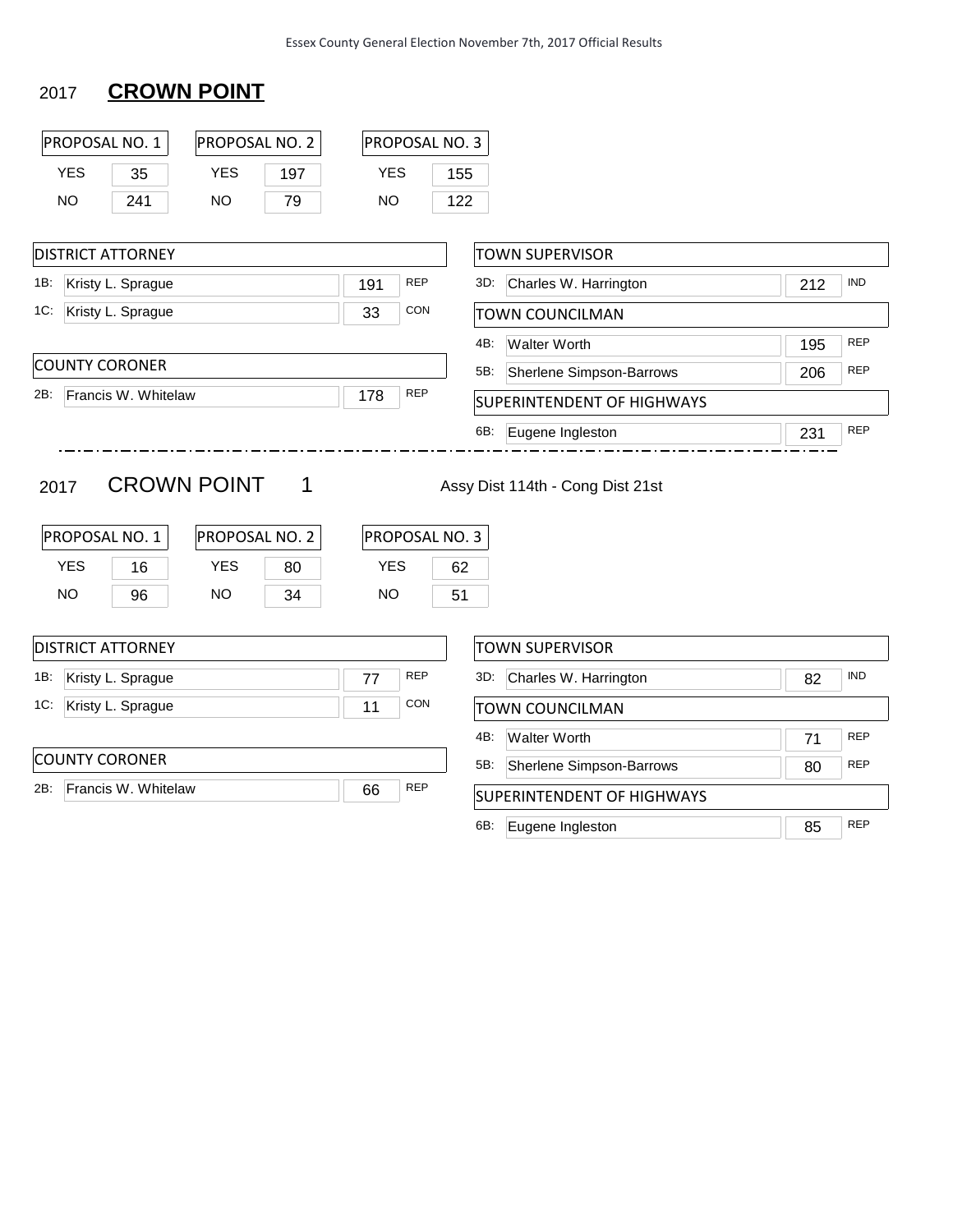## 2017 **CROWN POINT**

|     |            | PROPOSAL NO. 1           | PROPOSAL NO. 2               |          |            |            | PROPOSAL NO. 3 |     |                                   |     |            |
|-----|------------|--------------------------|------------------------------|----------|------------|------------|----------------|-----|-----------------------------------|-----|------------|
|     | <b>YES</b> | 35                       | <b>YES</b>                   | 197      | <b>YES</b> |            | 155            |     |                                   |     |            |
|     | <b>NO</b>  | 241                      | <b>NO</b>                    | 79       | <b>NO</b>  |            | 122            |     |                                   |     |            |
|     |            | <b>DISTRICT ATTORNEY</b> |                              |          |            |            |                |     | <b>TOWN SUPERVISOR</b>            |     |            |
| 1B: |            | Kristy L. Sprague        |                              |          | 191        | <b>REP</b> |                | 3D: | Charles W. Harrington             | 212 | <b>IND</b> |
| 1C: |            | Kristy L. Sprague        |                              |          | 33         | <b>CON</b> |                |     | <b>TOWN COUNCILMAN</b>            |     |            |
|     |            |                          |                              |          |            |            |                | 4B: | <b>Walter Worth</b>               | 195 | <b>REP</b> |
|     |            | <b>COUNTY CORONER</b>    |                              |          |            |            |                | 5B: | <b>Sherlene Simpson-Barrows</b>   | 206 | <b>REP</b> |
| 2B: |            | Francis W. Whitelaw      |                              |          | 178        | <b>REP</b> |                |     | <b>SUPERINTENDENT OF HIGHWAYS</b> |     |            |
|     |            |                          |                              |          |            |            |                | 6B: | Eugene Ingleston                  | 231 | <b>REP</b> |
|     | 2017       |                          | <b>CROWN POINT</b>           | 1        |            |            |                |     | Assy Dist 114th - Cong Dist 21st  |     |            |
|     |            |                          |                              |          |            |            |                |     |                                   |     |            |
|     | <b>YES</b> | PROPOSAL NO. 1           | PROPOSAL NO. 2<br><b>YES</b> |          | <b>YES</b> |            | PROPOSAL NO. 3 |     |                                   |     |            |
|     | <b>NO</b>  | 16<br>96                 | <b>NO</b>                    | 80<br>34 | <b>NO</b>  |            | 62<br>51       |     |                                   |     |            |
|     |            |                          |                              |          |            |            |                |     |                                   |     |            |
|     |            | <b>DISTRICT ATTORNEY</b> |                              |          |            |            |                |     | <b>TOWN SUPERVISOR</b>            |     |            |
| 1B: |            | Kristy L. Sprague        |                              |          | 77         | <b>REP</b> |                | 3D: | Charles W. Harrington             | 82  | <b>IND</b> |
| 1C: |            | Kristy L. Sprague        |                              |          | 11         | <b>CON</b> |                |     | <b>TOWN COUNCILMAN</b>            |     |            |
|     |            |                          |                              |          |            |            |                | 4B: | <b>Walter Worth</b>               | 71  | <b>REP</b> |
|     |            | <b>COUNTY CORONER</b>    |                              |          |            |            |                | 5B: | Sherlene Simpson-Barrows          | 80  | <b>REP</b> |
| 2B: |            | Francis W. Whitelaw      |                              |          | 66         | <b>REP</b> |                |     | <b>SUPERINTENDENT OF HIGHWAYS</b> |     |            |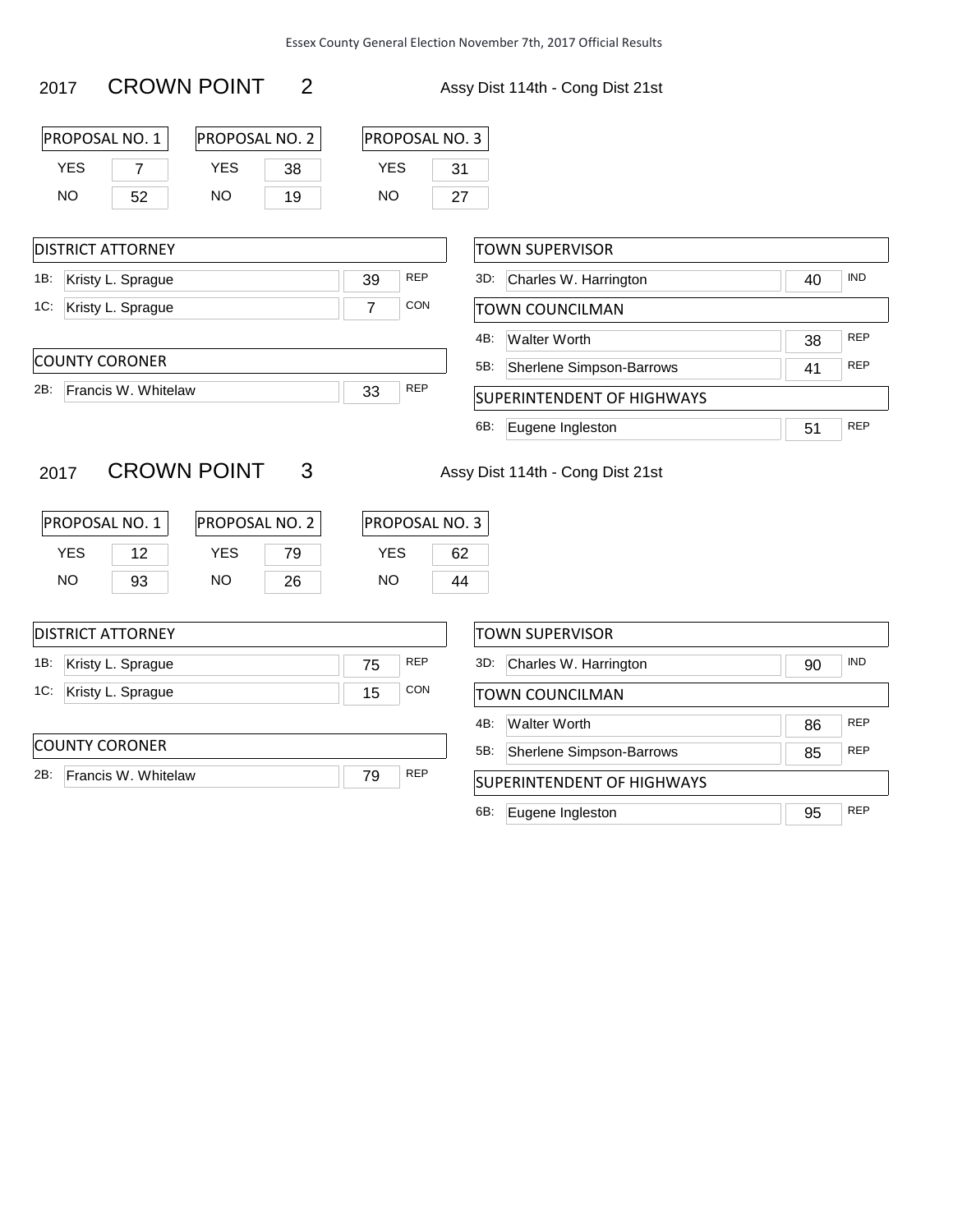#### 2017 CROWN POINT 2 Assy Dist 114th - Cong Dist 21st

| PROPOSAL NO. 1 |    | <b>PROPOSAL NO. 2</b> |    |  |
|----------------|----|-----------------------|----|--|
| YFS            |    | YFS                   | 38 |  |
| NΟ             | 52 | NΩ                    | 19 |  |

| <b>PROPOSAL NO. 3</b> |    |  |  |  |
|-----------------------|----|--|--|--|
| YFS                   | 31 |  |  |  |
| NΟ                    | 27 |  |  |  |

| DISTRICT ATTORNEY        |    |                        | <b>TOWN SUPERVISOR</b>            |    |            |
|--------------------------|----|------------------------|-----------------------------------|----|------------|
| 1B:<br>Kristy L. Sprague | 39 | <b>REP</b>             | Charles W. Harrington<br>3D:      | 40 | IND        |
| 1C:<br>Kristy L. Sprague |    | CON<br>TOWN COUNCILMAN |                                   |    |            |
|                          |    |                        | 4B:<br>Walter Worth               | 38 | <b>REP</b> |
| COUNTY CORONER           |    |                        | 5B:<br>Sherlene Simpson-Barrows   | 41 | <b>REP</b> |
| 2B: Francis W. Whitelaw  | 33 | <b>REP</b>             | <b>SUPERINTENDENT OF HIGHWAYS</b> |    |            |
|                          |    |                        | 6B:<br>Eugene Ingleston           | 51 | <b>REP</b> |

2017 CROWN POINT 3 Assy Dist 114th - Cong Dist 21st

| <b>PROPOSAL NO. 1</b> |    | <b>PROPOSAL NO. 2</b> |    | <b>PROPOSAL NO. 3</b> |    |
|-----------------------|----|-----------------------|----|-----------------------|----|
| <b>YFS</b>            | 12 | YFS                   | 79 | YFS                   | 62 |
| NO.                   | 93 | NO.                   | 26 | NΟ                    | 44 |

|     | <b>IDISTRICT ATTORNEY</b> |    |            | <b>TOWN SUPERVISOR</b>            |  |    |            |
|-----|---------------------------|----|------------|-----------------------------------|--|----|------------|
| 1B: | Kristy L. Sprague         | 75 | <b>REP</b> | Charles W. Harrington<br>3D:      |  | 90 | <b>IND</b> |
| 1C: | Kristy L. Sprague         | 15 | <b>CON</b> | <b>TOWN COUNCILMAN</b>            |  |    |            |
|     |                           |    |            | 4B:<br>Walter Worth               |  | 86 | <b>REP</b> |
|     | <b>COUNTY CORONER</b>     |    |            | Sherlene Simpson-Barrows<br>5B:   |  | 85 | <b>REP</b> |
| 2B: | Francis W. Whitelaw       | 79 | <b>REP</b> | <b>SUPERINTENDENT OF HIGHWAYS</b> |  |    |            |
|     |                           |    |            | 6B:<br>Eugene Ingleston           |  | 95 | <b>REP</b> |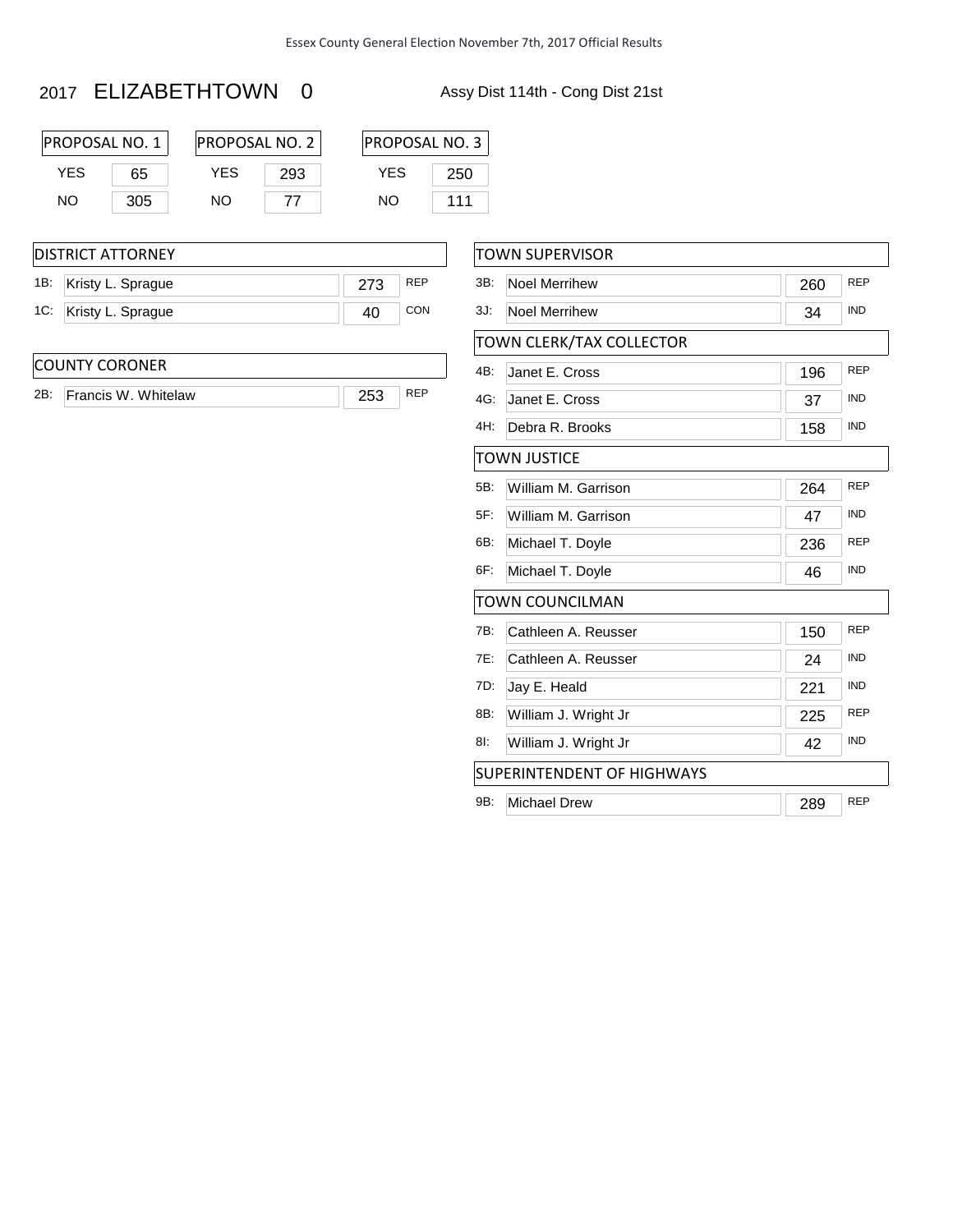#### 2017 ELIZABETHTOWN 0 Assy Dist 114th - Cong Dist 21st

| <b>PROPOSAL NO. 1</b> |     | IPROPOSAL NO. 2 |     | <b>PROPOSAL NO. 3</b> |     |  |
|-----------------------|-----|-----------------|-----|-----------------------|-----|--|
| YFS                   | 65  | YFS             | 293 | YFS                   | 250 |  |
| NO.                   | 305 | NΟ              |     | NO.                   | 111 |  |

#### DISTRICT ATTORNEY

| 1B: Kristy L. Sprague |  |
|-----------------------|--|
| 1C: Kristy L. Sprague |  |

#### COUNTY CORONER

| 2B: | Francis W. Whitelaw |  |
|-----|---------------------|--|
|     |                     |  |

| <b>TOWN SUPERVISOR</b> |                                          |     |            |  |  |  |  |
|------------------------|------------------------------------------|-----|------------|--|--|--|--|
| 3B.                    | <b>Noel Merrihew</b>                     | 260 | <b>REP</b> |  |  |  |  |
| 3J:                    | <b>Noel Merrihew</b>                     | 34  | <b>IND</b> |  |  |  |  |
|                        | TOWN CLERK/TAX COLLECTOR                 |     |            |  |  |  |  |
| 4B:                    | Janet E. Cross                           | 196 | REP        |  |  |  |  |
| 4G:                    | Janet E. Cross                           | 37  | <b>IND</b> |  |  |  |  |
| 4H:                    | Debra R. Brooks                          | 158 | <b>IND</b> |  |  |  |  |
|                        | <b>TOWN JUSTICE</b>                      |     |            |  |  |  |  |
| 5B:                    | William M. Garrison                      | 264 | REP        |  |  |  |  |
| 5F:                    | William M. Garrison                      | 47  | <b>IND</b> |  |  |  |  |
| 6B:                    | Michael T. Doyle                         | 236 | <b>REP</b> |  |  |  |  |
| 6F:                    | Michael T. Doyle                         | 46  | <b>IND</b> |  |  |  |  |
|                        | <b>TOWN COUNCILMAN</b>                   |     |            |  |  |  |  |
| 7B:                    | Cathleen A. Reusser                      | 150 | <b>REP</b> |  |  |  |  |
| 7E:                    | Cathleen A. Reusser                      | 24  | IND        |  |  |  |  |
| 7D:                    | Jay E. Heald                             | 221 | <b>IND</b> |  |  |  |  |
| 8B:                    | William J. Wright Jr                     | 225 | <b>REP</b> |  |  |  |  |
| 81:                    | <b>IND</b><br>42<br>William J. Wright Jr |     |            |  |  |  |  |
|                        | <b>SUPERINTENDENT OF HIGHWAYS</b>        |     |            |  |  |  |  |
| 9B:                    | <b>Michael Drew</b>                      | 289 | <b>REP</b> |  |  |  |  |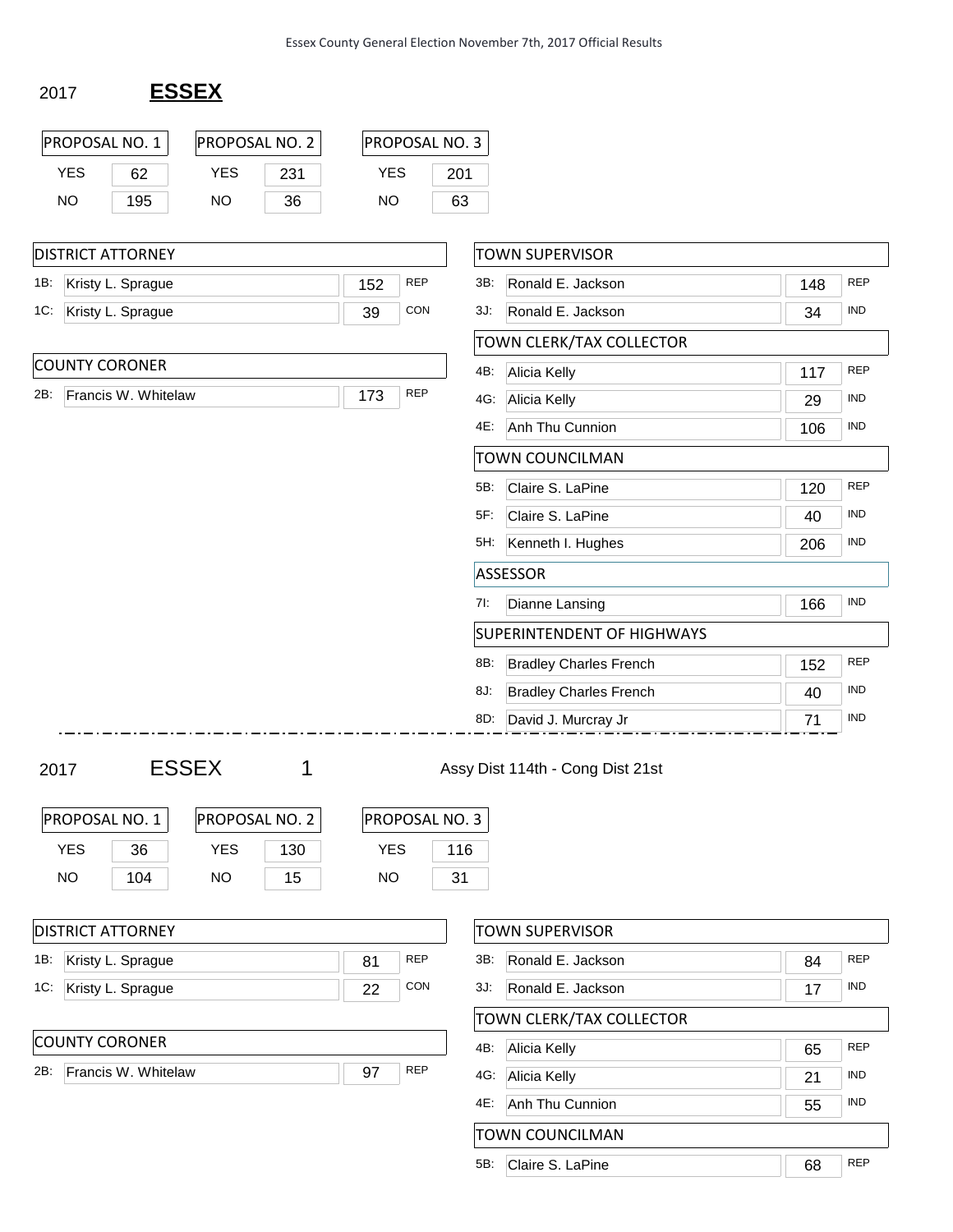| 2017 | <b>ESSEX</b> |
|------|--------------|
|      |              |

| <b>YES</b>              | PROPOSAL NO. 1              | PROPOSAL NO. 2                            |           |                         |            | PROPOSAL NO. 3              |                                      |     |                                 |
|-------------------------|-----------------------------|-------------------------------------------|-----------|-------------------------|------------|-----------------------------|--------------------------------------|-----|---------------------------------|
|                         | 62                          | <b>YES</b>                                | 231       | <b>YES</b>              |            | 201                         |                                      |     |                                 |
| <b>NO</b>               | 195                         | <b>NO</b>                                 | 36        | <b>NO</b>               |            | 63                          |                                      |     |                                 |
|                         | <b>DISTRICT ATTORNEY</b>    |                                           |           |                         |            |                             | <b>TOWN SUPERVISOR</b>               |     |                                 |
| 1B:                     | Kristy L. Sprague           |                                           |           | 152                     | <b>REP</b> |                             | 3B:<br>Ronald E. Jackson             | 148 | <b>REP</b>                      |
| 1C.                     | Kristy L. Sprague           |                                           |           | 39                      | <b>CON</b> |                             | Ronald E. Jackson<br>3J.             | 34  | <b>IND</b>                      |
|                         |                             |                                           |           |                         |            |                             | TOWN CLERK/TAX COLLECTOR             |     |                                 |
|                         | <b>COUNTY CORONER</b>       |                                           |           |                         |            |                             | 4B:<br>Alicia Kelly                  | 117 | <b>REP</b>                      |
| 2B:                     | Francis W. Whitelaw         |                                           |           | 173                     | <b>REP</b> |                             | Alicia Kelly<br>4G:                  | 29  | <b>IND</b>                      |
|                         |                             |                                           |           |                         |            |                             | 4E:<br>Anh Thu Cunnion               | 106 | <b>IND</b>                      |
|                         |                             |                                           |           |                         |            |                             | <b>TOWN COUNCILMAN</b>               |     |                                 |
|                         |                             |                                           |           |                         |            |                             | Claire S. LaPine<br>5B:              | 120 | <b>REP</b>                      |
|                         |                             |                                           |           |                         |            |                             | Claire S. LaPine<br>5F:              | 40  | <b>IND</b>                      |
|                         |                             |                                           |           |                         |            |                             | 5H: Kenneth I. Hughes                | 206 | <b>IND</b>                      |
|                         |                             |                                           |           |                         |            |                             | <b>ASSESSOR</b>                      |     |                                 |
|                         |                             |                                           |           |                         |            |                             | 7I:<br>Dianne Lansing                | 166 | <b>IND</b>                      |
|                         |                             |                                           |           |                         |            |                             | <b>SUPERINTENDENT OF HIGHWAYS</b>    |     |                                 |
|                         |                             |                                           |           |                         |            |                             | <b>Bradley Charles French</b><br>8B: | 152 | <b>REP</b>                      |
|                         |                             |                                           |           |                         |            |                             | <b>Bradley Charles French</b><br>8J: | 40  | <b>IND</b>                      |
|                         |                             |                                           |           |                         |            |                             | David J. Murcray Jr<br>8D:           | 71  | <b>IND</b>                      |
|                         |                             | <b>ESSEX</b>                              | 1         |                         |            |                             | Assy Dist 114th - Cong Dist 21st     |     |                                 |
| <b>YES</b><br><b>NO</b> | PROPOSAL NO. 1<br>36<br>104 | PROPOSAL NO. 2<br><b>YES</b><br><b>NO</b> | 130<br>15 | <b>YES</b><br><b>NO</b> |            | PROPOSAL NO. 3<br>116<br>31 |                                      |     |                                 |
| 2017                    | <b>DISTRICT ATTORNEY</b>    |                                           |           |                         |            |                             | <b>TOWN SUPERVISOR</b>               |     |                                 |
| 1B:                     | Kristy L. Sprague           |                                           |           | 81                      | <b>REP</b> |                             | Ronald E. Jackson<br>3B:             | 84  |                                 |
| 1C:                     | Kristy L. Sprague           |                                           |           | 22                      | CON        |                             | Ronald E. Jackson<br>3J.             | 17  | <b>REP</b><br><b>IND</b>        |
|                         |                             |                                           |           |                         |            |                             | TOWN CLERK/TAX COLLECTOR             |     |                                 |
|                         | <b>COUNTY CORONER</b>       |                                           |           |                         |            |                             | Alicia Kelly<br>4B:                  | 65  |                                 |
|                         | Francis W. Whitelaw         |                                           |           | 97                      | <b>REP</b> |                             | 4G: Alicia Kelly                     | 21  |                                 |
|                         |                             |                                           |           |                         |            |                             | Anh Thu Cunnion<br>4E.               | 55  | <b>REP</b><br><b>IND</b><br>IND |
| 2B:                     |                             |                                           |           |                         |            |                             | TOWN COUNCILMAN                      |     |                                 |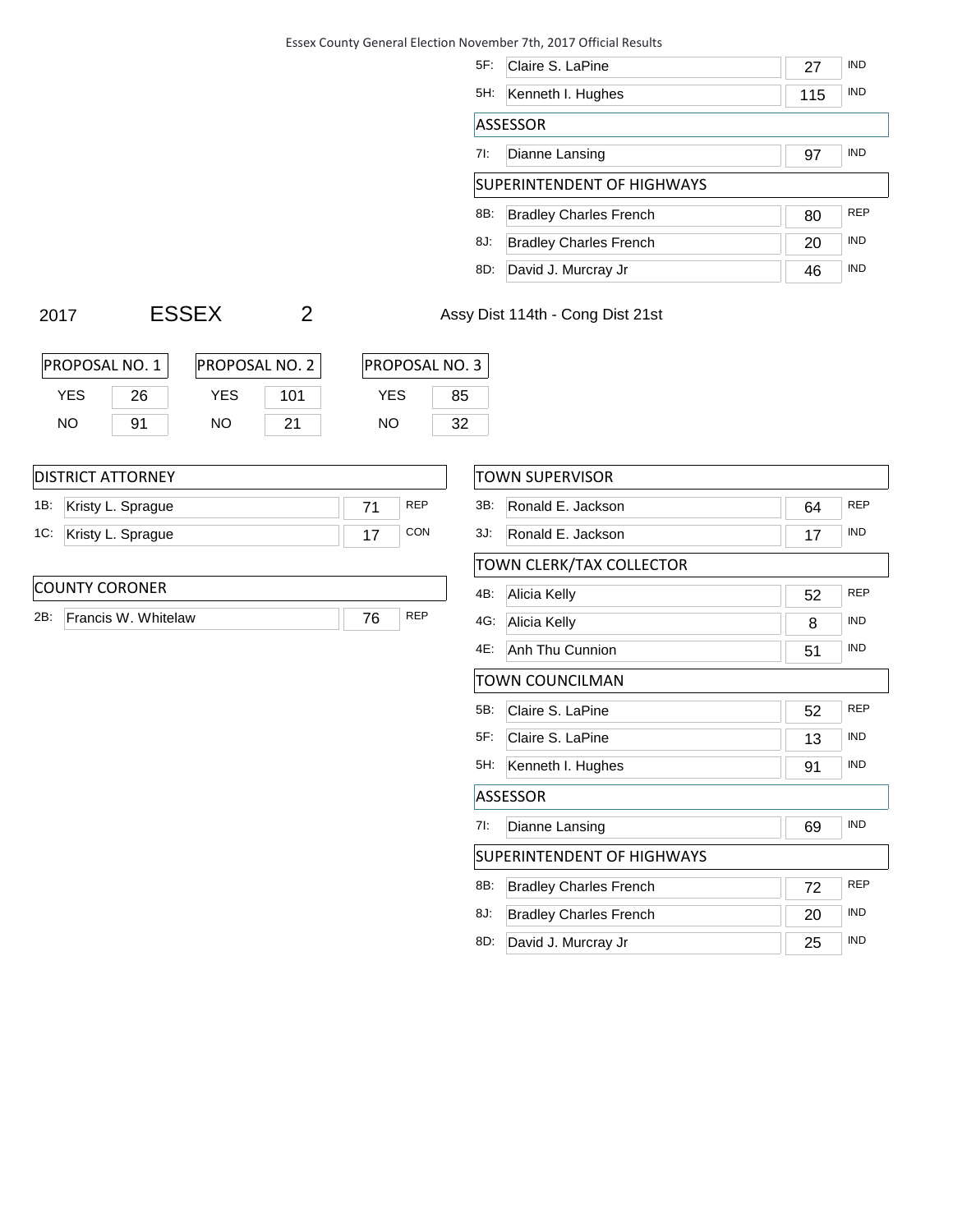Essex County General Election November 7th, 2017 Official Results

| 5F: | Claire S. LaPine              | 27  | <b>IND</b> |  |  |  |  |  |
|-----|-------------------------------|-----|------------|--|--|--|--|--|
| 5H: | Kenneth I. Hughes             | 115 | <b>IND</b> |  |  |  |  |  |
|     | ASSESSOR                      |     |            |  |  |  |  |  |
| 7!  | Dianne Lansing                | 97  | <b>IND</b> |  |  |  |  |  |
|     | SUPERINTENDENT OF HIGHWAYS    |     |            |  |  |  |  |  |
| 8B: | <b>Bradley Charles French</b> | 80  | <b>RFP</b> |  |  |  |  |  |
| 8J: | <b>Bradley Charles French</b> | 20  | <b>IND</b> |  |  |  |  |  |
| 8D: | David J. Murcray Jr           | 46  | <b>IND</b> |  |  |  |  |  |



| <b>PROPOSAL NO. 1</b> |    |     | IPROPOSAL NO. 2 |  |     | <b>IPROPOSAL NO. 3</b> |
|-----------------------|----|-----|-----------------|--|-----|------------------------|
| YES.                  | 26 | YFS | 101             |  | YFS | 85                     |
| NΟ                    | 91 | NΟ  | 21              |  | NO. | つ                      |

|     | <b>IDISTRICT ATTORNEY</b> |    |            |
|-----|---------------------------|----|------------|
| 1B: | Kristy L. Sprague         | 71 | <b>REP</b> |
| 1C: | Kristy L. Sprague         | 17 | CON        |
|     | ICOUNTY CORONER           |    |            |
| 2B: | Francis W. Whitelaw       | 76 | <b>REP</b> |

| <b>TOWN SUPERVISOR</b> |                               |    |            |  |
|------------------------|-------------------------------|----|------------|--|
| 3B.                    | Ronald E. Jackson             | 64 | <b>REP</b> |  |
| 3J:                    | Ronald E. Jackson             | 17 | <b>IND</b> |  |
|                        | TOWN CLERK/TAX COLLECTOR      |    |            |  |
| 4B:                    | Alicia Kelly                  | 52 | <b>REP</b> |  |
| 4G.                    | Alicia Kelly                  | 8  | <b>IND</b> |  |
| 4E:                    | Anh Thu Cunnion               | 51 | <b>IND</b> |  |
|                        | TOWN COUNCILMAN               |    |            |  |
| $5B$ :                 | Claire S. LaPine              | 52 | <b>REP</b> |  |
| 5F:                    | Claire S. LaPine              | 13 | <b>IND</b> |  |
| 5H:                    | Kenneth I. Hughes             | 91 | <b>IND</b> |  |
|                        | <b>ASSESSOR</b>               |    |            |  |
| 7!                     | Dianne Lansing                | 69 | <b>IND</b> |  |
|                        | SUPERINTENDENT OF HIGHWAYS    |    |            |  |
| 8B:                    | <b>Bradley Charles French</b> | 72 | <b>REP</b> |  |
| 8J:                    | <b>Bradley Charles French</b> | 20 | <b>IND</b> |  |
| 8D:                    | David J. Murcray Jr           | 25 | <b>IND</b> |  |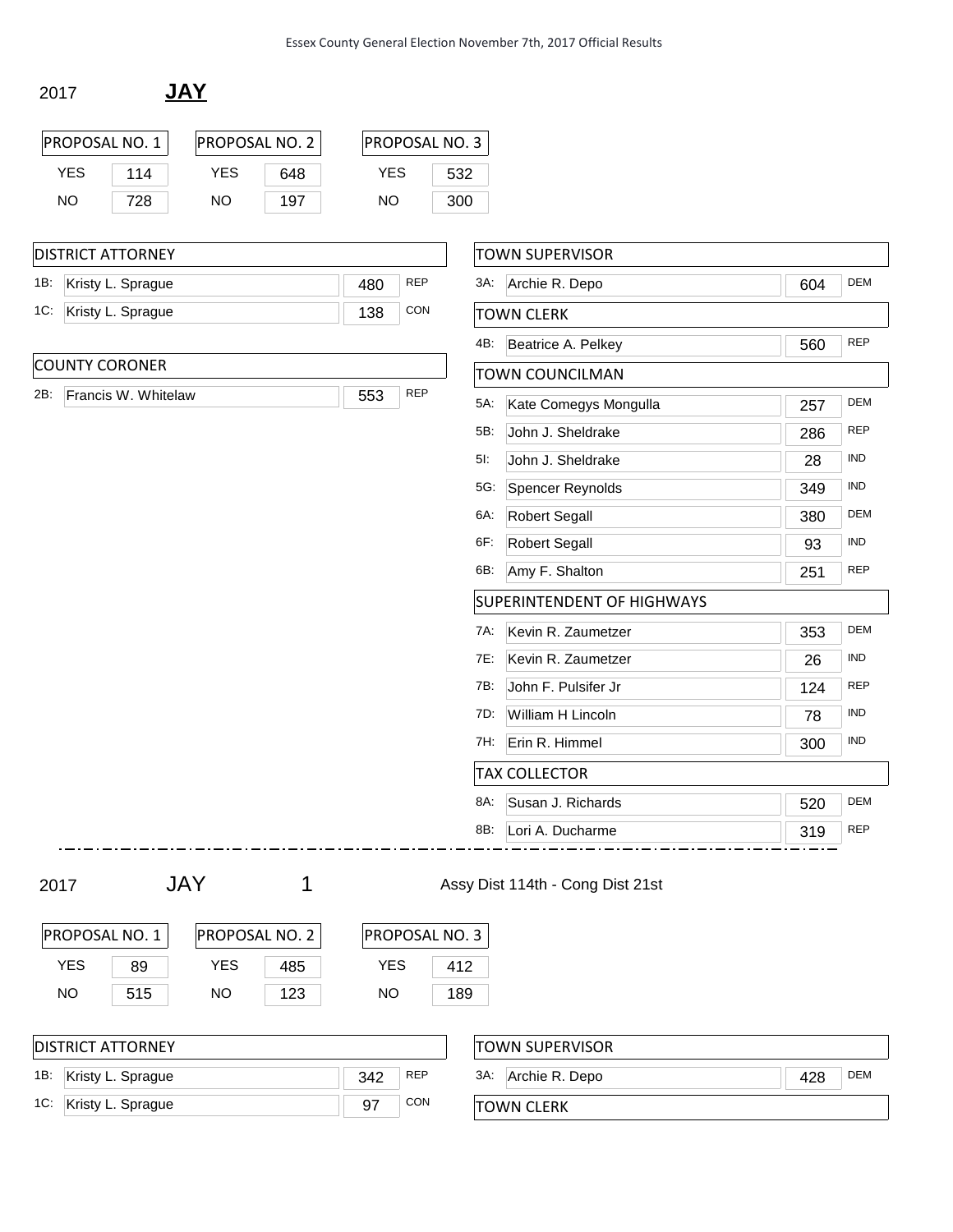2017 **JAY**

| IPROPOSAL NO. 1 |     | <b>PROPOSAL NO. 2</b> |     | <b>PROPOSAL NO. 3</b> |     |
|-----------------|-----|-----------------------|-----|-----------------------|-----|
| YES.            | 114 | YFS                   | 648 | YFS                   | 532 |
| NO.             | 728 | NΟ                    | 197 | NO.                   | 300 |

| <b>IDISTRICT ATTORNEY</b> |     |            | <b>TOWN SL</b>           |
|---------------------------|-----|------------|--------------------------|
| 1B: Kristy L. Sprague     | 480 | <b>REP</b> | 3A.<br>Archi             |
| 1C: Kristy L. Sprague     | 138 | <b>CON</b> | itown ci                 |
|                           |     |            | $\overline{\phantom{a}}$ |

#### COUNTY CORONER

| Face also<br>۱л<br>١W<br>------ --- <b>-------------</b> |  |
|----------------------------------------------------------|--|
|                                                          |  |

|        | TOWN SUPERVISOR            |     |            |
|--------|----------------------------|-----|------------|
| 3A:    | Archie R. Depo             | 604 | <b>DEM</b> |
|        | <b>TOWN CLERK</b>          |     |            |
| 4B:    | Beatrice A. Pelkey         | 560 | <b>REP</b> |
|        | <b>TOWN COUNCILMAN</b>     |     |            |
| $5A$ : | Kate Comegys Mongulla      | 257 | <b>DEM</b> |
| 5B:    | John J. Sheldrake          | 286 | <b>REP</b> |
| 5l:    | John J. Sheldrake          | 28  | <b>IND</b> |
| 5G.    | Spencer Reynolds           | 349 | <b>IND</b> |
| 6A:    | <b>Robert Segall</b>       | 380 | <b>DEM</b> |
| 6F:    | <b>Robert Segall</b>       | 93  | IND        |
| 6B:    | Amy F. Shalton             | 251 | <b>REP</b> |
|        | SUPERINTENDENT OF HIGHWAYS |     |            |
| $7A$ : | Kevin R. Zaumetzer         | 353 | <b>DEM</b> |
| 7E:    | Kevin R. Zaumetzer         | 26  | <b>IND</b> |
| 7B:    | John F. Pulsifer Jr        | 124 | REP        |
| 7D:    | William H Lincoln          | 78  | <b>IND</b> |
| 7H:    | Erin R. Himmel             | 300 | <b>IND</b> |
|        | TAX COLLECTOR              |     |            |
| 8A:    | Susan J. Richards          | 520 | <b>DEM</b> |
| 8B:    | Lori A. Ducharme           | 319 | <b>REP</b> |
|        | ----------                 |     |            |

| 2017      |                          | <b>JAY</b> |                |            |                       | Assy Dist 114th - Cong Dist 21st           |
|-----------|--------------------------|------------|----------------|------------|-----------------------|--------------------------------------------|
|           | <b>PROPOSAL NO. 1</b>    |            | PROPOSAL NO. 2 |            | <b>PROPOSAL NO. 3</b> |                                            |
|           | <b>YES</b><br>89         | <b>YES</b> | 485            | <b>YES</b> |                       | 412                                        |
| <b>NO</b> | 515                      | <b>NO</b>  | 123            | <b>NO</b>  |                       | 189                                        |
|           | <b>DISTRICT ATTORNEY</b> |            |                |            |                       | <b>TOWN SUPERVISOR</b>                     |
| 1B:       | Kristy L. Sprague        |            |                | 342        | <b>REP</b>            | <b>DEM</b><br>3A:<br>Archie R. Depo<br>428 |
| 1C:       | Kristy L. Sprague        |            |                | 97         | <b>CON</b>            | <b>TOWN CLERK</b>                          |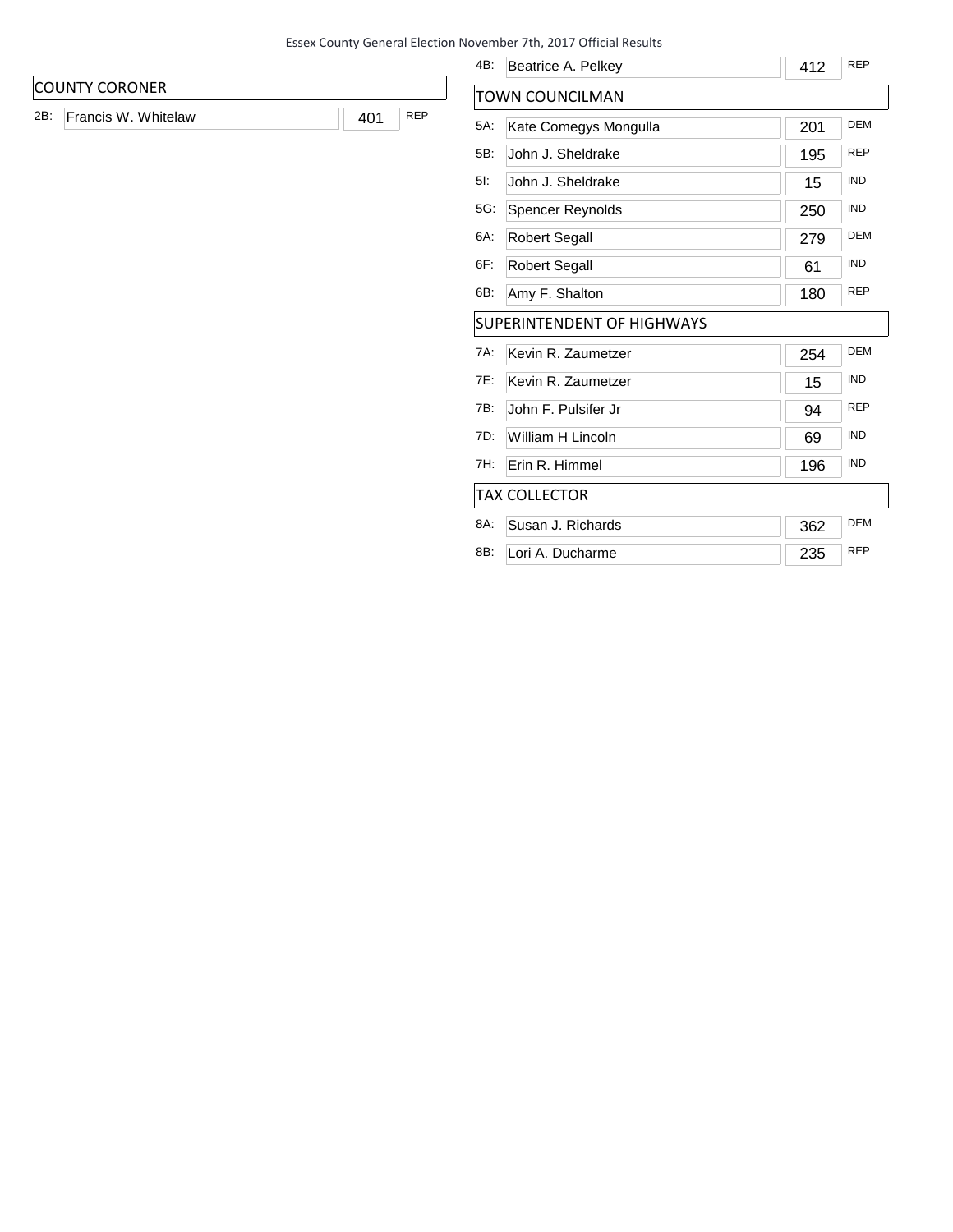|     | COUNTY CORONER      |     |            |  |
|-----|---------------------|-----|------------|--|
| 2B: | Francis W. Whitelaw | 401 | <b>REP</b> |  |
|     |                     |     |            |  |

| 4B:                        | Beatrice A. Pelkey      | 412 | <b>REP</b> |  |  |  |  |
|----------------------------|-------------------------|-----|------------|--|--|--|--|
|                            | TOWN COUNCILMAN         |     |            |  |  |  |  |
| 5A:                        | Kate Comegys Mongulla   | 201 | <b>DEM</b> |  |  |  |  |
| 5B:                        | John J. Sheldrake       | 195 | <b>REP</b> |  |  |  |  |
| $5$ :                      | John J. Sheldrake       | 15  | <b>IND</b> |  |  |  |  |
| 5G.                        | <b>Spencer Reynolds</b> | 250 | <b>IND</b> |  |  |  |  |
| 6A:                        | <b>Robert Segall</b>    | 279 | <b>DEM</b> |  |  |  |  |
| 6F:                        | <b>Robert Segall</b>    | 61  | <b>IND</b> |  |  |  |  |
| 6B:                        | Amy F. Shalton          | 180 | <b>REP</b> |  |  |  |  |
| SUPERINTENDENT OF HIGHWAYS |                         |     |            |  |  |  |  |
|                            |                         |     |            |  |  |  |  |
| 7A.                        | Kevin R. Zaumetzer      | 254 | <b>DEM</b> |  |  |  |  |
| 7E:                        | Kevin R. Zaumetzer      | 15  | <b>IND</b> |  |  |  |  |
| 7B:                        | John F. Pulsifer Jr     | 94  | <b>REP</b> |  |  |  |  |
| 7D:                        | William H Lincoln       | 69  | <b>IND</b> |  |  |  |  |
| 7H:                        | Frin R. Himmel          | 196 | <b>IND</b> |  |  |  |  |
|                            | <b>TAX COLLECTOR</b>    |     |            |  |  |  |  |
| 8A:                        | Susan J. Richards       | 362 | <b>DEM</b> |  |  |  |  |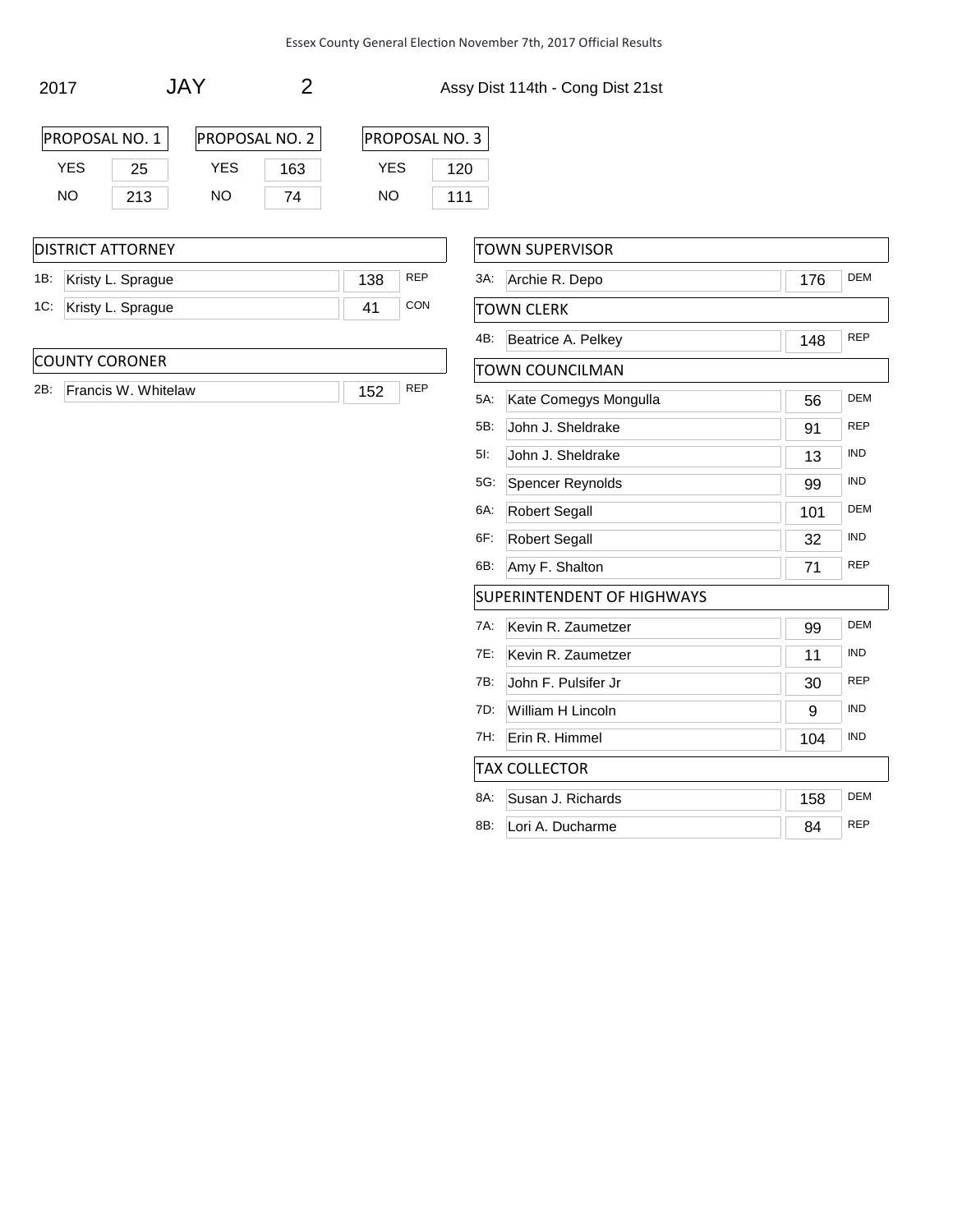| 1 |  |  |  |
|---|--|--|--|
|   |  |  |  |

2017 JAY 2 Assy Dist 114th - Cong Dist 21st

| PROPOSAL NO. 1 |     | PROPOSAL NO. |     |
|----------------|-----|--------------|-----|
| YFS            | 25  | YFS          | 163 |
| NΟ             | 213 | NΟ           | 74  |

POSAL NO. 2  $S \qquad 163$ 

PROPOSAL NO. 3 **YES** 120 NO 111

| <b>DISTRICT ATTORNEY</b> |     |            |
|--------------------------|-----|------------|
| 1B: Kristy L. Sprague    | 138 | <b>REP</b> |
| 1C: Kristy L. Sprague    |     | CON        |

#### COUNTY CORONER

2B: Francis W. Whitelaw 152 REP

|        | TOWN SUPERVISOR                   |     |            |
|--------|-----------------------------------|-----|------------|
| $3A$ : | Archie R. Depo                    | 176 | <b>DEM</b> |
|        | <b>TOWN CLERK</b>                 |     |            |
| 4B:    | Beatrice A. Pelkey                | 148 | <b>REP</b> |
|        | TOWN COUNCILMAN                   |     |            |
| 5A:    | Kate Comegys Mongulla             | 56  | <b>DEM</b> |
| 5B:    | John J. Sheldrake                 | 91  | <b>REP</b> |
| $5$ :  | John J. Sheldrake                 | 13  | <b>IND</b> |
| 5G:    | Spencer Reynolds                  | 99  | <b>IND</b> |
| 6A:    | <b>Robert Segall</b>              | 101 | DEM        |
| 6F:    | <b>Robert Segall</b>              | 32  | <b>IND</b> |
| 6B:    | Amy F. Shalton                    | 71  | <b>REP</b> |
|        | <b>SUPERINTENDENT OF HIGHWAYS</b> |     |            |
| 7A:    | Kevin R. Zaumetzer                | 99  | <b>DEM</b> |
| 7E:    | Kevin R. Zaumetzer                | 11  | <b>IND</b> |
| 7B:    | John F. Pulsifer Jr               | 30  | <b>REP</b> |
| 7D:    | William H Lincoln                 | 9   | <b>IND</b> |
| 7H:    | Erin R. Himmel                    | 104 | <b>IND</b> |
|        | <b>TAX COLLECTOR</b>              |     |            |
| 8A:    | Susan J. Richards                 | 158 | <b>DEM</b> |
| 8B:    | Lori A. Ducharme                  | 84  | <b>REP</b> |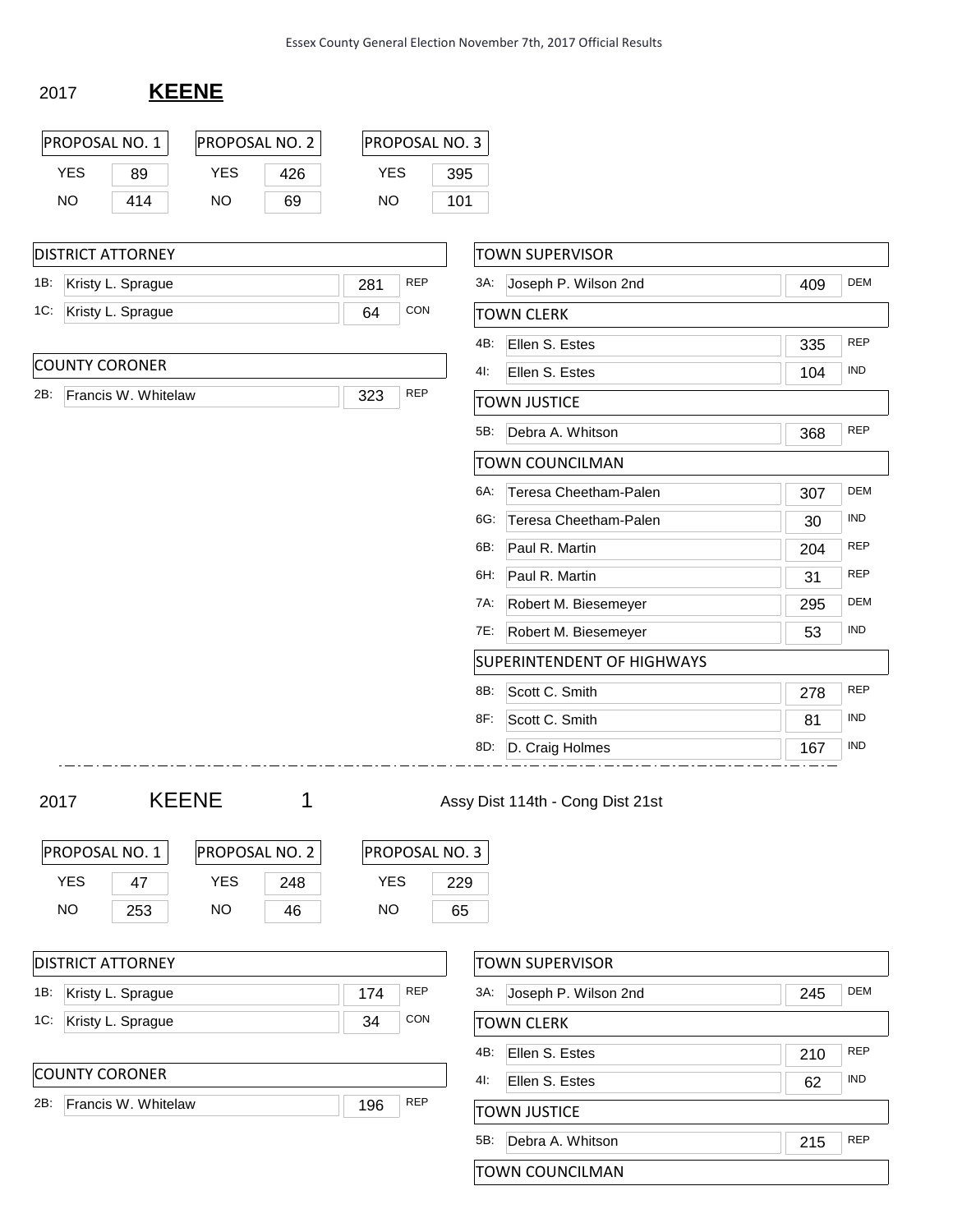#### 2017 **KEENE**

| PROPOSAL NO. 1                                    |                     | PROPOSAL NO. 2                                            |                |                         |            | PROPOSAL NO. 3              |     |                                   |     |            |
|---------------------------------------------------|---------------------|-----------------------------------------------------------|----------------|-------------------------|------------|-----------------------------|-----|-----------------------------------|-----|------------|
| <b>YES</b>                                        | 89                  | <b>YES</b>                                                | 426            | <b>YES</b>              |            | 395                         |     |                                   |     |            |
| <b>NO</b>                                         | 414                 | <b>NO</b>                                                 | 69             | <b>NO</b>               |            | 101                         |     |                                   |     |            |
|                                                   |                     |                                                           |                |                         |            |                             |     |                                   |     |            |
| <b>DISTRICT ATTORNEY</b>                          |                     |                                                           |                |                         |            |                             |     | <b>TOWN SUPERVISOR</b>            |     |            |
| 1B:                                               | Kristy L. Sprague   |                                                           |                | 281                     | <b>REP</b> |                             |     | 3A: Joseph P. Wilson 2nd          | 409 | <b>DEM</b> |
| 1C: Kristy L. Sprague                             |                     |                                                           |                | 64                      | CON        |                             |     | <b>TOWN CLERK</b>                 |     |            |
|                                                   |                     |                                                           |                |                         |            |                             | 4B: | Ellen S. Estes                    | 335 | <b>REP</b> |
| <b>COUNTY CORONER</b>                             |                     |                                                           |                |                         |            |                             | 4I: | Ellen S. Estes                    | 104 | <b>IND</b> |
| 2B:                                               | Francis W. Whitelaw |                                                           |                | 323                     | <b>REP</b> |                             |     | <b>TOWN JUSTICE</b>               |     |            |
|                                                   |                     |                                                           |                |                         |            |                             | 5B: | Debra A. Whitson                  | 368 | <b>REP</b> |
|                                                   |                     |                                                           |                |                         |            |                             |     | <b>TOWN COUNCILMAN</b>            |     |            |
|                                                   |                     |                                                           |                |                         |            |                             | 6A: | Teresa Cheetham-Palen             | 307 | <b>DEM</b> |
|                                                   |                     |                                                           |                |                         |            |                             | 6G: | Teresa Cheetham-Palen             | 30  | <b>IND</b> |
|                                                   |                     |                                                           |                |                         |            |                             | 6B: | Paul R. Martin                    | 204 | <b>REP</b> |
|                                                   |                     |                                                           |                |                         |            |                             | 6H: | Paul R. Martin                    | 31  | <b>REP</b> |
|                                                   |                     |                                                           |                |                         |            |                             | 7A: | Robert M. Biesemeyer              | 295 | <b>DEM</b> |
|                                                   |                     |                                                           |                |                         |            |                             | 7E. | Robert M. Biesemeyer              | 53  | <b>IND</b> |
|                                                   |                     |                                                           |                |                         |            |                             |     | <b>SUPERINTENDENT OF HIGHWAYS</b> |     |            |
|                                                   |                     |                                                           |                |                         |            |                             | 8B: | Scott C. Smith                    | 278 | <b>REP</b> |
|                                                   |                     |                                                           |                |                         |            |                             | 8F: | Scott C. Smith                    | 81  | <b>IND</b> |
|                                                   |                     |                                                           |                |                         |            |                             | 8D: | D. Craig Holmes                   | 167 | <b>IND</b> |
| 2017<br>PROPOSAL NO. 1<br><b>YES</b><br><b>NO</b> | 47<br>253           | <b>KEENE</b><br>PROPOSAL NO. 2<br><b>YES</b><br><b>NO</b> | 1<br>248<br>46 | <b>YES</b><br><b>NO</b> |            | PROPOSAL NO. 3<br>229<br>65 |     | Assy Dist 114th - Cong Dist 21st  |     |            |
| <b>DISTRICT ATTORNEY</b>                          |                     |                                                           |                |                         |            |                             |     | <b>TOWN SUPERVISOR</b>            |     |            |
| 1B:                                               | Kristy L. Sprague   |                                                           |                | 174                     | <b>REP</b> |                             |     | 3A: Joseph P. Wilson 2nd          | 245 | <b>DEM</b> |
| 1C: Kristy L. Sprague                             |                     |                                                           |                | 34                      | CON        |                             |     | <b>TOWN CLERK</b>                 |     |            |
|                                                   |                     |                                                           |                |                         |            |                             | 4B: | Ellen S. Estes                    | 210 | <b>REP</b> |
| <b>COUNTY CORONER</b>                             |                     |                                                           |                |                         |            |                             | 4I. | Ellen S. Estes                    | 62  | <b>IND</b> |
| 2B:                                               | Francis W. Whitelaw |                                                           |                | 196                     | REP        |                             |     | <b>TOWN JUSTICE</b>               |     |            |
|                                                   |                     |                                                           |                |                         |            |                             | 5B. | Debra A. Whitson                  | 215 | <b>REP</b> |
|                                                   |                     |                                                           |                |                         |            |                             |     | TOWN COUNCILMAN                   |     |            |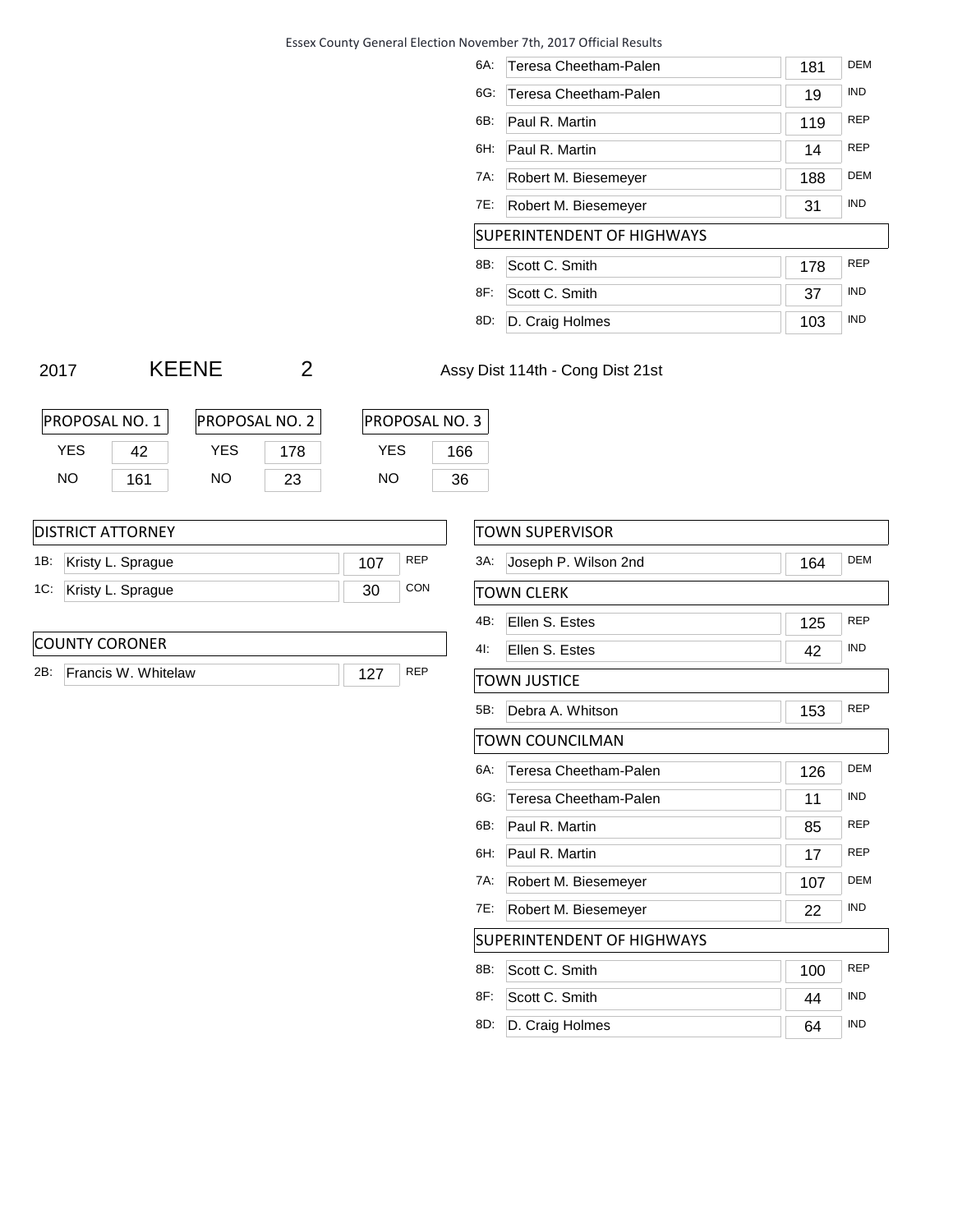| 6A. | Teresa Cheetham-Palen             | 181 | <b>DEM</b> |
|-----|-----------------------------------|-----|------------|
| 6G: | Teresa Cheetham-Palen             | 19  | <b>IND</b> |
| 6B: | Paul R. Martin                    | 119 | <b>REP</b> |
| 6H: | Paul R. Martin                    | 14  | <b>REP</b> |
| 7A: | Robert M. Biesemeyer              | 188 | <b>DEM</b> |
| 7E: | Robert M. Biesemeyer              | 31  | <b>IND</b> |
|     | <b>SUPERINTENDENT OF HIGHWAYS</b> |     |            |
| 8B. | Scott C. Smith                    | 178 | <b>REP</b> |
| 8F: | Scott C. Smith                    | 37  | <b>IND</b> |
| 8D: | D. Craig Holmes                   | 103 | <b>IND</b> |

## 2017 KEENE 2 Assy Dist 114th - Cong Dist 21st

PROPOSAL NO. 1  $YES$  42 NO 161 PROPOSAL NO. 2 YES | 178 NO 23 PROPOSAL NO. 3 YES 166 NO 36

#### DISTRICT ATTORNEY

| 1B: Kristy L. Sprague |  |
|-----------------------|--|
| 1C: Kristy L. Sprague |  |

|     | COUNTY CORONER      |     |            |
|-----|---------------------|-----|------------|
| 2B: | Francis W. Whitelaw | 107 | <b>REP</b> |

| TOWN SUPFRVISOR                   |                       |     |            |  |  |
|-----------------------------------|-----------------------|-----|------------|--|--|
| $3A$ :                            | Joseph P. Wilson 2nd  | 164 | DEM        |  |  |
|                                   | TOWN CLERK            |     |            |  |  |
| 4B:                               | Ellen S. Estes        | 125 | <b>REP</b> |  |  |
| $4$ :                             | Ellen S. Estes        | 42  | <b>IND</b> |  |  |
|                                   | <b>TOWN JUSTICE</b>   |     |            |  |  |
| $5B$ :                            | Debra A. Whitson      | 153 | <b>REP</b> |  |  |
|                                   | TOWN COUNCILMAN       |     |            |  |  |
| $6A$ :                            | Teresa Cheetham-Palen | 126 | <b>DEM</b> |  |  |
| 6G:                               | Teresa Cheetham-Palen | 11  | <b>IND</b> |  |  |
| 6B:                               | Paul R. Martin        | 85  | <b>REP</b> |  |  |
| 6H:                               | Paul R. Martin        | 17  | REP        |  |  |
| 7A:                               | Robert M. Biesemeyer  | 107 | <b>DEM</b> |  |  |
| 7E:                               | Robert M. Biesemeyer  | 22  | <b>IND</b> |  |  |
| <b>SUPERINTENDENT OF HIGHWAYS</b> |                       |     |            |  |  |
| 8B:                               | Scott C. Smith        | 100 | <b>REP</b> |  |  |
| 8F:                               | Scott C. Smith        | 44  | <b>IND</b> |  |  |
| 8D:                               | D. Craig Holmes       | 64  | <b>IND</b> |  |  |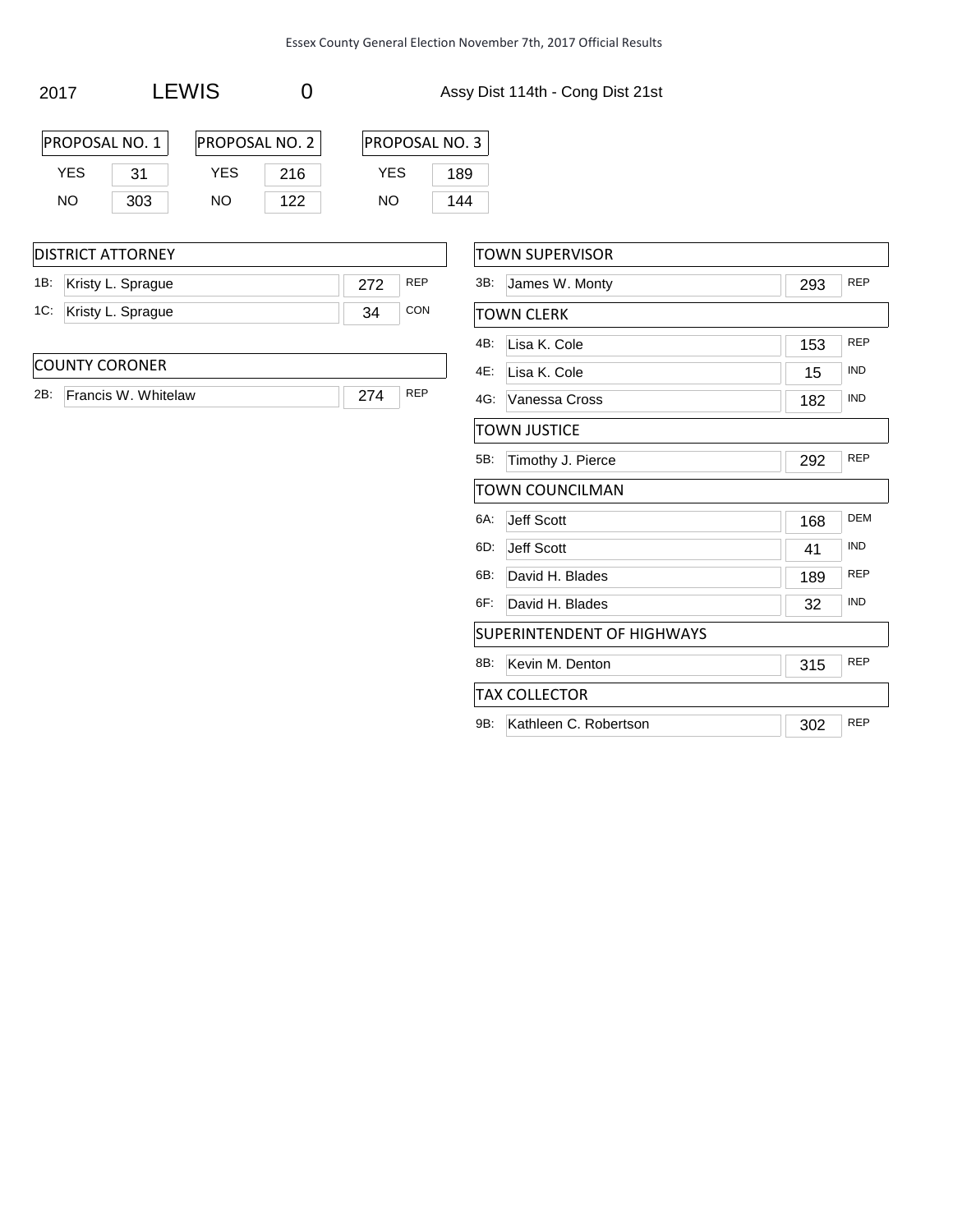2017 LEWIS 0 Assy Dist 114th - Cong Dist 21st

| PROPOSAL NO. 1 |     | <b>PROPOSAL NO. 2</b> |     |
|----------------|-----|-----------------------|-----|
| YFS            | 31  | YFS                   | 216 |
| NΩ             | 303 | חח                    | 122 |

| PROPOSAL NO. 3 |     |  |  |  |
|----------------|-----|--|--|--|
| 189<br>YFS     |     |  |  |  |
| NΟ             | 144 |  |  |  |

#### DISTRICT ATTORNEY

| 1B: Kristy L. Sprague | つフつ |  |
|-----------------------|-----|--|
| 1C: Kristy L. Sprague | 34  |  |

#### COUNTY CORONER

| 2B: | Francis W. Whitelaw |  |
|-----|---------------------|--|

| TOWN SUPERVISOR            |                       |     |            |  |  |  |
|----------------------------|-----------------------|-----|------------|--|--|--|
| 3B:                        | James W. Monty        | 293 | <b>REP</b> |  |  |  |
|                            | TOWN CLERK            |     |            |  |  |  |
| 4B:                        | Lisa K. Cole          | 153 | <b>REP</b> |  |  |  |
| 4E:                        | Lisa K. Cole          | 15  | <b>IND</b> |  |  |  |
| 4G:                        | Vanessa Cross         | 182 | <b>IND</b> |  |  |  |
|                            | TOWN JUSTICE          |     |            |  |  |  |
| $5B$ :                     | Timothy J. Pierce     | 292 | <b>REP</b> |  |  |  |
| TOWN COUNCILMAN            |                       |     |            |  |  |  |
| 6A:                        | <b>Jeff Scott</b>     | 168 | <b>DEM</b> |  |  |  |
| 6D:                        | Jeff Scott            | 41  | <b>IND</b> |  |  |  |
| 6B:                        | David H. Blades       | 189 | <b>REP</b> |  |  |  |
| 6F:                        | David H. Blades       | 32  | <b>IND</b> |  |  |  |
| SUPERINTENDENT OF HIGHWAYS |                       |     |            |  |  |  |
| 8B:                        | Kevin M. Denton       | 315 | <b>REP</b> |  |  |  |
|                            | TAX COLLECTOR         |     |            |  |  |  |
| 9B.                        | Kathleen C. Robertson | 302 | <b>REP</b> |  |  |  |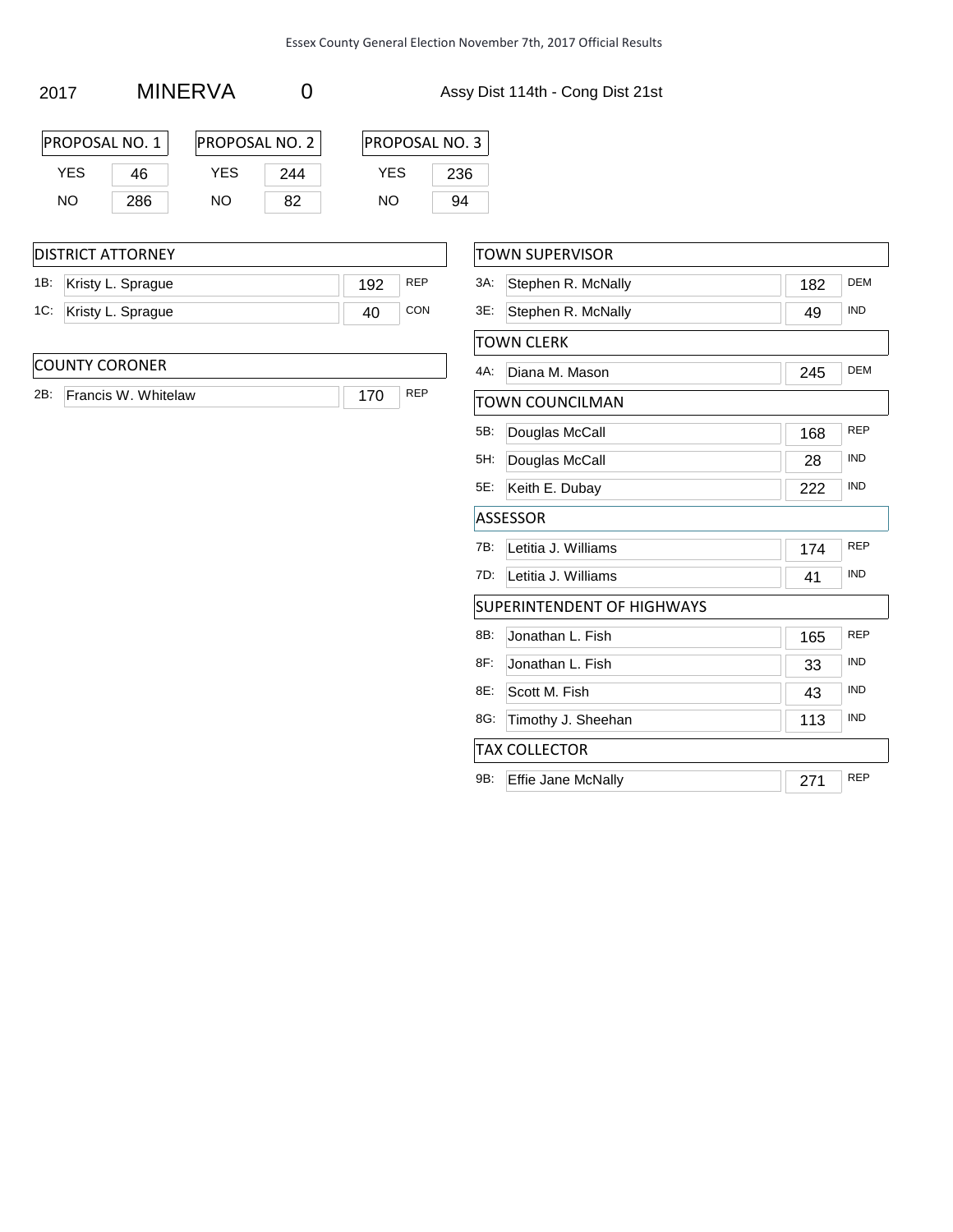#### 2017 MINERVA 0 Assy Dist 114th - Cong Dist 21st

| PROPOSAL NO. 1 |     | <b>PROPOSAL NO. 2</b> |    |
|----------------|-----|-----------------------|----|
| YFS            | 46. | YFS<br>244            |    |
| NΩ             | 286 | חמ                    | 82 |

|                       | <b>DISTRICT ATTORNEY</b> |     |            |
|-----------------------|--------------------------|-----|------------|
| 1B:                   | Kristy L. Sprague        | 192 | <b>REP</b> |
| 1C: Kristy L. Sprague |                          | 40  | CON        |
|                       | <b>COUNTY CORONER</b>    |     |            |

|  | 2B: Francis W. Whitelaw | 170 REP |  |
|--|-------------------------|---------|--|
|--|-------------------------|---------|--|

PROPOSAL NO. 3 YES 236 NO 94

## TOWN SUPERVISOR 3A: Stephen R. McNally 182 DEM TOWN CLERK 4A: Diana M. Mason 245 DEM TOWN COUNCILMAN 5B: Douglas McCall 168 REP ASSESSOR 7B: Letitia J. Williams 174 REP 7D: Letitia J. Williams 41 IND SUPERINTENDENT OF HIGHWAYS 8B: Jonathan L. Fish 165 REP TAX COLLECTOR 9B: Effie Jane McNally 271 REP 3E: Stephen R. McNally 49 IND 5H: Douglas McCall 28 IND 5E: Keith E. Dubay 222 IND 8F: Jonathan L. Fish 33 IND 8E: Scott M. Fish 43 IND 8G: Timothy J. Sheehan 113 IND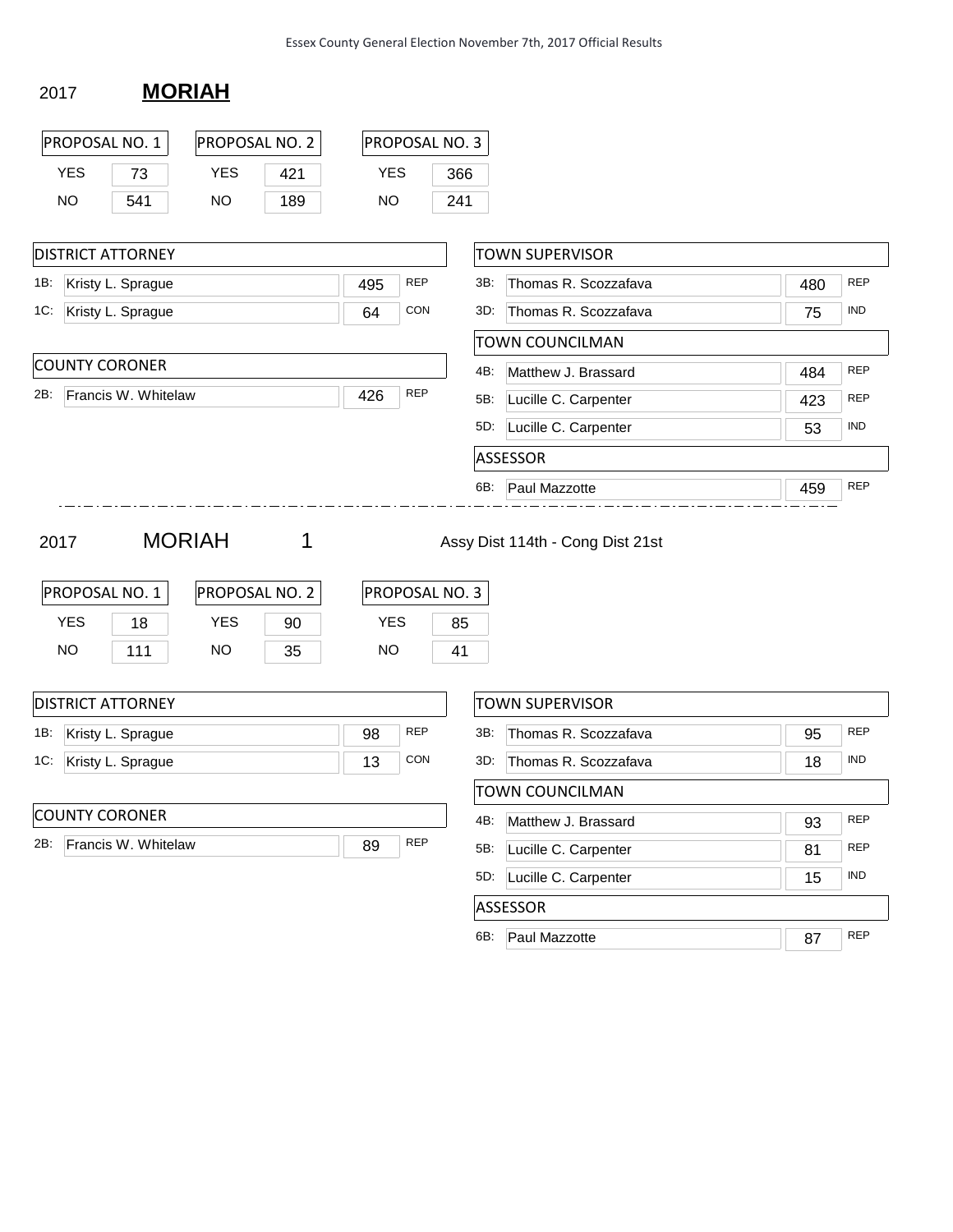#### 2017 **MORIAH**

|            | PROPOSAL NO. 1           | PROPOSAL NO. 2               |     |            | PROPOSAL NO. 3 |     |     |                                                   |     |            |
|------------|--------------------------|------------------------------|-----|------------|----------------|-----|-----|---------------------------------------------------|-----|------------|
| <b>YES</b> | 73                       | <b>YES</b>                   | 421 | <b>YES</b> |                | 366 |     |                                                   |     |            |
| <b>NO</b>  | 541                      | <b>NO</b>                    | 189 | <b>NO</b>  |                | 241 |     |                                                   |     |            |
|            | <b>DISTRICT ATTORNEY</b> |                              |     |            |                |     |     | <b>TOWN SUPERVISOR</b>                            |     |            |
| 1B:        | Kristy L. Sprague        |                              |     | 495        | <b>REP</b>     |     | 3B: | Thomas R. Scozzafava                              | 480 | <b>REP</b> |
| 1C:        | Kristy L. Sprague        |                              |     | 64         | CON            |     | 3D: | Thomas R. Scozzafava                              | 75  | <b>IND</b> |
|            |                          |                              |     |            |                |     |     | <b>TOWN COUNCILMAN</b>                            |     |            |
|            | <b>COUNTY CORONER</b>    |                              |     |            |                |     | 4B: | Matthew J. Brassard                               | 484 | <b>REP</b> |
| 2B:        | Francis W. Whitelaw      |                              |     | 426        | <b>REP</b>     |     | 5B: | Lucille C. Carpenter                              | 423 | <b>REP</b> |
|            |                          |                              |     |            |                |     | 5D: | Lucille C. Carpenter                              | 53  | <b>IND</b> |
|            |                          |                              |     |            |                |     |     | ASSESSOR                                          |     |            |
|            |                          |                              |     |            |                |     |     |                                                   |     |            |
| 2017       |                          | <b>MORIAH</b>                | 1   |            |                |     | 6B: | Paul Mazzotte<br>Assy Dist 114th - Cong Dist 21st | 459 | <b>REP</b> |
| <b>YES</b> | PROPOSAL NO. 1<br>18     | PROPOSAL NO. 2<br><b>YES</b> | 90  | <b>YES</b> | PROPOSAL NO. 3 | 85  |     |                                                   |     |            |
| <b>NO</b>  | 111                      | NO                           | 35  | NO.        |                | 41  |     |                                                   |     |            |
|            | <b>DISTRICT ATTORNEY</b> |                              |     |            |                |     |     | <b>TOWN SUPERVISOR</b>                            |     |            |
| 1B:        | Kristy L. Sprague        |                              |     | 98         | <b>REP</b>     |     | 3B: | Thomas R. Scozzafava                              | 95  | <b>REP</b> |
| 1C:        | Kristy L. Sprague        |                              |     | 13         | <b>CON</b>     |     | 3D: | Thomas R. Scozzafava                              | 18  | <b>IND</b> |
|            |                          |                              |     |            |                |     |     | <b>TOWN COUNCILMAN</b>                            |     |            |
|            | <b>COUNTY CORONER</b>    |                              |     |            |                |     | 4B: | Matthew J. Brassard                               | 93  | <b>REP</b> |
| 2B:        | Francis W. Whitelaw      |                              |     | 89         | <b>REP</b>     |     | 5B: | Lucille C. Carpenter                              | 81  | <b>REP</b> |
|            |                          |                              |     |            |                |     | 5D: | Lucille C. Carpenter                              | 15  | <b>IND</b> |

6B: Paul Mazzotte 87 REP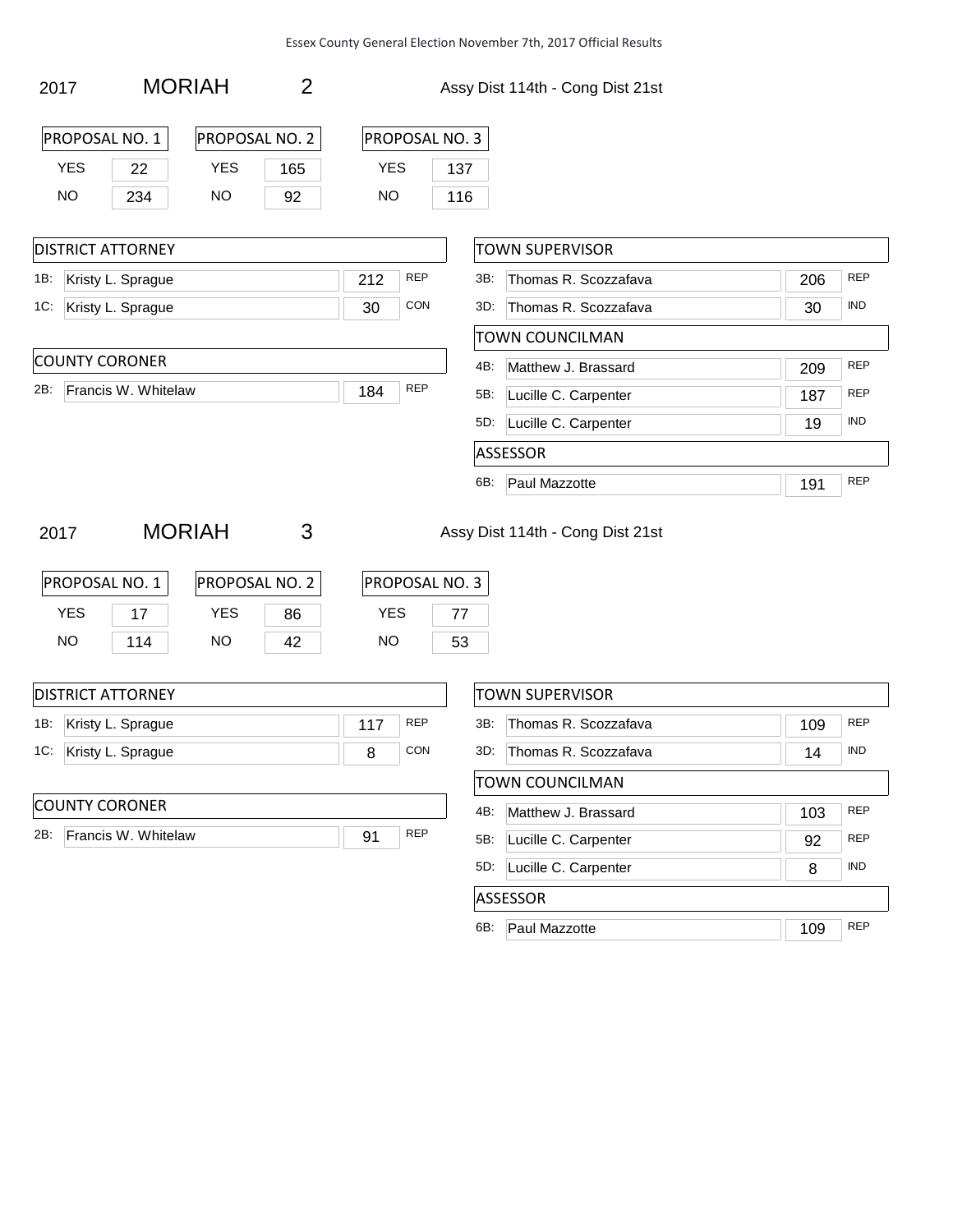2017 MORIAH 2 Assy Dist 114th - Cong Dist 21st DISTRICT ATTORNEY 1B: Kristy L. Sprague 212 REP 1C: Kristy L. Sprague 30 CON PROPOSAL NO. 1 YES 22 NO 234 PROPOSAL NO. 2 YES | 165 NO 92 PROPOSAL NO. 3 YES | 137 NO 116 COUNTY CORONER 2B: Francis W. Whitelaw 184 REP TOWN SUPERVISOR 3B: Thomas R. Scozzafava 206 REP 3D: Thomas R. Scozzafava 30 30 IND TOWN COUNCILMAN 4B: Matthew J. Brassard 209 REP 5B: Lucille C. Carpenter 187 REP 5D: Lucille C. Carpenter 19 19 IND **ASSESSOR** 6B: Paul Mazzotte 191 REP 2017 MORIAH 3 Assy Dist 114th - Cong Dist 21st DISTRICT ATTORNEY 1B: Kristy L. Sprague 117 REP 1C: Kristy L. Sprague 8 CON PROPOSAL NO. 1 YES | 17 NO 114 PROPOSAL NO. 2 YES | 86 NO 42 PROPOSAL NO. 3 YES 77 NO 53 COUNTY CORONER 2B: Francis W. Whitelaw 191 REP TOWN SUPERVISOR 3B: Thomas R. Scozzafava 109 REP 3D: Thomas R. Scozzafava 14 IND TOWN COUNCILMAN 4B: Matthew J. Brassard 103 REP 5B: Lucille C. Carpenter 92 REP 5D: Lucille C. Carpenter 8 IND

#### ASSESSOR

6B: Paul Mazzotte 109 REP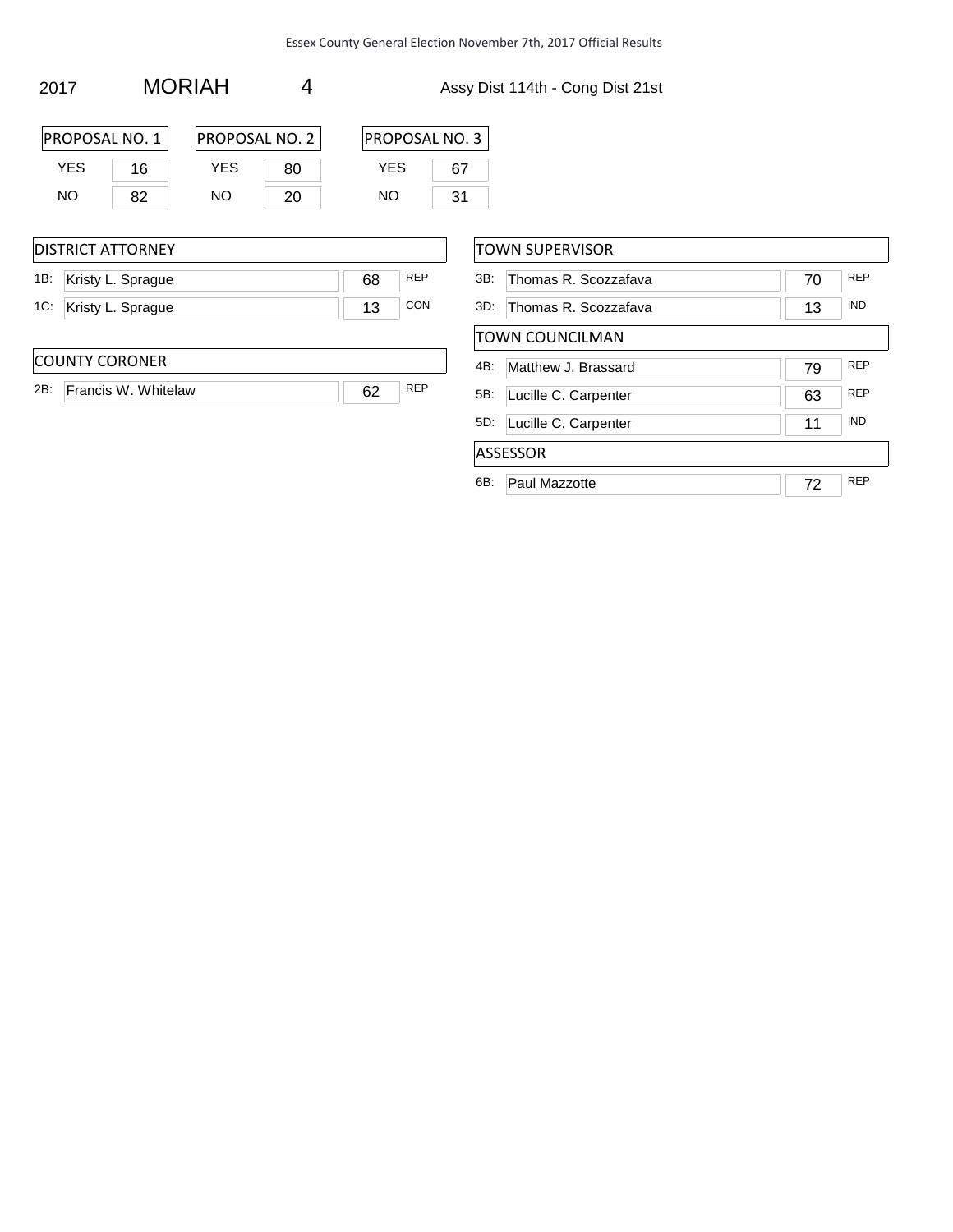2017 MORIAH 4 Assy Dist 114th - Cong Dist 21st

| PROPOSAL NO. 1 |     | <b>PROPOSAL NO. 2</b> |    |
|----------------|-----|-----------------------|----|
| YFS            | 16. | YFS                   | 80 |
| NΩ             | 82  | NΩ                    | 20 |

PROPOSAL NO. 3 YES **67** NO 31

|     | DISTRICT ATTORNEY       |    |            |     | <b>TOWN SUPERVISOR</b>    |    |
|-----|-------------------------|----|------------|-----|---------------------------|----|
| 1B: | Kristy L. Sprague       | 68 | <b>REP</b> | 3B. | Thomas R. Scozzafava      | 70 |
| 1C: | Kristy L. Sprague       | 13 | <b>CON</b> |     | 3D: Thomas R. Scozzafava  | 13 |
|     |                         |    |            |     | ITOWN COUNCILMAN          |    |
|     | <b>COUNTY CORONER</b>   |    |            | 4B: | Matthew J. Brassard       | 79 |
|     | 2B: Francis W. Whitelaw | 62 | <b>REP</b> | 5B: | Lucille C. Carpenter      | 63 |
|     |                         |    |            |     | $5D$ I ucille C Carnontor | 11 |

3B: Thomas R. Scozzafava 70 REP 3D: Thomas R. Scozzafava 13 | 13 | I<sup>ND</sup> 4B: Matthew J. Brassard **79** REP 5B: Lucille C. Carpenter 63 REP Lucille C. Carpenter 11 IND ASSESSOR 6B: Paul Mazzotte 72 REP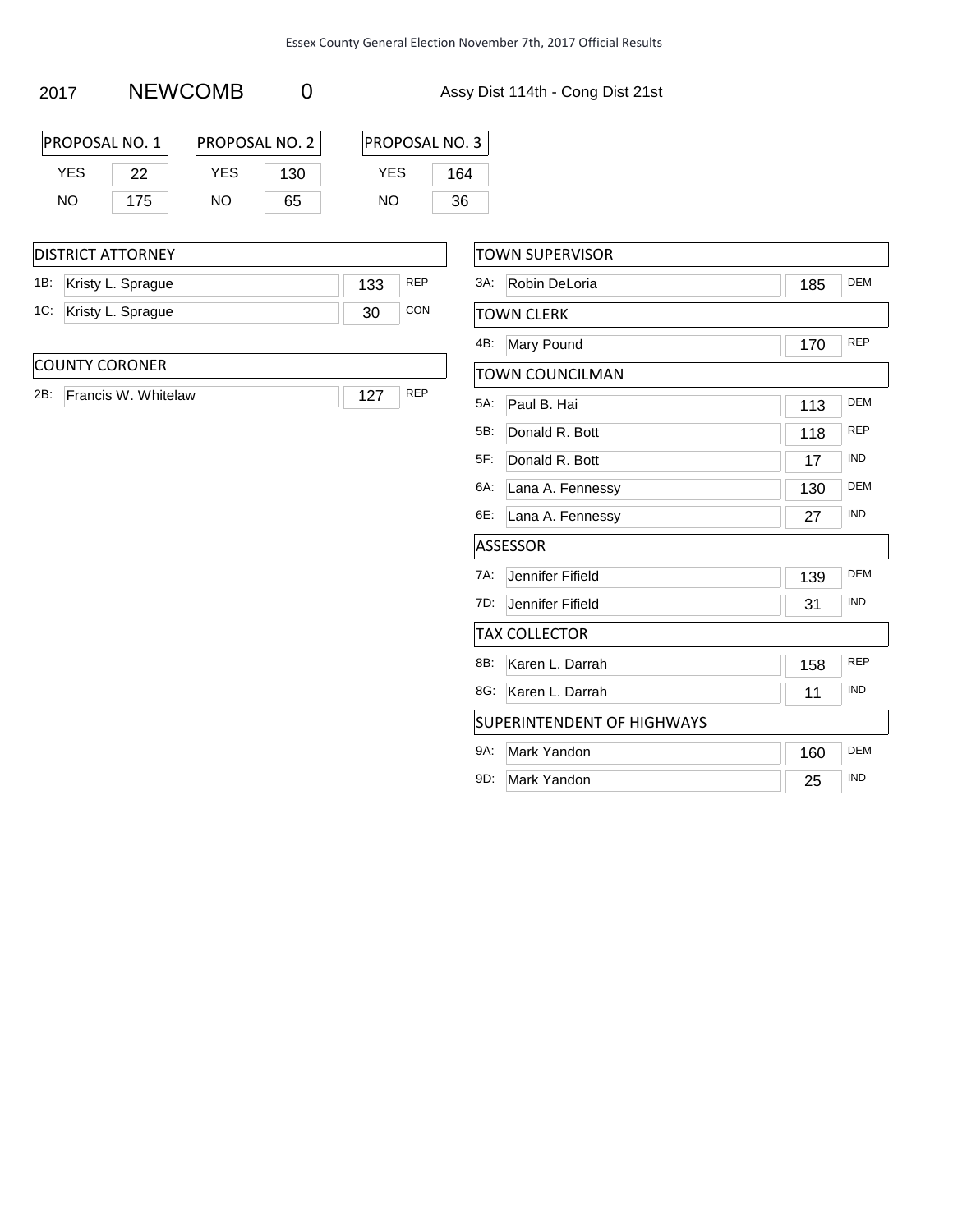#### 2017 NEWCOMB 0 Assy Dist 114th - Cong Dist 21st

| IPROPOSAL NO. 1 |     | <b>PROPOSAL NO. 2</b> |     |
|-----------------|-----|-----------------------|-----|
| YFS             | 22  |                       | 130 |
| חוח             | 175 | NΩ                    | 65  |

| PROPOSAL NO. 3 |     |
|----------------|-----|
| YFS            | 164 |
| NΟ             | 36  |

#### DISTRICT ATTORNEY

1B: Kristy L. Sprague 133 REP 1C: Kristy L. Sprague 30 CON

#### COUNTY CORONER

| 2B: | Francis W. Whitelaw |  |
|-----|---------------------|--|

|        | TOWN SUPERVISOR                   |     |            |
|--------|-----------------------------------|-----|------------|
| 3A.    | Robin DeLoria                     | 185 | <b>DEM</b> |
|        | <b>TOWN CLERK</b>                 |     |            |
| 4B:    | Mary Pound                        | 170 | <b>REP</b> |
|        | TOWN COUNCILMAN                   |     |            |
| $5A$ : | Paul B. Hai                       | 113 | DEM        |
| 5B:    | Donald R. Bott                    | 118 | <b>REP</b> |
| 5F:    | Donald R. Bott                    | 17  | <b>IND</b> |
| 6A:    | Lana A. Fennessy                  | 130 | <b>DEM</b> |
| 6E:    | Lana A. Fennessy                  | 27  | <b>IND</b> |
|        | <b>ASSESSOR</b>                   |     |            |
| 7A.    | Jennifer Fifield                  | 139 | <b>DEM</b> |
| 7D:    | Jennifer Fifield                  | 31  | <b>IND</b> |
|        | TAX COLLECTOR                     |     |            |
| 8B:    | Karen L. Darrah                   | 158 | <b>REP</b> |
| 8G:    | Karen L. Darrah                   | 11  | <b>IND</b> |
|        | <b>SUPERINTENDENT OF HIGHWAYS</b> |     |            |
| 9A:    | Mark Yandon                       | 160 | <b>DEM</b> |
| 9D:    | Mark Yandon                       | 25  | <b>IND</b> |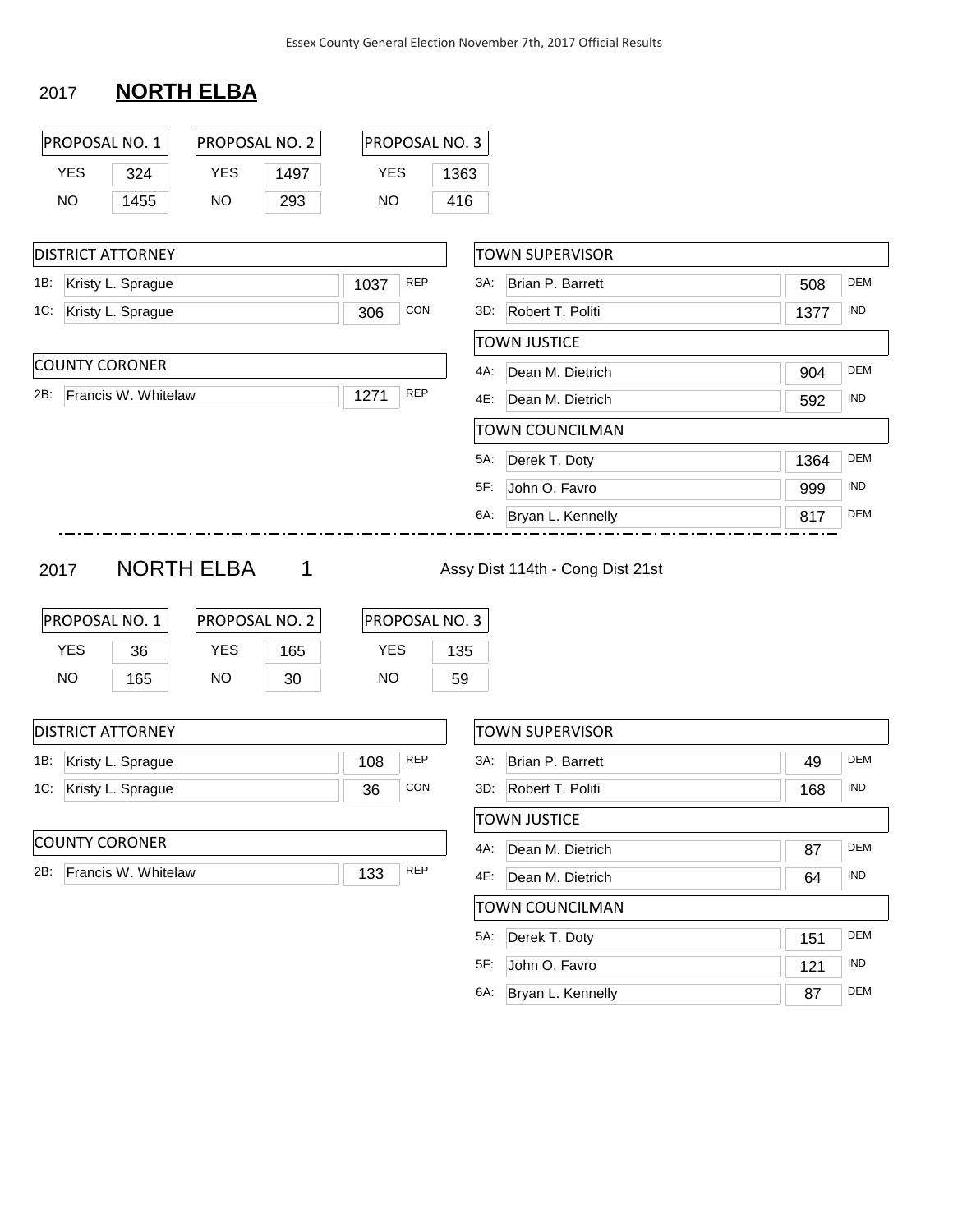### 2017 **NORTH ELBA**

|                                 | PROPOSAL NO. 1              | PROPOSAL NO. 2                                                 |                |                         |            | PROPOSAL NO. 3              |     |                                  |      |            |
|---------------------------------|-----------------------------|----------------------------------------------------------------|----------------|-------------------------|------------|-----------------------------|-----|----------------------------------|------|------------|
| <b>YES</b>                      | 324                         | <b>YES</b>                                                     | 1497           | <b>YES</b>              |            | 1363                        |     |                                  |      |            |
| NO.                             | 1455                        | NO                                                             | 293            | <b>NO</b>               |            | 416                         |     |                                  |      |            |
|                                 | <b>DISTRICT ATTORNEY</b>    |                                                                |                |                         |            |                             |     | <b>TOWN SUPERVISOR</b>           |      |            |
| 1B:                             | Kristy L. Sprague           |                                                                |                | 1037                    | <b>REP</b> |                             | 3A: | Brian P. Barrett                 | 508  | <b>DEM</b> |
| 1C:                             | Kristy L. Sprague           |                                                                |                | 306                     | CON        |                             | 3D: | Robert T. Politi                 | 1377 | <b>IND</b> |
|                                 |                             |                                                                |                |                         |            |                             |     | <b>TOWN JUSTICE</b>              |      |            |
|                                 | <b>COUNTY CORONER</b>       |                                                                |                |                         |            |                             | 4A: | Dean M. Dietrich                 | 904  | <b>DEM</b> |
| 2B:                             | Francis W. Whitelaw         |                                                                |                | 1271                    | <b>REP</b> |                             | 4E: | Dean M. Dietrich                 | 592  | <b>IND</b> |
|                                 |                             |                                                                |                |                         |            |                             |     | TOWN COUNCILMAN                  |      |            |
|                                 |                             |                                                                |                |                         |            |                             | 5A: | Derek T. Doty                    | 1364 | <b>DEM</b> |
|                                 |                             |                                                                |                |                         |            |                             | 5F: | John O. Favro                    | 999  | <b>IND</b> |
|                                 |                             |                                                                |                |                         |            |                             |     | 6A: Bryan L. Kennelly            | 817  | <b>DEM</b> |
| 2017<br><b>YES</b><br><b>NO</b> | PROPOSAL NO. 1<br>36<br>165 | <b>NORTH ELBA</b><br>PROPOSAL NO. 2<br><b>YES</b><br><b>NO</b> | 1<br>165<br>30 | <b>YES</b><br><b>NO</b> |            | PROPOSAL NO. 3<br>135<br>59 |     | Assy Dist 114th - Cong Dist 21st |      |            |
|                                 |                             |                                                                |                |                         |            |                             |     |                                  |      |            |
|                                 | <b>DISTRICT ATTORNEY</b>    |                                                                |                |                         |            |                             |     | <b>TOWN SUPERVISOR</b>           |      |            |
| 1B:                             | Kristy L. Sprague           |                                                                |                | 108                     | <b>REP</b> |                             | 3A: | Brian P. Barrett                 | 49   | <b>DEM</b> |
|                                 | 1C: Kristy L. Sprague       |                                                                |                | 36                      | CON        |                             |     | 3D: Robert T. Politi             | 168  | <b>IND</b> |
|                                 |                             |                                                                |                |                         |            |                             |     | <b>TOWN JUSTICE</b>              |      |            |
|                                 | <b>COUNTY CORONER</b>       |                                                                |                |                         |            |                             | 4A: | Dean M. Dietrich                 | 87   | <b>DEM</b> |
| 2B:                             | Francis W. Whitelaw         |                                                                |                | 133                     | <b>REP</b> |                             | 4E: | Dean M. Dietrich                 | 64   | <b>IND</b> |
|                                 |                             |                                                                |                |                         |            |                             |     | <b>TOWN COUNCILMAN</b>           |      |            |

5A: Derek T. Doty 151 DEM 5F: John O. Favro 121 IND 6A: Bryan L. Kennelly 87 DEM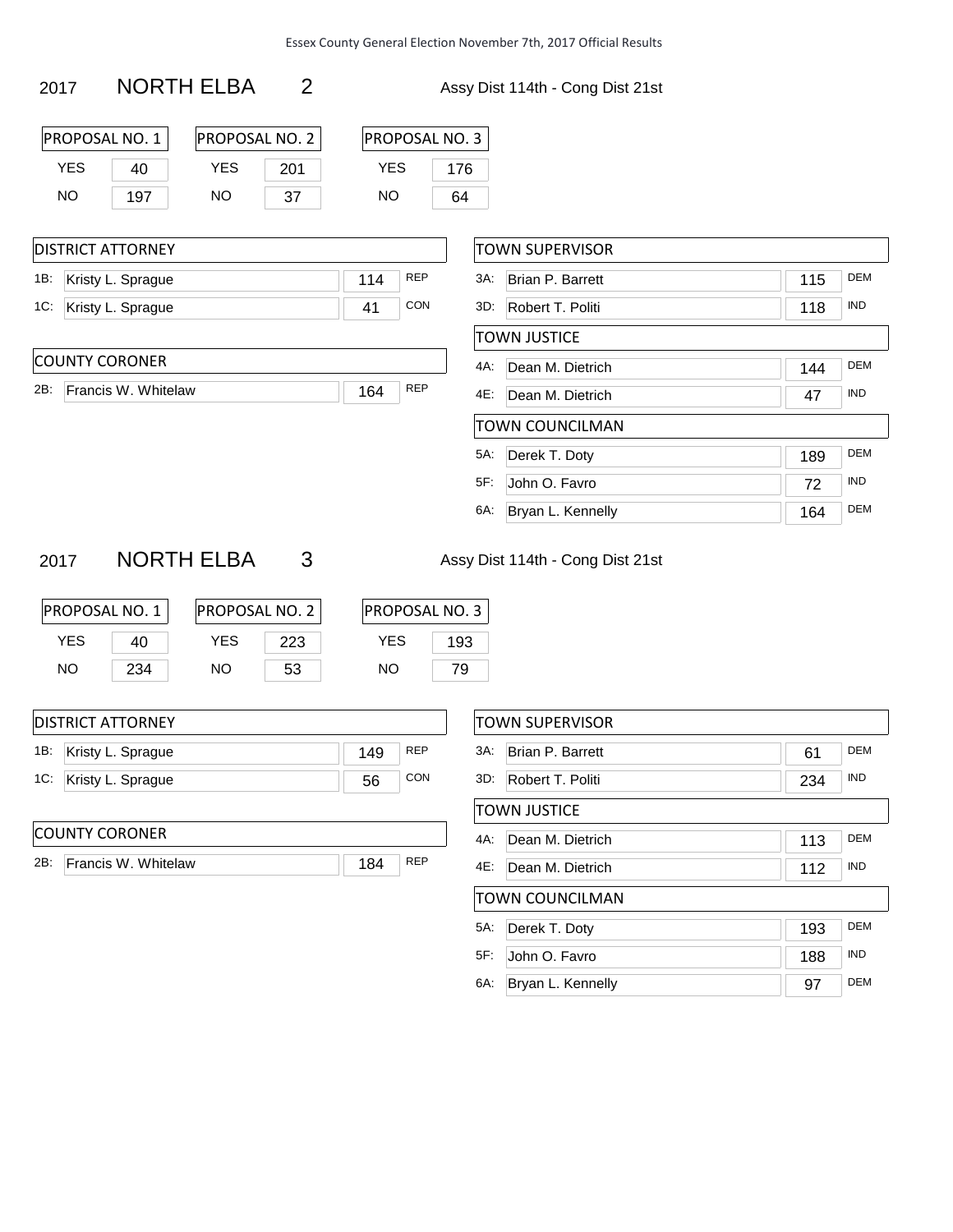2017 NORTH ELBA 2 Assy Dist 114th - Cong Dist 21st

DISTRICT ATTORNEY 1B: Kristy L. Sprague 1C: Kristy L. Sprague

COUNTY CORONER

2B: Francis W. Whitelaw

| <b>PROPOSAL NO. 1</b> |     | PROPOSAL NO. 2 |     |
|-----------------------|-----|----------------|-----|
| YFS                   | 40  | YFS            | 201 |
| NΟ                    | 197 | NΩ             | 37  |

| PROPOSAL NO. 3 |     |
|----------------|-----|
| YFS            | 176 |
| NΟ             | 64  |

|     |            |     | <b>TOWN SUPERVISOR</b> |     |            |
|-----|------------|-----|------------------------|-----|------------|
| 114 | <b>REP</b> | 3A: | Brian P. Barrett       | 115 | <b>DEM</b> |
| 41  | <b>CON</b> |     | 3D: Robert T. Politi   | 118 | <b>IND</b> |
|     |            |     | <b>TOWN JUSTICE</b>    |     |            |
|     |            | 4A: | Dean M. Dietrich       | 144 | <b>DEM</b> |
| 164 | <b>REP</b> | 4E: | Dean M. Dietrich       | 47  | <b>IND</b> |
|     |            |     | <b>TOWN COUNCILMAN</b> |     |            |
|     |            | 5A: | Derek T. Doty          | 189 | <b>DEM</b> |
|     |            | 5F: | John O. Favro          | 72  | <b>IND</b> |
|     |            | 6A: | Bryan L. Kennelly      | 164 | <b>DEM</b> |

#### 2017 NORTH ELBA 3 Assy Dist 114th - Cong Dist 21st

| PROPOSAL NO. 1 | <b>PROPOS</b> |     |
|----------------|---------------|-----|
| YFS            | 40            | YFS |
| NΩ             | 234           | NΩ  |

SAL NO. 2

223 53

| PROPOSAL NO. 3 |     |  |
|----------------|-----|--|
| YFS            | 193 |  |
| NΟ             | 79  |  |

| <b>DISTRICT ATTORNEY</b> |     |  |
|--------------------------|-----|--|
| 1R: Kriety I Spranue     | 110 |  |

| <b>P.</b> Nisty L. Optague | 149 | $\cdots$ |
|----------------------------|-----|----------|
| 1C: Kristy L. Sprague      |     | CON      |

#### COUNTY CORONER

2B: Francis W. Whitelaw 184 REP

| TOWN SUPERVISOR |                                       |     |            |  |  |
|-----------------|---------------------------------------|-----|------------|--|--|
| $3A$ :          | <b>DFM</b><br>Brian P. Barrett<br>61  |     |            |  |  |
| $3D^2$          | Robert T. Politi                      | 234 | <b>IND</b> |  |  |
|                 | TOWN JUSTICE                          |     |            |  |  |
| 4A:             | <b>DFM</b><br>Dean M. Dietrich<br>113 |     |            |  |  |
| 4F:             | Dean M. Dietrich                      | 112 | <b>IND</b> |  |  |
|                 | TOWN COUNCILMAN                       |     |            |  |  |
| 5A:             | Derek T. Doty                         | 193 | <b>DEM</b> |  |  |
| $5F$ :          | <b>IND</b><br>John O. Favro<br>188    |     |            |  |  |
| 6A:             | Bryan L. Kennelly                     | 97  | <b>DEM</b> |  |  |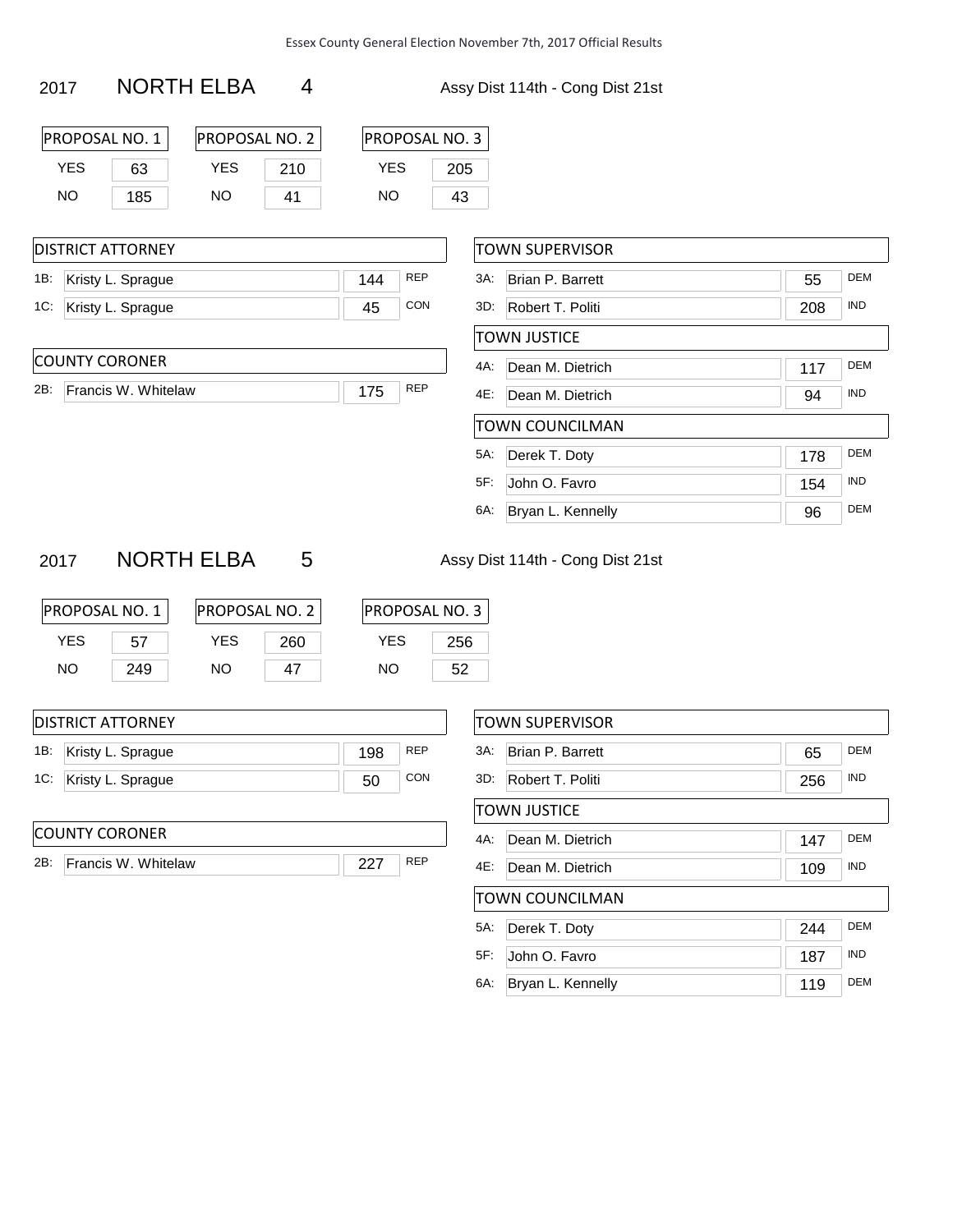| 2017 | <b>NORTH ELBA</b> |  |
|------|-------------------|--|
|------|-------------------|--|

DISTRICT ATTORNEY 1B: Kristy L. Sprague 1C: Kristy L. Sprague

COUNTY CORONER

2B: Francis W. Whitelaw

4 Assy Dist 114th - Cong Dist 21st

| PROPOSAL NO. 1 |     | <b>PROPOSAL NO. 2</b> |     |  |
|----------------|-----|-----------------------|-----|--|
| YFS            | 63  | YFS                   | 210 |  |
| NΟ             | 185 | NO.                   | 41  |  |

| PROPOSAL NO. 3 |     |  |
|----------------|-----|--|
| YFS            | 205 |  |
| NΟ             | 43  |  |

|     |            | <b>TOWN SUPERVISOR</b>   |     |            |
|-----|------------|--------------------------|-----|------------|
| 144 | <b>REP</b> | 3A:<br>Brian P. Barrett  | 55  | <b>DEM</b> |
| 45  | CON        | 3D: Robert T. Politi     | 208 | <b>IND</b> |
|     |            | <b>TOWN JUSTICE</b>      |     |            |
|     |            | 4A:<br>Dean M. Dietrich  | 117 | <b>DEM</b> |
| 175 | <b>REP</b> | 4E:<br>Dean M. Dietrich  | 94  | <b>IND</b> |
|     |            | <b>TOWN COUNCILMAN</b>   |     |            |
|     |            | 5A:<br>Derek T. Doty     | 178 | <b>DEM</b> |
|     |            | $5F$ :<br>John O. Favro  | 154 | <b>IND</b> |
|     |            | Bryan L. Kennelly<br>6A: | 96  | <b>DEM</b> |

#### 2017 NORTH ELBA 5 Assy Dist 114th - Cong Dist 21st

| PROPOSAL NO. 1 | <b>IPROP</b> |     |
|----------------|--------------|-----|
| YFS            | 57           | YFS |
| NΩ             | 249          | NΟ  |

OSAL NO. 2

260 47

| PROPOSAL NO. 3 |     |  |
|----------------|-----|--|
| YFS            | 256 |  |
| NΩ             | 52  |  |

#### COUNTY CORONER

2B: Francis W. Whitelaw 227 REP

| TOWN SUPERVISOR |                                             |     |            |  |
|-----------------|---------------------------------------------|-----|------------|--|
| 3A:             | <b>DEM</b><br><b>Brian P. Barrett</b><br>65 |     |            |  |
| 3D.             | Robert T. Politi                            |     | <b>IND</b> |  |
|                 | TOWN JUSTICE                                |     |            |  |
| 4A:             | Dean M. Dietrich                            | 147 | <b>DEM</b> |  |
| 4F:             | Dean M. Dietrich                            | 109 | <b>IND</b> |  |
| TOWN COUNCILMAN |                                             |     |            |  |
| 5A:             | Derek T. Doty                               | 244 | <b>DFM</b> |  |
| 5F:             | John O. Favro                               | 187 | <b>IND</b> |  |
| 6A:             | Bryan L. Kennelly                           | 119 | <b>DEM</b> |  |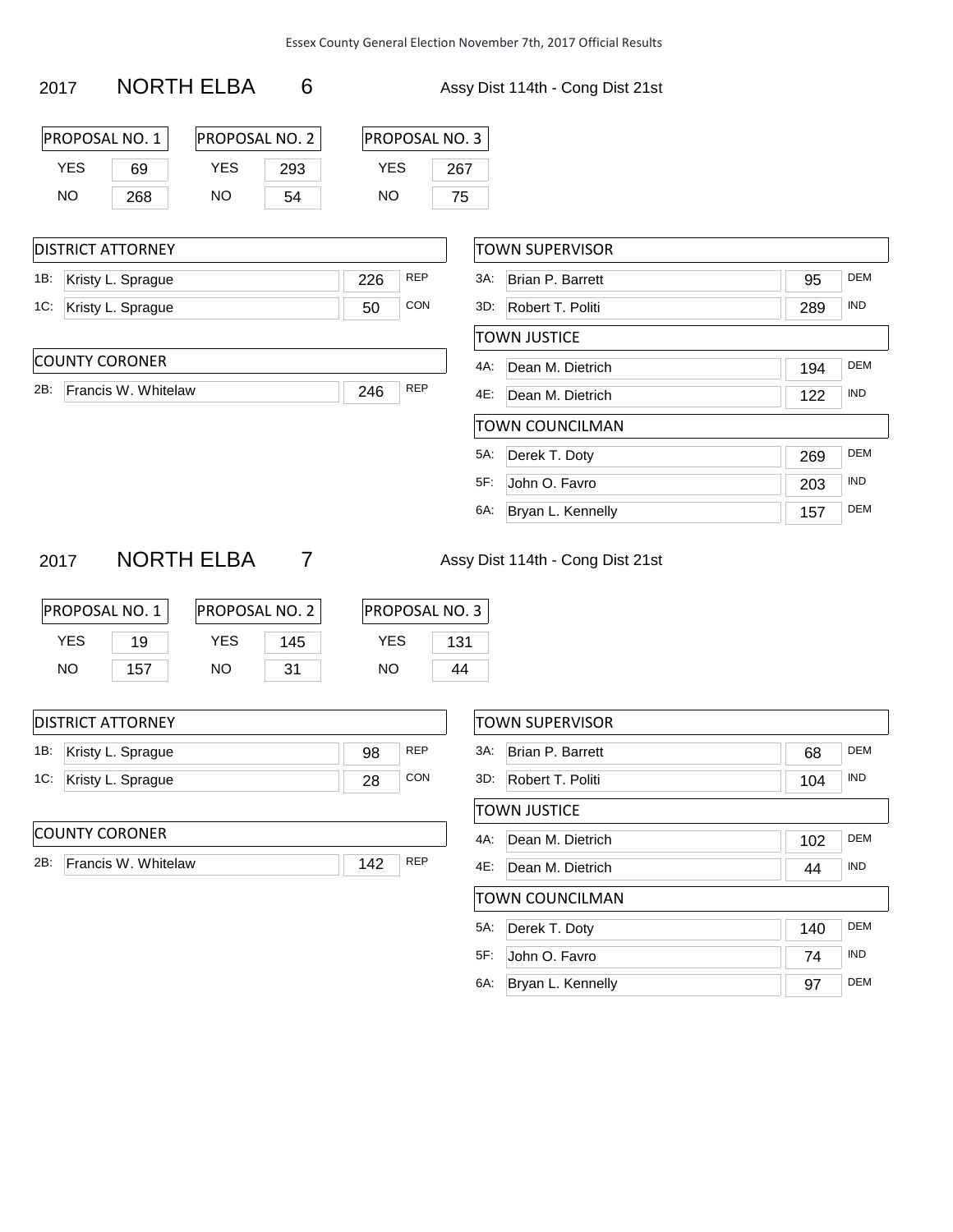| 2017 | <b>NORTH ELBA</b> |  |
|------|-------------------|--|
|------|-------------------|--|

DISTRICT ATTORNEY 1B: Kristy L. Sprague 1C: Kristy L. Sprague

COUNTY CORONER

2B: Francis W. Whitelaw

6 Assy Dist 114th - Cong Dist 21st

| <b>PROPOSAL NO. 1</b> |     | <b>PROPOSAL NO. 2</b> |     |  |
|-----------------------|-----|-----------------------|-----|--|
| YFS<br>69             |     | YFS                   | 293 |  |
| NO.                   | 268 | NO.                   | 54  |  |

| PROPOSAL NO. 3 |  |  |
|----------------|--|--|
| YFS<br>267     |  |  |
| NΟ<br>75       |  |  |

|                   | <b>TOWN SUPERVISOR</b>   |     |            |
|-------------------|--------------------------|-----|------------|
| <b>REP</b><br>226 | 3A.<br>Brian P. Barrett  | 95  | <b>DEM</b> |
| CON<br>50         | Robert T. Politi<br>3D:  | 289 | <b>IND</b> |
|                   | <b>TOWN JUSTICE</b>      |     |            |
|                   | 4A:<br>Dean M. Dietrich  | 194 | <b>DEM</b> |
| <b>REP</b><br>246 | 4E:<br>Dean M. Dietrich  | 122 | <b>IND</b> |
|                   | <b>TOWN COUNCILMAN</b>   |     |            |
|                   | 5A:<br>Derek T. Doty     | 269 | <b>DEM</b> |
|                   | 5F:<br>John O. Favro     | 203 | <b>IND</b> |
|                   | Bryan L. Kennelly<br>6A: | 157 | <b>DEM</b> |

#### 2017 NORTH ELBA 7 Assy Dist 114th - Cong Dist 21st

| PROPOSAL NO. 1 |    | PROPOSAL NO. |     |
|----------------|----|--------------|-----|
| YFS            | 19 | <b>YFS</b>   | 145 |
| NΩ<br>157      |    | NΩ           | 31  |

POSAL NO. 2  $ES$  145

| PROPOSAL NO. 3 |  |  |  |
|----------------|--|--|--|
| YFS<br>131     |  |  |  |
| NΟ<br>44       |  |  |  |

| 1B: Kristy L. Sprague |    |  |
|-----------------------|----|--|
| 1C: Kristy L. Sprague | 28 |  |

#### COUNTY CORONER

2B: Francis W. Whitelaw 142 REP

| <b>TOWN SUPERVISOR</b> |                        |     |            |  |  |
|------------------------|------------------------|-----|------------|--|--|
| $3A$ :                 | Brian P. Barrett<br>68 |     | <b>DFM</b> |  |  |
| 3D.                    | Robert T. Politi       |     | <b>IND</b> |  |  |
|                        | <b>TOWN JUSTICE</b>    |     |            |  |  |
| $4A^+$                 | Dean M. Dietrich       | 102 | <b>DEM</b> |  |  |
| 4F:                    | Dean M. Dietrich       | 44  | <b>IND</b> |  |  |
|                        | TOWN COUNCILMAN        |     |            |  |  |
| 5A:                    | Derek T. Doty          | 140 | <b>DEM</b> |  |  |
| $5F$ :                 | John O. Favro          | 74  | <b>IND</b> |  |  |
| 6A:                    | Bryan L. Kennelly      | 97  | <b>DFM</b> |  |  |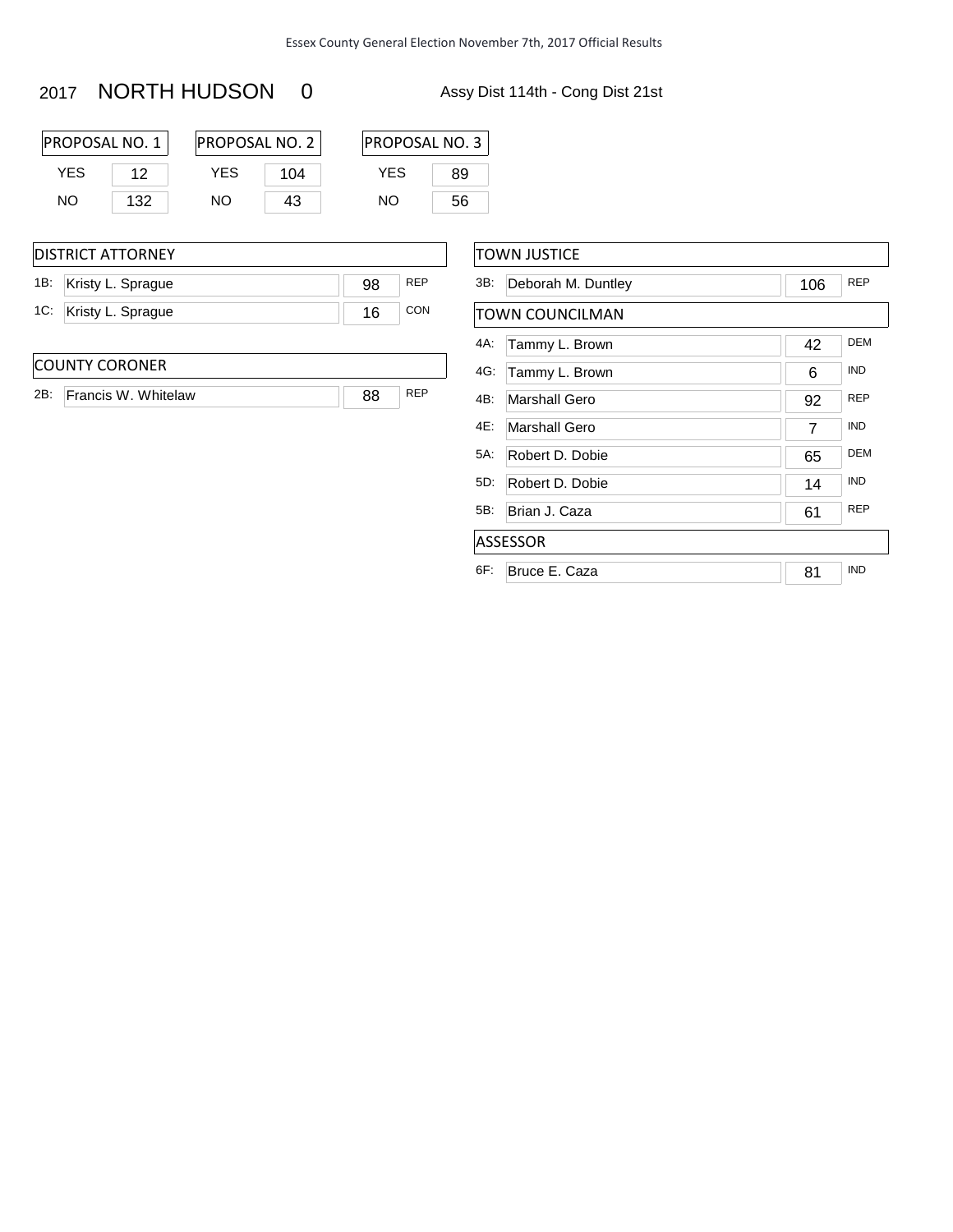#### 2017 NORTH HUDSON 0 Assy Dist 114th - Cong Dist 21st

| PROPOSAL NO. 1 |     | <b>PROPOSAL NO. 2</b> |     | <b>IPROPO</b> |  |
|----------------|-----|-----------------------|-----|---------------|--|
| YFS            | 12  | YFS.                  | 104 |               |  |
| NO.            | 132 | NΟ                    | 43  | NΩ            |  |

#### DISTRICT ATTORNEY

| 1B: Kristy L. Sprague |    |  |
|-----------------------|----|--|
| 1C: Kristy L. Sprague | 16 |  |

#### COUNTY CORONER

2B: Francis W. Whitelaw 88 REP

89 NO 56

## OSAL NO. 3

| 3B:    | Deborah M. Duntley | 106 | <b>REP</b> |
|--------|--------------------|-----|------------|
|        | TOWN COUNCILMAN    |     |            |
| 4A:    | Tammy L. Brown     | 42  | <b>DEM</b> |
| 4G:    | Tammy L. Brown     | 6   | <b>IND</b> |
| 4B:    | Marshall Gero      | 92  | <b>RFP</b> |
| 4E:    | Marshall Gero      | 7   | <b>IND</b> |
| 5A:    | Robert D. Dobie    | 65  | <b>DEM</b> |
| 5D:    | Robert D. Dobie    | 14  | <b>IND</b> |
| $5B$ : | Brian J. Caza      | 61  | <b>REP</b> |
|        | <b>ASSESSOR</b>    |     |            |
| 6F:    | Bruce E. Caza      | 81  | <b>IND</b> |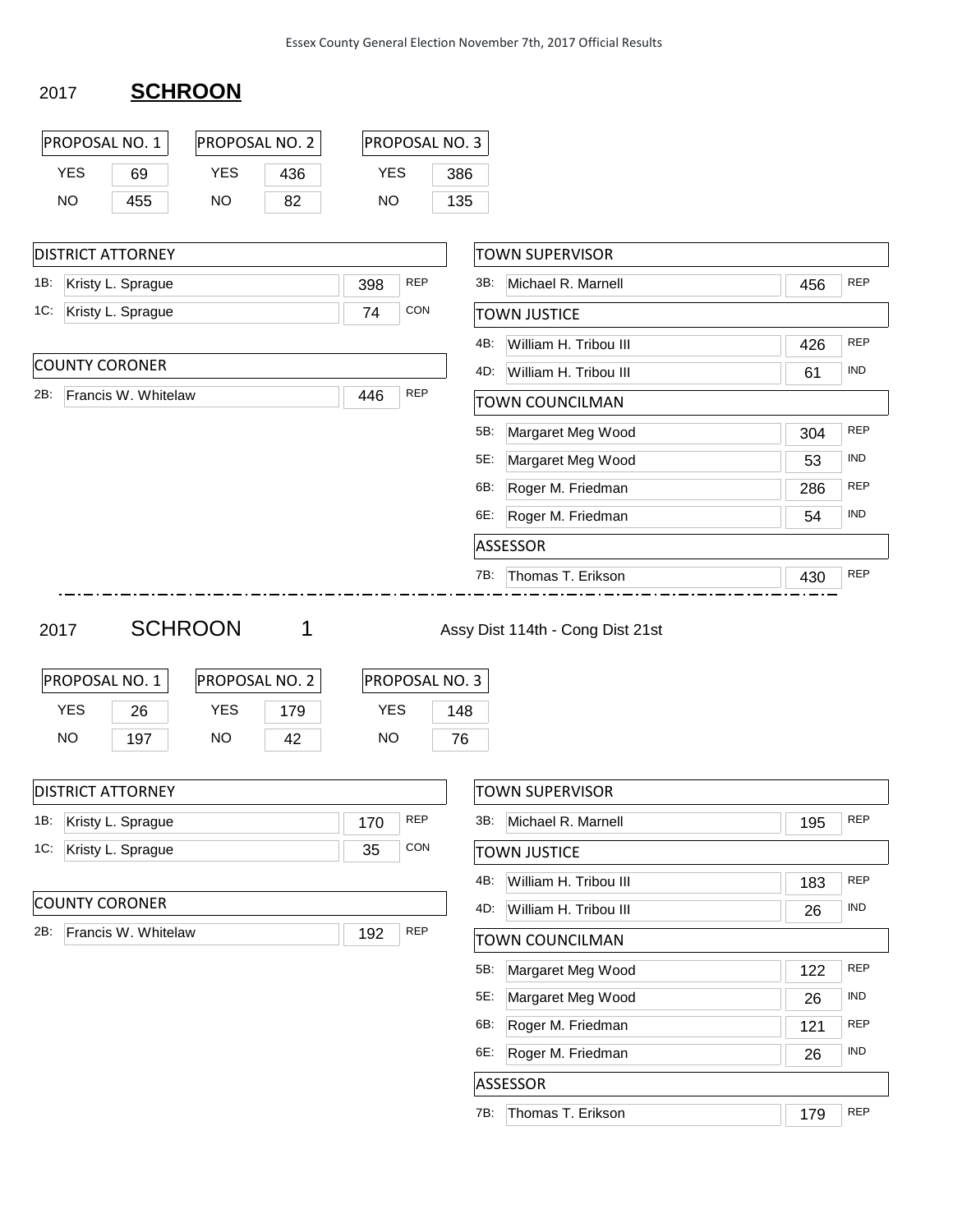#### 2017 **SCHROON**

|            | PROPOSAL NO. 1           | PROPOSAL NO. 2                   |     |            | PROPOSAL NO. 3 |     |     |                                  |     |            |
|------------|--------------------------|----------------------------------|-----|------------|----------------|-----|-----|----------------------------------|-----|------------|
| <b>YES</b> | 69                       | <b>YES</b>                       | 436 | <b>YES</b> |                | 386 |     |                                  |     |            |
| <b>NO</b>  | 455                      | <b>NO</b>                        | 82  | <b>NO</b>  |                | 135 |     |                                  |     |            |
|            | <b>DISTRICT ATTORNEY</b> |                                  |     |            |                |     |     | <b>TOWN SUPERVISOR</b>           |     |            |
| 1B:        | Kristy L. Sprague        |                                  |     | 398        | <b>REP</b>     |     | 3B: | Michael R. Marnell               | 456 | <b>REP</b> |
| 1C:        | Kristy L. Sprague        |                                  |     | 74         | CON            |     |     | <b>TOWN JUSTICE</b>              |     |            |
|            |                          |                                  |     |            |                |     | 4B: | William H. Tribou III            | 426 | <b>REP</b> |
|            | <b>COUNTY CORONER</b>    |                                  |     |            |                |     | 4D: | William H. Tribou III            | 61  | <b>IND</b> |
| 2B:        | Francis W. Whitelaw      |                                  |     | 446        | <b>REP</b>     |     |     | <b>TOWN COUNCILMAN</b>           |     |            |
|            |                          |                                  |     |            |                |     | 5B: | Margaret Meg Wood                | 304 | <b>REP</b> |
|            |                          |                                  |     |            |                |     | 5E: | Margaret Meg Wood                | 53  | <b>IND</b> |
|            |                          |                                  |     |            |                |     | 6B: | Roger M. Friedman                | 286 | <b>REP</b> |
|            |                          |                                  |     |            |                |     | 6E: | Roger M. Friedman                | 54  | IND        |
|            |                          |                                  |     |            |                |     |     | ASSESSOR                         |     |            |
|            |                          |                                  |     |            |                |     | 7B: | Thomas T. Erikson                | 430 | <b>REP</b> |
| 2017       | PROPOSAL NO. 1           | <b>SCHROON</b><br>PROPOSAL NO. 2 | 1   |            | PROPOSAL NO. 3 |     |     | Assy Dist 114th - Cong Dist 21st |     |            |
| <b>YES</b> | 26                       | <b>YES</b>                       | 179 | <b>YES</b> |                | 148 |     |                                  |     |            |
| <b>NO</b>  | 197                      | <b>NO</b>                        | 42  | <b>NO</b>  |                | 76  |     |                                  |     |            |
|            | <b>DISTRICT ATTORNEY</b> |                                  |     |            |                |     |     | <b>TOWN SUPERVISOR</b>           |     |            |
|            | 1B: Kristy L. Sprague    |                                  |     | 170        | <b>REP</b>     |     |     | 3B: Michael R. Marnell           | 195 | <b>REP</b> |
|            | 1C: Kristy L. Sprague    |                                  |     | 35         | CON            |     |     | <b>TOWN JUSTICE</b>              |     |            |
|            |                          |                                  |     |            |                |     | 4B: | William H. Tribou III            | 183 | <b>REP</b> |
|            | <b>COUNTY CORONER</b>    |                                  |     |            |                |     | 4D. | William H. Tribou III            | 26  | IND        |
| 2B:        | Francis W. Whitelaw      |                                  |     | 192        | <b>REP</b>     |     |     | <b>TOWN COUNCILMAN</b>           |     |            |
|            |                          |                                  |     |            |                |     | 5B: | Margaret Meg Wood                | 122 | <b>REP</b> |
|            |                          |                                  |     |            |                |     | 5E: | Margaret Meg Wood                | 26  | <b>IND</b> |

6B: Roger M. Friedman 121 REP 6E: Roger M. Friedman 26 IND ASSESSOR

7B: Thomas T. Erikson 179 REP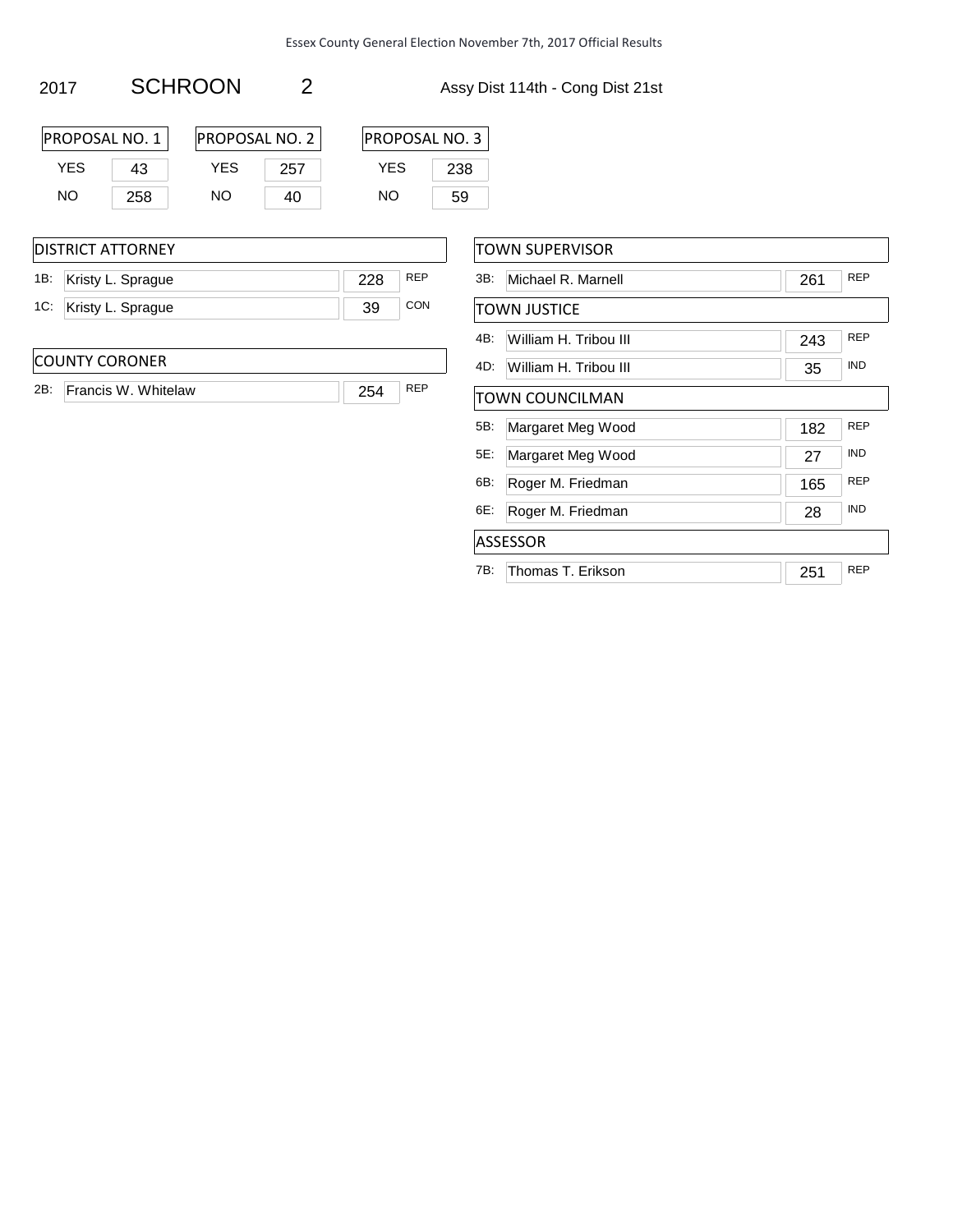2017 SCHROON 2 Assy Dist 114th - Cong Dist 21st

| PROPOSAL NO. 1 |     | PROPOSAL NO. 2 |     |
|----------------|-----|----------------|-----|
| YFS<br>43      |     | YFS            | 257 |
| NΩ             | 258 | NΩ             | 40  |

| ן דווטרטאונט |
|--------------|
| 238          |
| 59           |
|              |

| <b>IDISTRICT ATTORNEY</b> |     |            |  |  |  |
|---------------------------|-----|------------|--|--|--|
| 1B: Kristy L. Sprague     | 228 | <b>REP</b> |  |  |  |
| 1C: Kristy L. Sprague     | 39  | CON        |  |  |  |

#### COUNTY CORONER

| Francis W. Whitelaw |  |
|---------------------|--|
|                     |  |

| PROPOSAL NO. 3 |     |  |  |  |
|----------------|-----|--|--|--|
| YFS            | 238 |  |  |  |
| NΩ             | 59  |  |  |  |

| TOWN SUPERVISOR |                       |     |            |  |  |  |
|-----------------|-----------------------|-----|------------|--|--|--|
| 3B:             | Michael R. Marnell    | 261 | <b>REP</b> |  |  |  |
|                 | <b>TOWN JUSTICE</b>   |     |            |  |  |  |
| 4B:             | William H. Tribou III | 243 | <b>REP</b> |  |  |  |
| 4D:             | William H. Tribou III | 35  | <b>IND</b> |  |  |  |
|                 | TOWN COUNCILMAN       |     |            |  |  |  |
| 5B:             | Margaret Meg Wood     | 182 | <b>REP</b> |  |  |  |
| 5E:             | Margaret Meg Wood     | 27  | <b>IND</b> |  |  |  |
| 6B:             | Roger M. Friedman     | 165 | <b>REP</b> |  |  |  |
| 6E:             | Roger M. Friedman     | 28  | <b>IND</b> |  |  |  |
| <b>ASSESSOR</b> |                       |     |            |  |  |  |
| 7B:             | Thomas T. Erikson     | 251 | <b>REP</b> |  |  |  |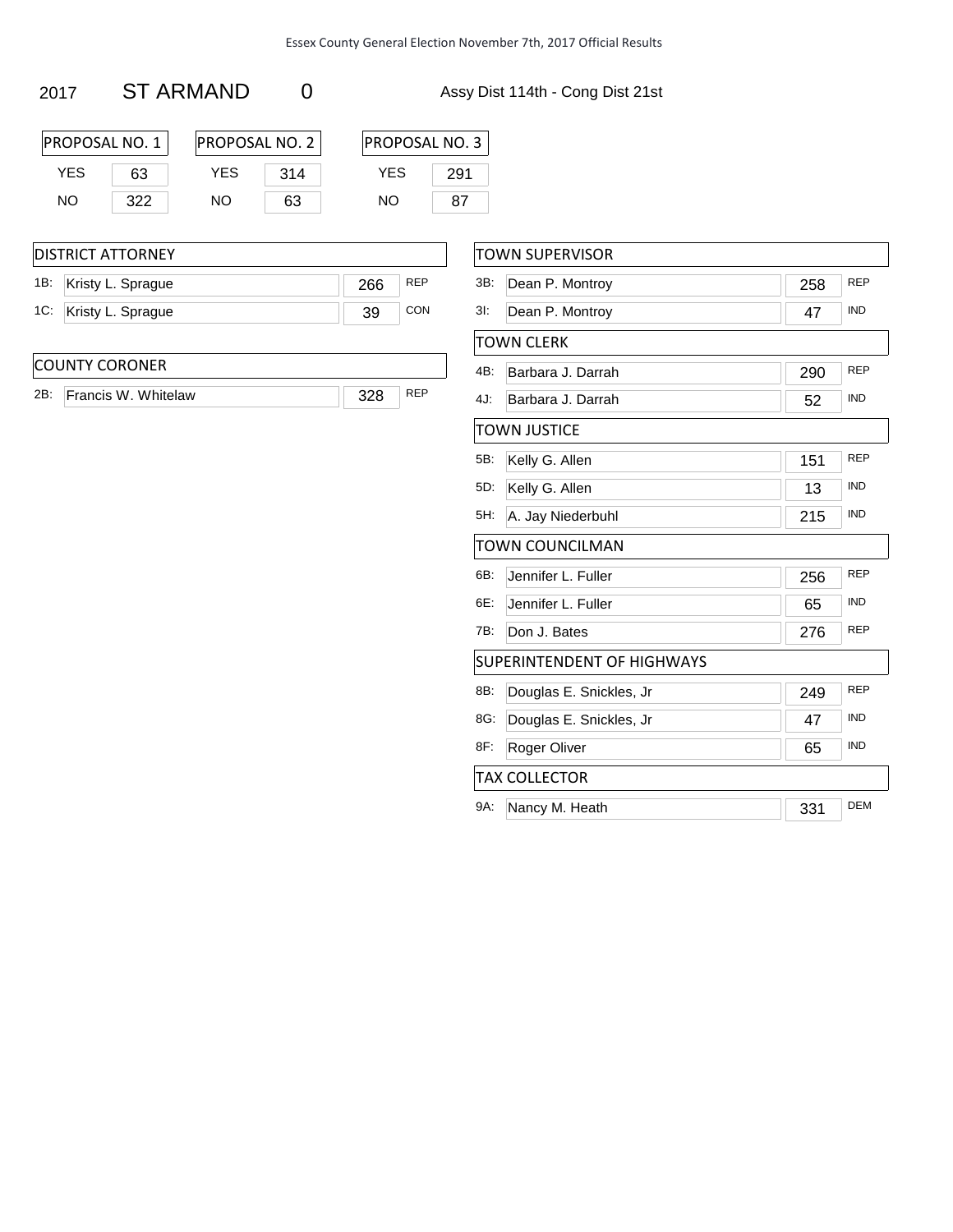#### 2017 ST ARMAND 0 Assy Dist 114th - Cong Dist 21st

| PROPOSAL NO. 1 |     |  | <b>PROPOSAL NO. 2</b> |     |
|----------------|-----|--|-----------------------|-----|
| YFS            | 63  |  | YFS                   | 314 |
| NΩ             | 322 |  | NΩ                    | 63  |

| PROPOSAL NO. |     |
|--------------|-----|
| YFS          | 291 |
| NΟ           | 87  |

#### DISTRICT ATTORNEY

| 1B: Kristy L. Sprague | 266 | <b>REP</b> |
|-----------------------|-----|------------|
| 1C: Kristy L. Sprague | 39  |            |

#### COUNTY CORONER

2B: Francis W. Whitelaw 328 REP

PROPOSAL NO. 3 YES 291

|     | TOWN SUPERVISOR            |     |            |
|-----|----------------------------|-----|------------|
| 3B: | Dean P. Montroy            | 258 | <b>REP</b> |
| 3l: | Dean P. Montroy            | 47  | <b>IND</b> |
|     | <b>TOWN CLERK</b>          |     |            |
| 4B: | Barbara J. Darrah          | 290 | <b>REP</b> |
| 4J: | Barbara J. Darrah          | 52  | <b>IND</b> |
|     | <b>TOWN JUSTICE</b>        |     |            |
| 5B: | Kelly G. Allen             | 151 | <b>REP</b> |
| 5D: | Kelly G. Allen             | 13  | <b>IND</b> |
| 5H: | A. Jay Niederbuhl          | 215 | <b>IND</b> |
|     | TOWN COUNCILMAN            |     |            |
| 6B: | Jennifer L. Fuller         | 256 | <b>REP</b> |
| 6E: | Jennifer L. Fuller         | 65  | <b>IND</b> |
| 7B: | Don J. Bates               | 276 | <b>REP</b> |
|     | SUPERINTENDENT OF HIGHWAYS |     |            |
| 8B: | Douglas E. Snickles, Jr    | 249 | <b>REP</b> |
| 8G: | Douglas E. Snickles, Jr    | 47  | <b>IND</b> |
| 8F: | Roger Oliver               | 65  | <b>IND</b> |
|     | <b>TAX COLLECTOR</b>       |     |            |
| 9A: | Nancy M. Heath             | 331 | DEM        |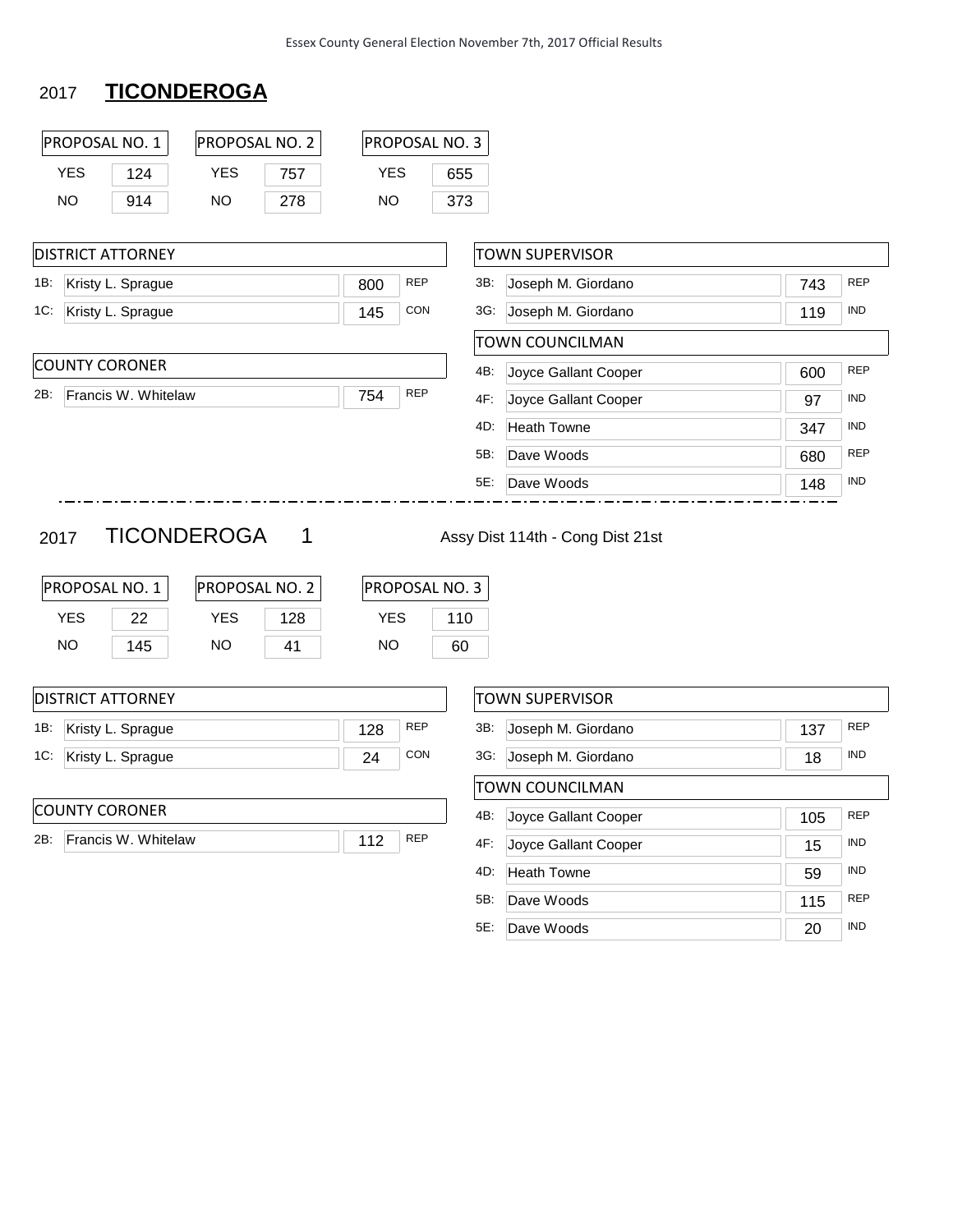## 2017 **TICONDEROGA**

|                       | PROPOSAL NO. 1           | PROPOSAL NO. 2                       |     |            |            | PROPOSAL NO. 3 |                      |                                                |            |            |
|-----------------------|--------------------------|--------------------------------------|-----|------------|------------|----------------|----------------------|------------------------------------------------|------------|------------|
| <b>YES</b>            | 124                      | <b>YES</b>                           | 757 | <b>YES</b> |            | 655            |                      |                                                |            |            |
| <b>NO</b>             | 914                      | <b>NO</b>                            | 278 | <b>NO</b>  |            | 373            |                      |                                                |            |            |
|                       |                          |                                      |     |            |            |                |                      |                                                |            |            |
|                       | <b>DISTRICT ATTORNEY</b> |                                      |     |            |            |                |                      | <b>TOWN SUPERVISOR</b>                         |            |            |
| 1B:                   | Kristy L. Sprague        |                                      |     | 800        | <b>REP</b> |                |                      | 3B: Joseph M. Giordano                         | 743        | <b>REP</b> |
| 1C:                   | Kristy L. Sprague        |                                      |     | 145        | <b>CON</b> |                |                      | 3G: Joseph M. Giordano                         | 119        | <b>IND</b> |
|                       |                          |                                      |     |            |            |                |                      | <b>TOWN COUNCILMAN</b>                         |            |            |
| <b>COUNTY CORONER</b> |                          |                                      |     |            |            | 4B:            | Joyce Gallant Cooper | 600                                            | <b>REP</b> |            |
| 2B:                   | Francis W. Whitelaw      |                                      |     | 754        | <b>REP</b> |                | 4F:                  | Joyce Gallant Cooper                           | 97         | <b>IND</b> |
|                       |                          |                                      |     |            |            |                | 4D:                  | <b>Heath Towne</b>                             | 347        | <b>IND</b> |
|                       |                          |                                      |     |            |            |                | 5B.                  | Dave Woods                                     | 680        | <b>REP</b> |
|                       |                          |                                      |     |            |            |                |                      |                                                |            | <b>IND</b> |
| 2017                  | PROPOSAL NO. 1           | <b>TICONDEROGA</b><br>PROPOSAL NO. 2 | 1   |            |            | PROPOSAL NO. 3 | 5E:                  | Dave Woods<br>Assy Dist 114th - Cong Dist 21st | 148        |            |
| <b>YES</b>            | 22                       | <b>YES</b>                           | 128 | <b>YES</b> |            | 110            |                      |                                                |            |            |
| <b>NO</b>             | 145                      | <b>NO</b>                            | 41  | <b>NO</b>  |            | 60             |                      |                                                |            |            |
|                       | <b>DISTRICT ATTORNEY</b> |                                      |     |            |            |                |                      | <b>TOWN SUPERVISOR</b>                         |            |            |
| 1B:                   | Kristy L. Sprague        |                                      |     | 128        | <b>REP</b> |                |                      | 3B: Joseph M. Giordano                         | 137        | <b>REP</b> |
| 1C:                   | Kristy L. Sprague        |                                      |     | 24         | CON        |                | 3G:                  | Joseph M. Giordano                             | 18         | <b>IND</b> |
|                       |                          |                                      |     |            |            |                |                      | <b>TOWN COUNCILMAN</b>                         |            |            |
|                       | <b>COUNTY CORONER</b>    |                                      |     |            |            |                |                      | 4B: Joyce Gallant Cooper                       | 105        | <b>REP</b> |
| 2B:                   | Francis W. Whitelaw      |                                      |     | 112        | <b>REP</b> |                | 4F:                  | Joyce Gallant Cooper                           | 15         | <b>IND</b> |
|                       |                          |                                      |     |            |            |                | 4D:                  | <b>Heath Towne</b>                             | 59         | <b>IND</b> |
|                       |                          |                                      |     |            |            |                | 5B.                  | Dave Woods                                     | 115        | <b>REP</b> |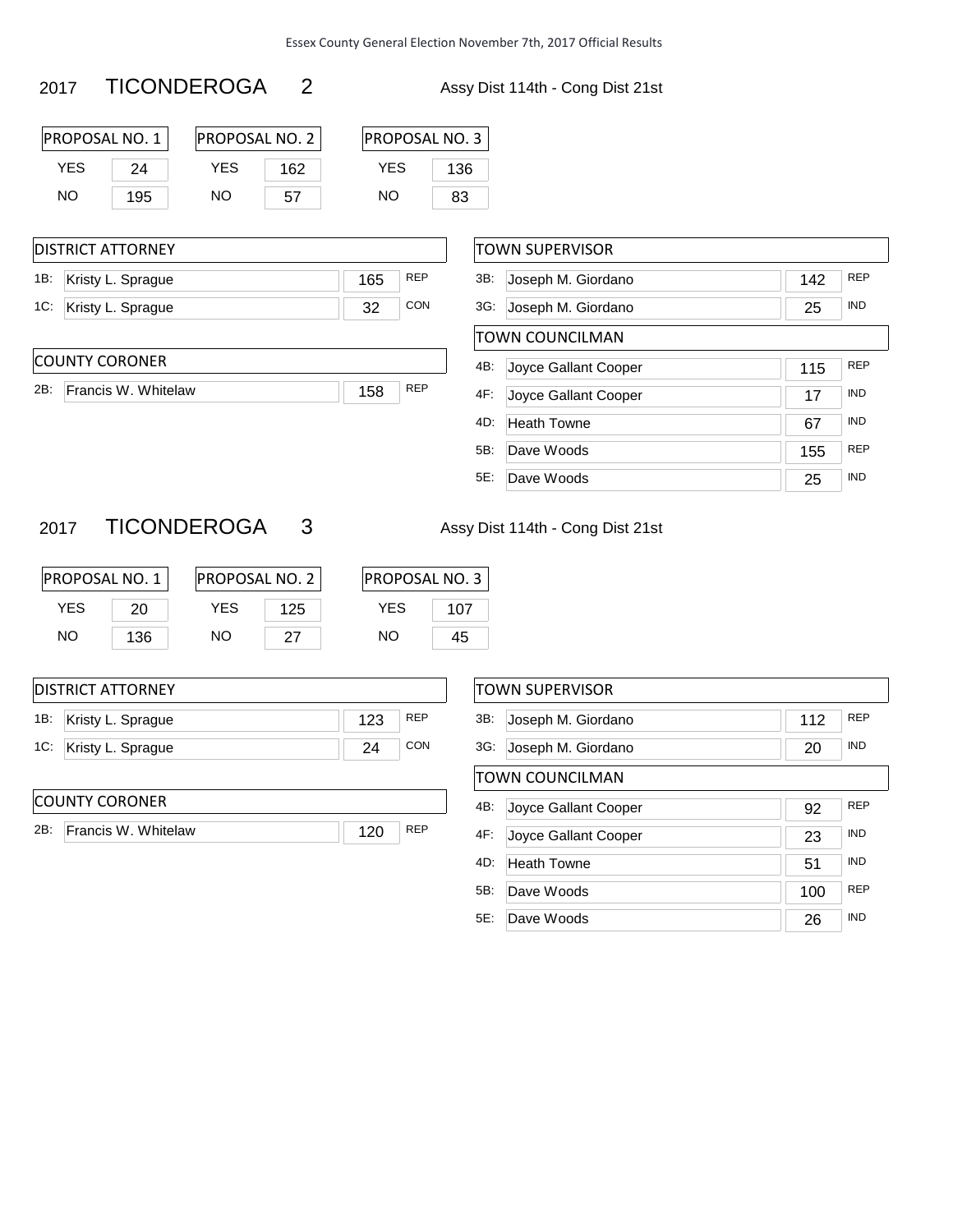#### 2017 TICONDEROGA 2 Assy Dist 114th - Cong Dist 21st

DISTRICT ATTORNEY 1B: Kristy L. Sprague 1C: Kristy L. Sprague

COUNTY CORONER

2B: Francis W. Whitelaw

| <b>PROPOSAL NO. 1</b> |     | <b>PROPOSAL NO. 2</b> |     |  |
|-----------------------|-----|-----------------------|-----|--|
| YFS                   | 24  | YFS                   | 162 |  |
| NΟ                    | 195 | NΟ                    | 57  |  |

| PROPOSAL NO. 3 |     |  |  |
|----------------|-----|--|--|
| YFS            | 136 |  |  |
| NΟ             | 83  |  |  |

|     |            | <b>TOWN SUPERVISOR</b>       |                   |
|-----|------------|------------------------------|-------------------|
| 165 | <b>REP</b> | 3B:<br>Joseph M. Giordano    | <b>REP</b><br>142 |
| 32  | <b>CON</b> | Joseph M. Giordano<br>$3G$ : | <b>IND</b><br>25  |
|     |            | <b>TOWN COUNCILMAN</b>       |                   |
|     |            | 4B:<br>Joyce Gallant Cooper  | <b>REP</b><br>115 |
| 158 | <b>REP</b> | 4F:<br>Joyce Gallant Cooper  | <b>IND</b><br>17  |
|     |            | 4D:<br><b>Heath Towne</b>    | <b>IND</b><br>67  |
|     |            | 5B:<br>Dave Woods            | <b>REP</b><br>155 |
|     |            | 5E:<br>Dave Woods            | <b>IND</b><br>25  |

#### 2017 TICONDEROGA 3 Assy Dist 114th - Cong Dist 21st

| <b>PROPOSAL NO. 1</b> |     | <b>PROPOSAL NO. 2</b> |     | <b>PROPOSAL NO. 3</b> |     |
|-----------------------|-----|-----------------------|-----|-----------------------|-----|
| YFS                   | 20  | YFS                   | 125 | YFS                   | 107 |
| NO.                   | 136 | NΟ                    | 27  | NO.                   | 45  |

| <b>DISTRICT ATTORNEY</b>   |     |            | <b>TOWN SUPERVISOR</b>       |     |            |
|----------------------------|-----|------------|------------------------------|-----|------------|
| 1B:<br>Kristy L. Sprague   | 123 | <b>REP</b> | $3B$ :<br>Joseph M. Giordano | 112 | <b>REP</b> |
| 1C:<br>Kristy L. Sprague   | 24  | <b>CON</b> | 3G:<br>Joseph M. Giordano    | 20  | <b>IND</b> |
|                            |     |            | TOWN COUNCILMAN              |     |            |
| <b>COUNTY CORONER</b>      |     |            | 4B:<br>Joyce Gallant Cooper  | 92  | <b>REP</b> |
| 2B:<br>Francis W. Whitelaw | 120 | <b>REP</b> | 4F:<br>Joyce Gallant Cooper  | 23  | <b>IND</b> |
|                            |     |            | <b>Heath Towne</b><br>4D:    | 51  | <b>IND</b> |
|                            |     |            | 5B:<br>Dave Woods            | 100 | <b>REP</b> |

| TOWN SUPERVISOR |                      |     |            |  |  |  |  |  |
|-----------------|----------------------|-----|------------|--|--|--|--|--|
| 3B:             | Joseph M. Giordano   | 112 | <b>REP</b> |  |  |  |  |  |
| 3G:             | Joseph M. Giordano   | 20  | <b>IND</b> |  |  |  |  |  |
|                 | TOWN COUNCILMAN      |     |            |  |  |  |  |  |
| 4B:             | Joyce Gallant Cooper | 92  | <b>REP</b> |  |  |  |  |  |
| 4F:             | Joyce Gallant Cooper | 23  | <b>IND</b> |  |  |  |  |  |
| 4D.             | <b>Heath Towne</b>   | 51  | <b>IND</b> |  |  |  |  |  |
| 5B:             | Dave Woods           | 100 | <b>RFP</b> |  |  |  |  |  |
| 5E:             | Dave Woods           | 26  | <b>IND</b> |  |  |  |  |  |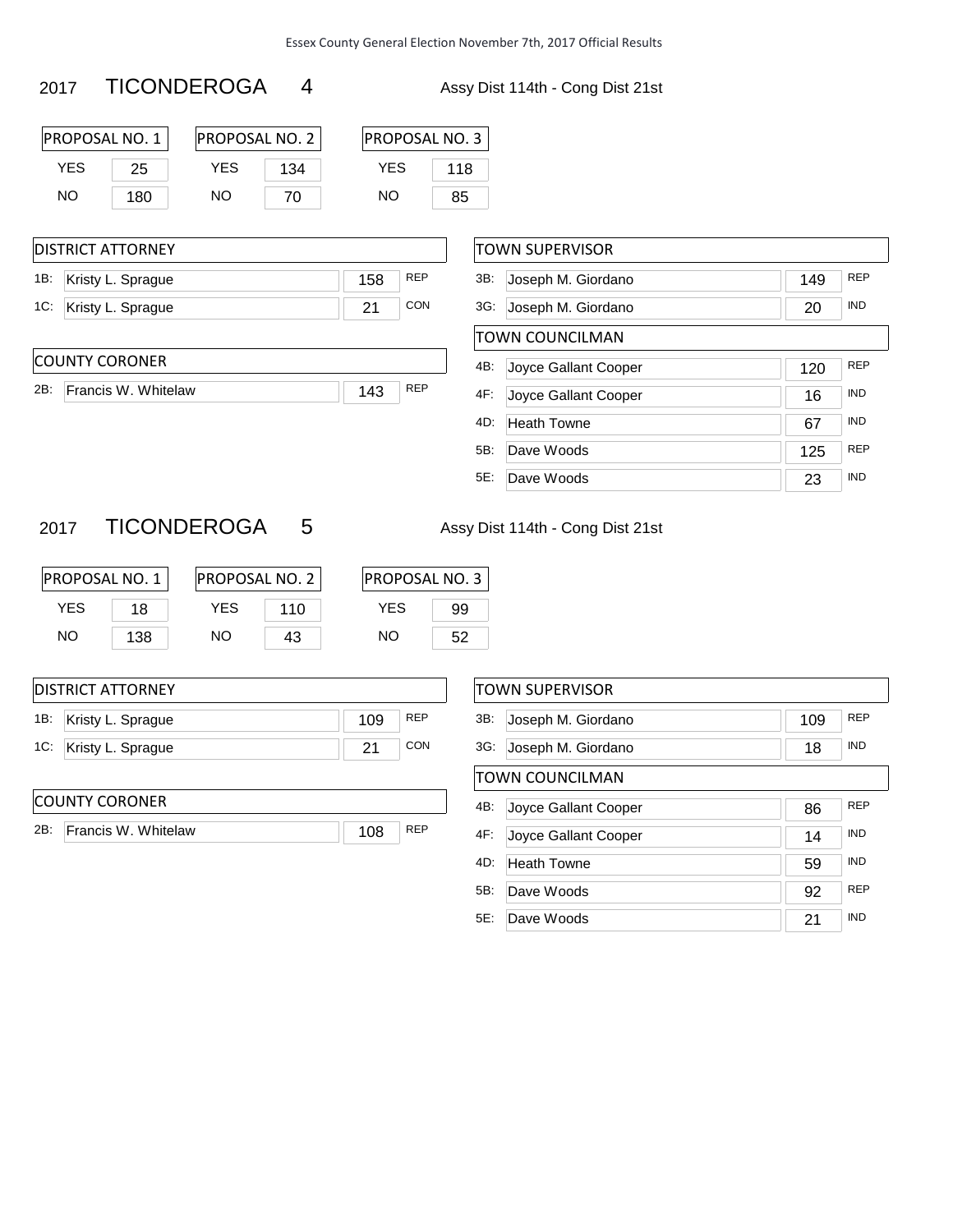#### 2017 TICONDEROGA 4 Assy Dist 114th - Cong Dist 21st

DISTRICT ATTORNEY 1B: Kristy L. Sprague 1C: Kristy L. Sprague

COUNTY CORONER

2B: Francis W. Whitelaw

| IPROPOSAL NO. 1 |     | PROPOSAL NO. 2 |     |  |
|-----------------|-----|----------------|-----|--|
| YFS             | 25  | YFS            | 134 |  |
| NO.             | 180 | NΩ             | 70  |  |

| PROPOSAL NO. 3 |     |  |  |
|----------------|-----|--|--|
| YFS            | 118 |  |  |
| NΟ             | 85  |  |  |

|     |            | <b>TOWN SUPERVISOR</b>      |                   |
|-----|------------|-----------------------------|-------------------|
| 158 | <b>REP</b> | 3B:<br>Joseph M. Giordano   | <b>REP</b><br>149 |
| 21  | <b>CON</b> | Joseph M. Giordano<br>3G.   | <b>IND</b><br>20  |
|     |            | TOWN COUNCILMAN             |                   |
|     |            | 4B:<br>Joyce Gallant Cooper | <b>REP</b><br>120 |
| 143 | <b>REP</b> | 4F:<br>Joyce Gallant Cooper | <b>IND</b><br>16  |
|     |            | 4D:<br><b>Heath Towne</b>   | <b>IND</b><br>67  |
|     |            | 5B:<br>Dave Woods           | <b>REP</b><br>125 |
|     |            | 5E: Dave Woods              | <b>IND</b><br>23  |

5B: Dave Woods 92 REP 5E: Dave Woods 21 IND

#### 2017 TICONDEROGA 5 Assy Dist 114th - Cong Dist 21st

| <b>PROPOSAL NO. 1</b> |     | <b>PROPOSAL NO. 2</b> |     | <b>PROPOSAL NO. 3</b> |    |  |
|-----------------------|-----|-----------------------|-----|-----------------------|----|--|
| YFS                   | 18  | YFS                   | 110 | YFS                   | 99 |  |
| NΟ                    | 138 | NO.                   | 43  | NO.                   | 52 |  |

| <b>DISTRICT ATTORNEY</b>   |     |            | <b>TOWN SUPERVISOR</b>      |     |            |  |
|----------------------------|-----|------------|-----------------------------|-----|------------|--|
| Kristy L. Sprague<br>1B:   | 109 | <b>REP</b> | 3B:<br>Joseph M. Giordano   | 109 | <b>REF</b> |  |
| Kristy L. Sprague<br>1C:   | 21  | <b>CON</b> | 3G:<br>Joseph M. Giordano   | 18  | <b>IND</b> |  |
|                            |     |            | <b>TOWN COUNCILMAN</b>      |     |            |  |
| <b>COUNTY CORONER</b>      |     |            | Joyce Gallant Cooper<br>4B: | 86  | <b>REF</b> |  |
| 2B:<br>Francis W. Whitelaw | 108 | <b>REP</b> | 4F:<br>Joyce Gallant Cooper | 14  | <b>IND</b> |  |
|                            |     |            | <b>Heath Towne</b><br>4D:   | 59  | <b>IND</b> |  |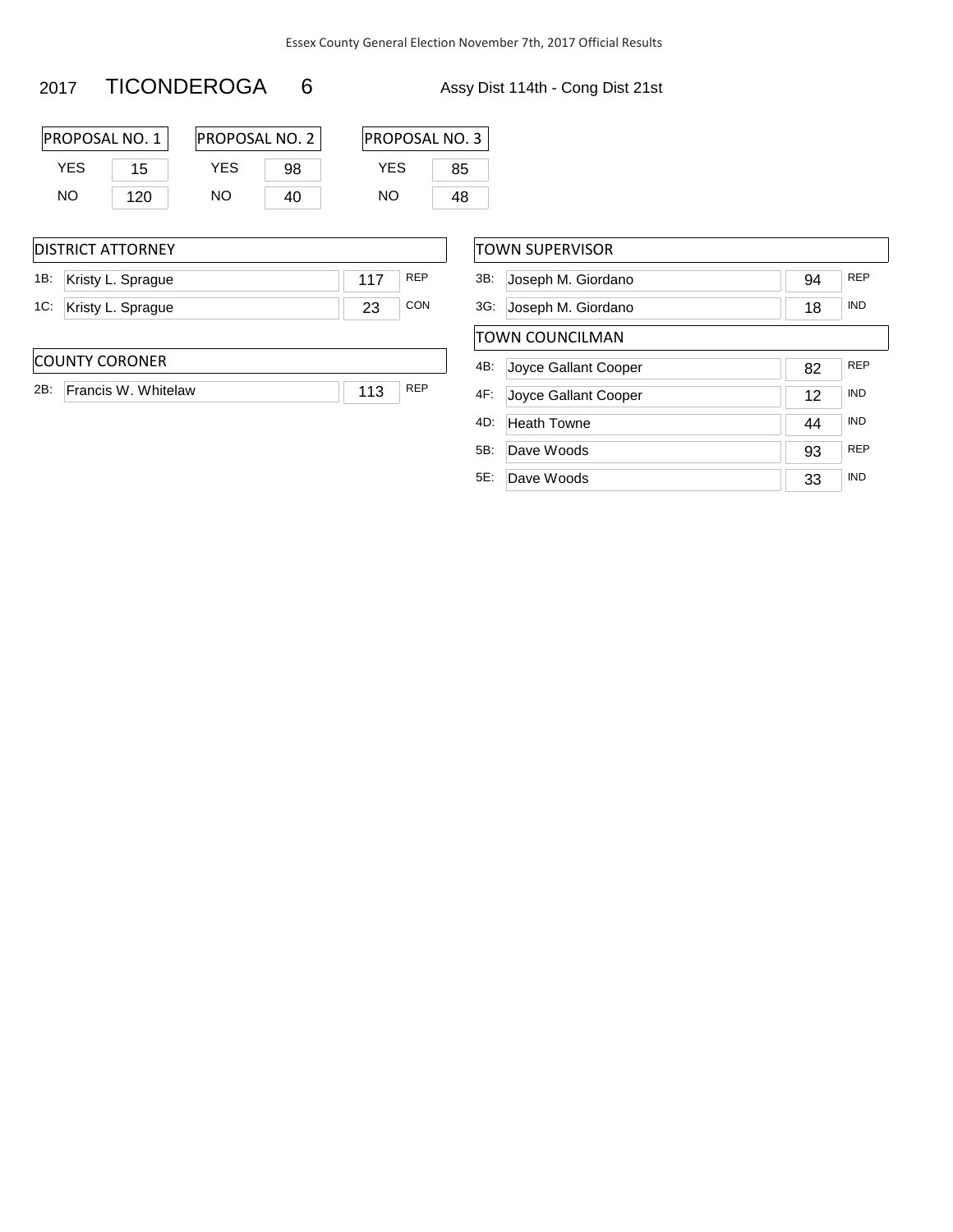#### 2017 TICONDEROGA 6 Assy Dist 114th - Cong Dist 21st

| PROPOSAL NO. 1 |     |     | <b>PROPOSAL NO. 2</b> |  |
|----------------|-----|-----|-----------------------|--|
| YFS            | 15  | YFS | 98                    |  |
| NΟ             | 120 | NΟ  | 4በ                    |  |

| PROPOSAL NO. 3 |    |  |  |  |
|----------------|----|--|--|--|
| YFS            | 85 |  |  |  |
| NΟ             | 48 |  |  |  |

| <b>IDISTRICT ATTORNEY</b> |     |     |  |  |  |
|---------------------------|-----|-----|--|--|--|
| 1B: Kristy L. Sprague     | 117 | REP |  |  |  |
| 1C: Kristy L. Sprague     | 23  | CON |  |  |  |

#### COUNTY CORONER

2B: Francis W. Whitelaw 113 REP

| TOWN SUPERVISOR |                      |    |            |  |  |  |  |  |
|-----------------|----------------------|----|------------|--|--|--|--|--|
| 3B:             | Joseph M. Giordano   | 94 | <b>REP</b> |  |  |  |  |  |
| 3G.             | Joseph M. Giordano   | 18 | <b>IND</b> |  |  |  |  |  |
|                 | TOWN COUNCILMAN      |    |            |  |  |  |  |  |
| 4B:             | Joyce Gallant Cooper | 82 | <b>REP</b> |  |  |  |  |  |
| 4F:             | Joyce Gallant Cooper | 12 | <b>IND</b> |  |  |  |  |  |
| 4D:             | <b>Heath Towne</b>   | 44 | <b>IND</b> |  |  |  |  |  |
| 5B:             | Dave Woods           | 93 | <b>REP</b> |  |  |  |  |  |
| 5E:             | Dave Woods           | 33 | <b>IND</b> |  |  |  |  |  |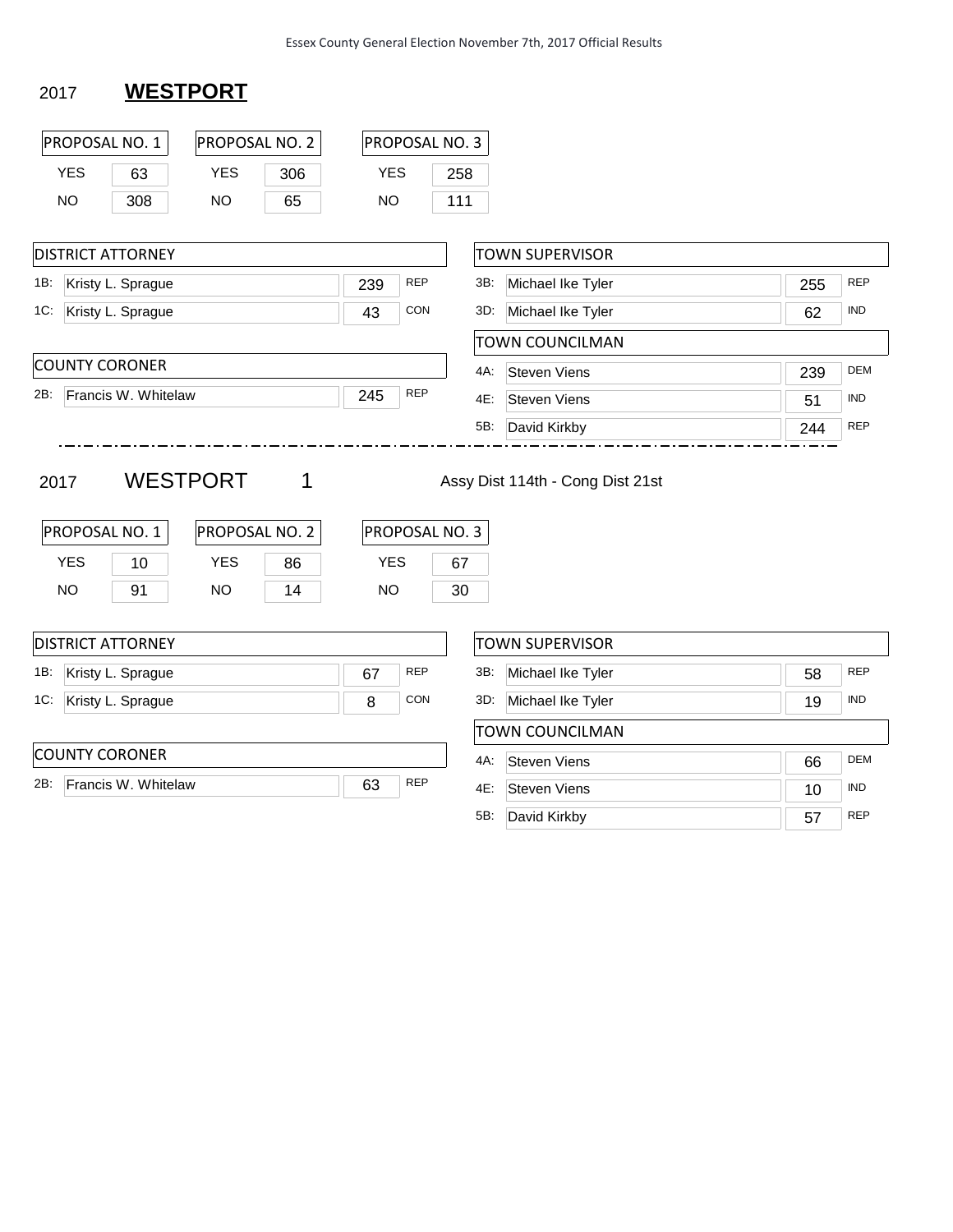#### 2017 **WESTPORT**

| PROPOSAL NO. 1               |                          | PROPOSAL NO. 2               |     |            |            | PROPOSAL NO. 3       |     |                        |     |            |
|------------------------------|--------------------------|------------------------------|-----|------------|------------|----------------------|-----|------------------------|-----|------------|
| <b>YES</b>                   | 63                       | <b>YES</b>                   | 306 | <b>YES</b> |            | 258                  |     |                        |     |            |
| <b>NO</b>                    | 308                      | <b>NO</b>                    | 65  | <b>NO</b>  |            | 111                  |     |                        |     |            |
|                              |                          |                              |     |            |            |                      |     |                        |     |            |
|                              | <b>DISTRICT ATTORNEY</b> |                              |     |            |            |                      |     | <b>TOWN SUPERVISOR</b> |     |            |
| 1B:                          | Kristy L. Sprague        |                              |     | 239        | <b>REP</b> | 3B:                  |     | Michael Ike Tyler      | 255 | <b>REP</b> |
| 1C:                          | Kristy L. Sprague        |                              |     | 43         | <b>CON</b> |                      | 3D: | Michael Ike Tyler      | 62  | <b>IND</b> |
|                              |                          |                              |     |            |            |                      |     | <b>TOWN COUNCILMAN</b> |     |            |
| <b>COUNTY CORONER</b>        |                          |                              |     |            |            | 4A:                  |     | <b>Steven Viens</b>    | 239 | <b>DEM</b> |
| 2B:                          | Francis W. Whitelaw      |                              |     | 245        | <b>REP</b> | 4E:                  |     | <b>Steven Viens</b>    | 51  | <b>IND</b> |
|                              |                          |                              |     |            |            | 5B:                  |     | David Kirkby           | 244 | <b>REP</b> |
| PROPOSAL NO. 1<br><b>YES</b> | 10                       | PROPOSAL NO. 2<br><b>YES</b> | 86  | <b>YES</b> |            | PROPOSAL NO. 3<br>67 |     |                        |     |            |
| <b>NO</b>                    | 91                       | <b>NO</b>                    | 14  | <b>NO</b>  |            | 30                   |     |                        |     |            |
|                              | <b>DISTRICT ATTORNEY</b> |                              |     |            |            |                      |     | <b>TOWN SUPERVISOR</b> |     |            |
| 1B:                          | Kristy L. Sprague        |                              |     | 67         | <b>REP</b> | $3B$ :               |     | Michael Ike Tyler      | 58  | <b>REP</b> |
| 1C:                          | Kristy L. Sprague        |                              |     | 8          | <b>CON</b> | $3D$ :               |     | Michael Ike Tyler      | 19  | <b>IND</b> |
|                              |                          |                              |     |            |            |                      |     | <b>TOWN COUNCILMAN</b> |     |            |
| <b>COUNTY CORONER</b>        |                          |                              |     |            |            | 4A:                  |     | <b>Steven Viens</b>    | 66  | <b>DEM</b> |
| 2B:                          | Francis W. Whitelaw      |                              |     | 63         | <b>REP</b> | 4E:                  |     | <b>Steven Viens</b>    | 10  | <b>IND</b> |
|                              |                          |                              |     |            |            | 5B:                  |     | David Kirkby           | 57  | <b>REP</b> |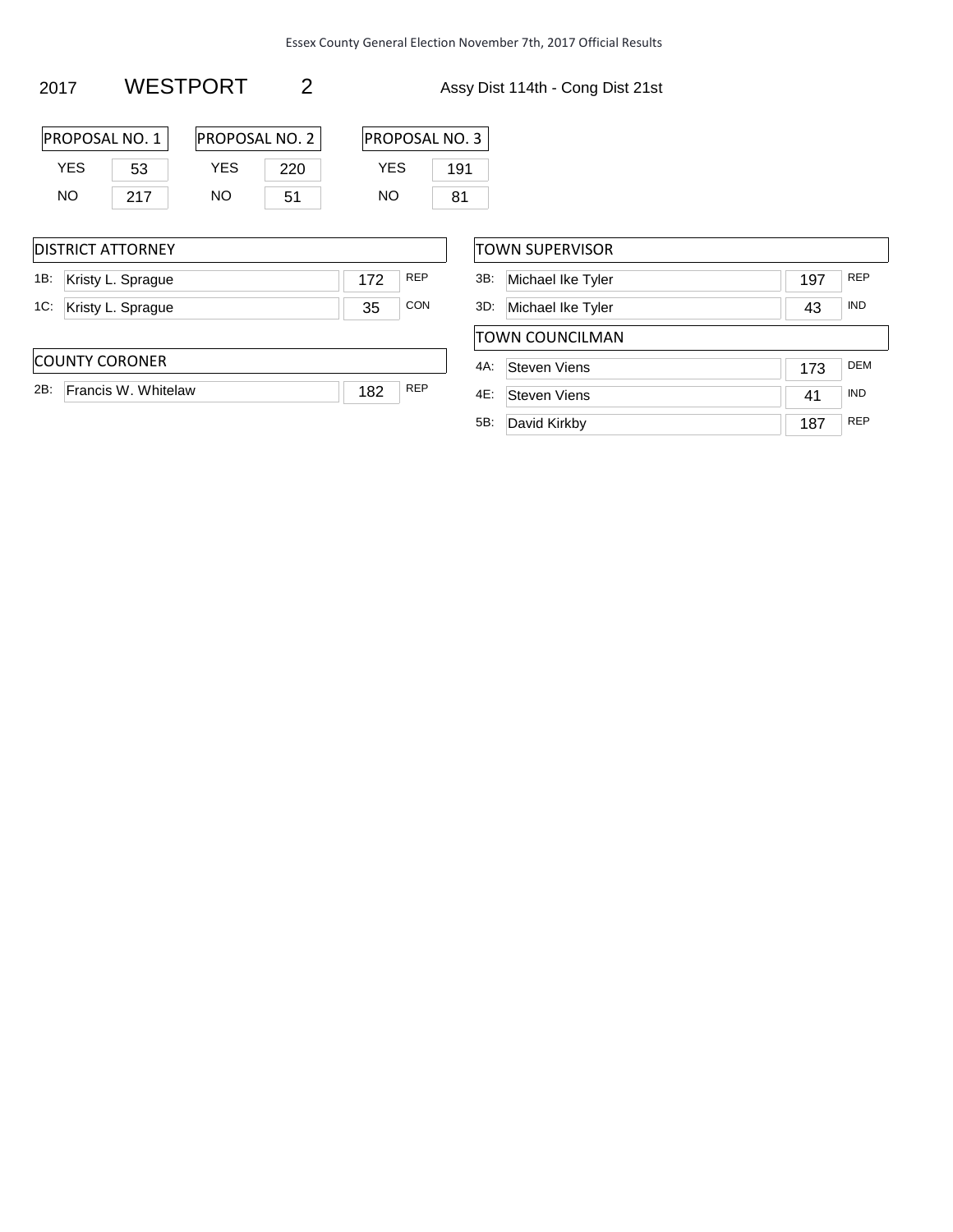2017 WESTPORT 2 Assy Dist 114th - Cong Dist 21st

| PROPOSAL NO. 1 |     |     | <b>PROPOSAL NO. 2</b> |  |  |  |
|----------------|-----|-----|-----------------------|--|--|--|
| YFS            | 53  | YFS | 220                   |  |  |  |
| NΩ             | 217 | חח  | 51                    |  |  |  |

| PROPOSAL NO. 3 |     |  |  |  |  |
|----------------|-----|--|--|--|--|
| YFS            | 191 |  |  |  |  |
| NΟ             | 81  |  |  |  |  |

#### DISTRICT ATTORNEY

| 1B: Kristy L. Sprague |  |
|-----------------------|--|
| 1C: Kristy L. Sprague |  |

### TOWN SUPERVISOR 3B: Michael Ike Tyler 197 REP 3D: Michael Ike Tyler 43 IND TOWN COUNCILMAN 4A: Steven Viens 173 DEM 4E: Steven Viens 41 IND 5B: David Kirkby 187 REP

#### COUNTY CORONER

2B: Francis W. Whitelaw 182 REP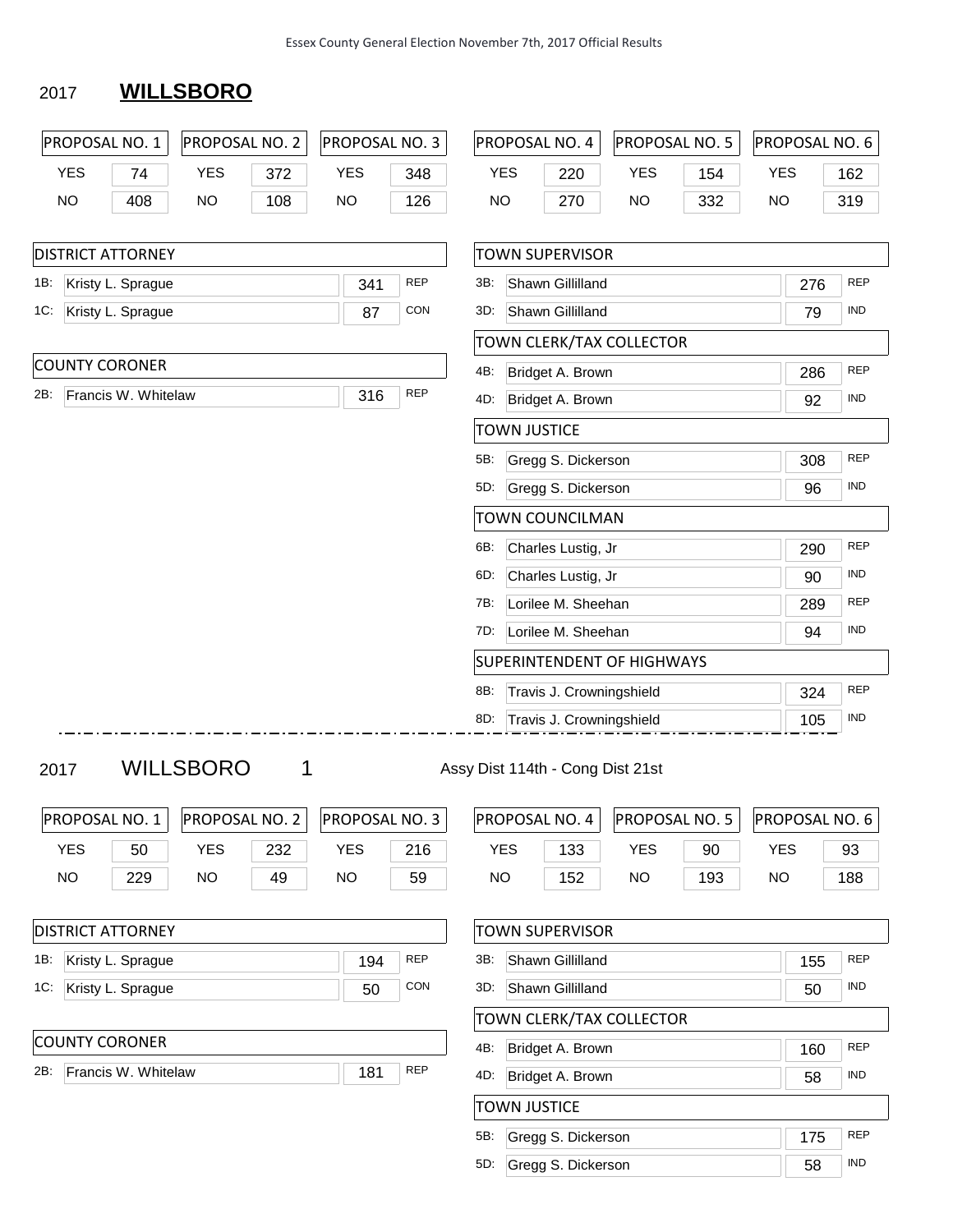## 2017 **WILLSBORO**

| PROPOSAL NO. 1           |                     | PROPOSAL NO. 2   |     | PROPOSAL NO. 3        |            | PROPOSAL NO. 4                   |                          | PROPOSAL NO. 5                    |     |            | PROPOSAL NO. 6 |            |
|--------------------------|---------------------|------------------|-----|-----------------------|------------|----------------------------------|--------------------------|-----------------------------------|-----|------------|----------------|------------|
| <b>YES</b>               | 74                  | <b>YES</b>       | 372 | <b>YES</b>            | 348        | <b>YES</b>                       | 220                      | <b>YES</b>                        | 154 | <b>YES</b> |                | 162        |
| <b>NO</b>                | 408                 | <b>NO</b>        | 108 | <b>NO</b>             | 126        | <b>NO</b>                        | 270                      | <b>NO</b>                         | 332 | <b>NO</b>  |                | 319        |
|                          |                     |                  |     |                       |            |                                  |                          |                                   |     |            |                |            |
| <b>DISTRICT ATTORNEY</b> |                     |                  |     |                       |            | <b>TOWN SUPERVISOR</b>           |                          |                                   |     |            |                |            |
| 1B:                      | Kristy L. Sprague   |                  |     | 341                   | <b>REP</b> | 3B:                              | Shawn Gillilland         |                                   |     |            | 276            | <b>REP</b> |
| 1C:                      | Kristy L. Sprague   |                  |     | 87                    | <b>CON</b> | 3D:                              | Shawn Gillilland         |                                   |     |            | 79             | <b>IND</b> |
|                          |                     |                  |     |                       |            |                                  |                          | TOWN CLERK/TAX COLLECTOR          |     |            |                |            |
| <b>COUNTY CORONER</b>    |                     |                  |     |                       |            | 4B:                              | Bridget A. Brown         |                                   |     |            | 286            | <b>REP</b> |
| 2B.                      | Francis W. Whitelaw |                  |     | 316                   | <b>REP</b> | 4D:                              | Bridget A. Brown         |                                   |     |            | 92             | <b>IND</b> |
|                          |                     |                  |     |                       |            | <b>TOWN JUSTICE</b>              |                          |                                   |     |            |                |            |
|                          |                     |                  |     |                       |            | $5B$ :                           | Gregg S. Dickerson       |                                   |     |            | 308            | <b>REP</b> |
|                          |                     |                  |     |                       |            | 5D:                              | Gregg S. Dickerson       |                                   |     |            | 96             | <b>IND</b> |
|                          |                     |                  |     |                       |            |                                  | <b>TOWN COUNCILMAN</b>   |                                   |     |            |                |            |
|                          |                     |                  |     |                       |            | 6B:                              | Charles Lustig, Jr       |                                   |     |            | 290            | <b>REP</b> |
|                          |                     |                  |     |                       |            | 6D:                              | Charles Lustig, Jr       |                                   |     |            | 90             | <b>IND</b> |
|                          |                     |                  |     |                       |            | 7B:                              | Lorilee M. Sheehan       |                                   |     |            | 289            | <b>REP</b> |
|                          |                     |                  |     |                       |            | 7D:                              | Lorilee M. Sheehan       |                                   |     |            | 94             | <b>IND</b> |
|                          |                     |                  |     |                       |            |                                  |                          | <b>SUPERINTENDENT OF HIGHWAYS</b> |     |            |                |            |
|                          |                     |                  |     |                       |            | 8B:                              | Travis J. Crowningshield |                                   |     |            | 324            | <b>REP</b> |
|                          |                     |                  |     |                       |            | 8D:                              | Travis J. Crowningshield |                                   |     |            | 105            | <b>IND</b> |
| 2017                     |                     | <b>WILLSBORO</b> | 1   |                       |            | Assy Dist 114th - Cong Dist 21st |                          |                                   |     |            |                |            |
| PROPOSAL NO. 1           |                     | PROPOSAL NO. 2   |     | <b>PROPOSAL NO. 3</b> |            | PROPOSAL NO. 4                   |                          | PROPOSAL NO. 5                    |     |            | PROPOSAL NO. 6 |            |
| <b>YES</b>               | 50                  | <b>YES</b>       | 232 | <b>YES</b>            | 216        | <b>YES</b>                       | 133                      | <b>YES</b>                        | 90  | <b>YES</b> |                | 93         |
| <b>NO</b>                | 229                 | <b>NO</b>        | 49  | <b>NO</b>             | 59         | <b>NO</b>                        | 152                      | <b>NO</b>                         | 193 | <b>NO</b>  |                | 188        |
| <b>DISTRICT ATTORNEY</b> |                     |                  |     |                       |            | <b>TOWN SUPERVISOR</b>           |                          |                                   |     |            |                |            |
| 1B:                      | Kristy L. Sprague   |                  |     | 194                   | <b>REP</b> | 3B:                              | Shawn Gillilland         |                                   |     |            | 155            | <b>REP</b> |
| 1C:                      | Kristy L. Sprague   |                  |     | 50                    | CON        | 3D:                              | Shawn Gillilland         |                                   |     |            | 50             | <b>IND</b> |
|                          |                     |                  |     |                       |            |                                  |                          | TOWN CLERK/TAX COLLECTOR          |     |            |                |            |
| <b>COUNTY CORONER</b>    |                     |                  |     |                       |            | 4B:                              | Bridget A. Brown         |                                   |     |            | 160            | <b>REP</b> |
| 2B.                      | Francis W. Whitelaw |                  |     | 181                   | <b>REP</b> | 4D:                              | Bridget A. Brown         |                                   |     |            | 58             | <b>IND</b> |
|                          |                     |                  |     |                       |            | <b>TOWN JUSTICE</b>              |                          |                                   |     |            |                |            |
|                          |                     |                  |     |                       |            | 5B:                              | Gregg S. Dickerson       |                                   |     |            | 175            | <b>REP</b> |
|                          |                     |                  |     |                       |            | 5D:                              | Gregg S. Dickerson       |                                   |     |            | 58             | <b>IND</b> |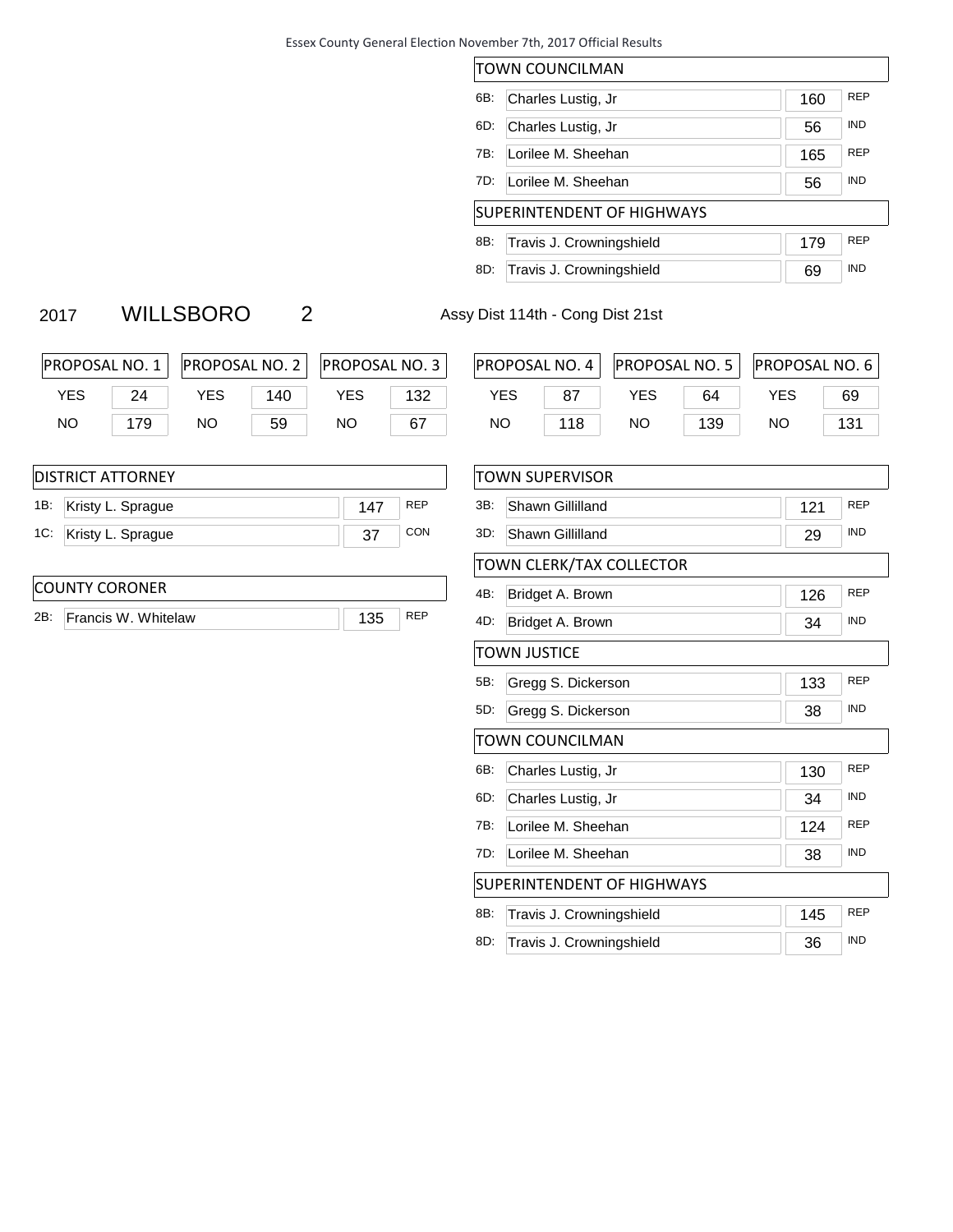|     | TOWN COUNCILMAN            |     |            |  |  |  |  |  |
|-----|----------------------------|-----|------------|--|--|--|--|--|
| 6B: | Charles Lustig, Jr         | 160 | <b>RFP</b> |  |  |  |  |  |
| 6D. | Charles Lustig, Jr         | 56  | <b>IND</b> |  |  |  |  |  |
| 7B: | Lorilee M. Sheehan         | 165 | <b>REP</b> |  |  |  |  |  |
| 7D: | Lorilee M. Sheehan         | 56  | <b>IND</b> |  |  |  |  |  |
|     | SUPERINTENDENT OF HIGHWAYS |     |            |  |  |  |  |  |
| 8B: | Travis J. Crowningshield   | 179 | <b>RFP</b> |  |  |  |  |  |
| 8D: | Travis J. Crowningshield   | 69  | <b>IND</b> |  |  |  |  |  |

#### 2017 WILLSBORO 2 Assy Dist 114th - Cong Dist 21st

| <b>PROPOSAL NO. 1</b> |     | PROPOSALNO. 2 |     | <b>PROPOSAL NO. 3</b> |     |  |
|-----------------------|-----|---------------|-----|-----------------------|-----|--|
| YFS.                  | 24  | YFS.          | 140 | YFS                   | 132 |  |
| NO.                   | 179 | NΟ            | 59  | NO.                   | 67  |  |

| PROPOSAL NO. 4 |     |     |     | <b>PROPOSAL NO. 5   PROPOSAL NO. 6</b> |     |  |
|----------------|-----|-----|-----|----------------------------------------|-----|--|
| YFS            | 87  | YFS | 64  | YFS                                    | 69  |  |
| NΟ             | 118 | NΟ  | 139 | NO.                                    | 131 |  |

| DISTRICT ATTORNEY |                     |     |            |  |  |
|-------------------|---------------------|-----|------------|--|--|
| 1B:               | Kristy L. Sprague   | 147 | <b>REP</b> |  |  |
| 1C:               | Kristy L. Sprague   | 37  | CON        |  |  |
|                   |                     |     |            |  |  |
|                   | ICOUNTY CORONER     |     |            |  |  |
| 2B:               | Francis W. Whitelaw | 135 | <b>REP</b> |  |  |

| TOWN SUPERVISOR                   |                          |     |            |  |  |
|-----------------------------------|--------------------------|-----|------------|--|--|
| 3B:                               | Shawn Gillilland         | 121 | <b>REP</b> |  |  |
| 3D:                               | Shawn Gillilland         | 29  | <b>IND</b> |  |  |
|                                   | TOWN CLERK/TAX COLLECTOR |     |            |  |  |
| 4B:                               | Bridget A. Brown         | 126 | <b>REP</b> |  |  |
| 4D:                               | Bridget A. Brown         | 34  | <b>IND</b> |  |  |
|                                   | <b>TOWN JUSTICE</b>      |     |            |  |  |
| 5B:                               | Gregg S. Dickerson       | 133 | <b>REP</b> |  |  |
| 5D:                               | Gregg S. Dickerson       | 38  | <b>IND</b> |  |  |
|                                   | <b>TOWN COUNCILMAN</b>   |     |            |  |  |
| 6B:                               | Charles Lustig, Jr       | 130 | <b>REP</b> |  |  |
| 6D:                               | Charles Lustig, Jr       | 34  | <b>IND</b> |  |  |
| 7B:                               | Lorilee M. Sheehan       | 124 | <b>REP</b> |  |  |
| 7D:                               | Lorilee M. Sheehan       | 38  | <b>IND</b> |  |  |
| <b>SUPERINTENDENT OF HIGHWAYS</b> |                          |     |            |  |  |
| 8B:                               | Travis J. Crowningshield | 145 | <b>REP</b> |  |  |
| 8D:                               | Travis J. Crowningshield | 36  | <b>IND</b> |  |  |
|                                   |                          |     |            |  |  |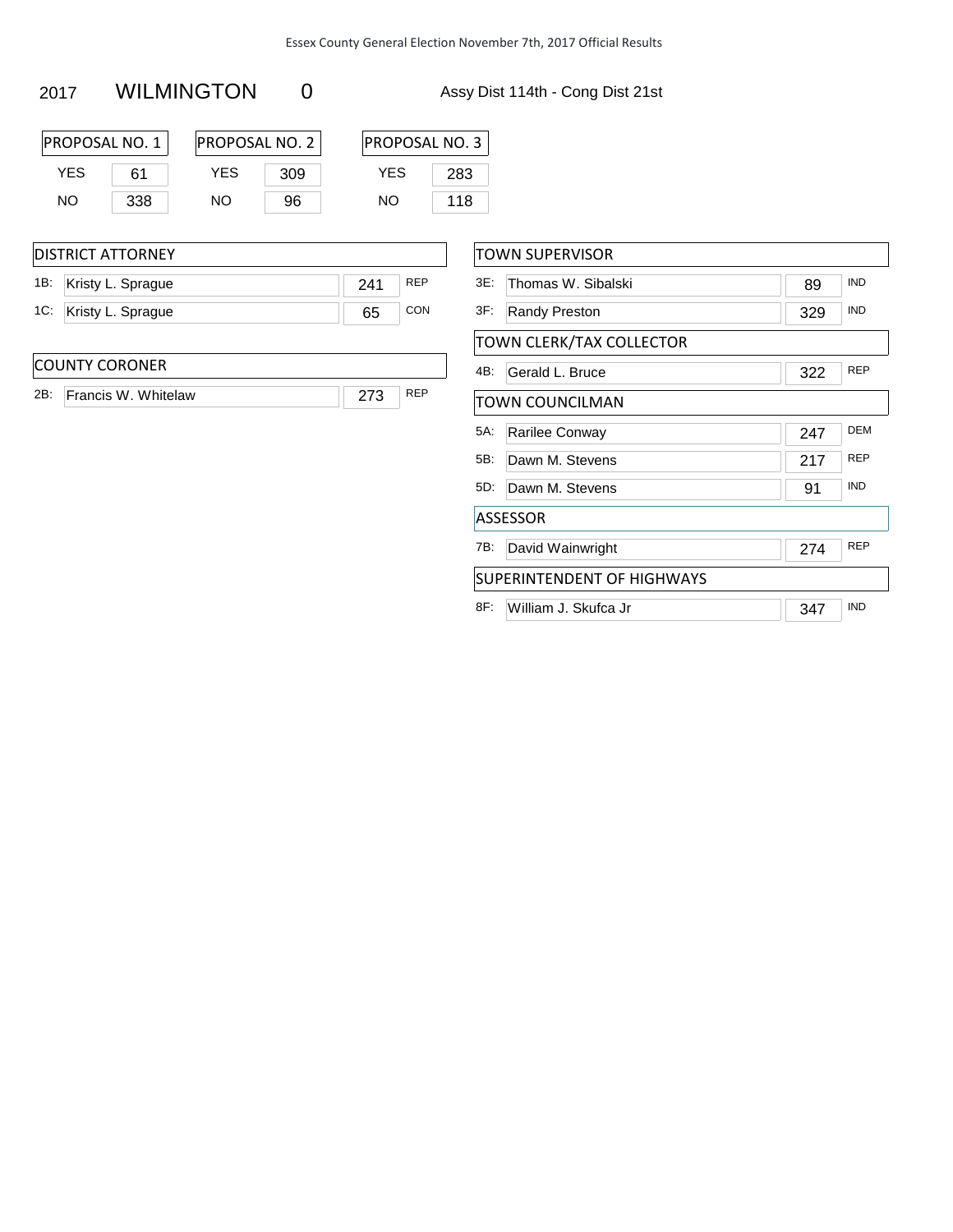#### 2017 WILMINGTON 0 Assy Dist 114th - Cong Dist 21st

| <b>PROPOSAL NO. 1</b> |     | PROPOSAL NO. 2 |     | <b>PROPOSAL NO. 3</b> |     |
|-----------------------|-----|----------------|-----|-----------------------|-----|
| YFS                   | 61  | YFS            | 309 | YFS                   | 283 |
| NO.                   | 338 | NΟ             | 96  | NΟ                    | 118 |

#### DISTRICT ATTORNEY

| 1B: Kristy L. Sprague |  |
|-----------------------|--|
| 1C: Kristy L. Sprague |  |

#### COUNTY CORONER

| 2B: | Francis W. Whitelaw |  |
|-----|---------------------|--|

| TOWN SUPERVISOR |                            |     |            |  |  |  |
|-----------------|----------------------------|-----|------------|--|--|--|
| 3E:             | Thomas W. Sibalski         | 89  | <b>IND</b> |  |  |  |
| 3F:             | Randy Preston              | 329 | <b>IND</b> |  |  |  |
|                 | TOWN CLERK/TAX COLLECTOR   |     |            |  |  |  |
| 4B.             | Gerald L. Bruce            | 322 | <b>REP</b> |  |  |  |
|                 | TOWN COUNCILMAN            |     |            |  |  |  |
| $5A$ :          | Rarilee Conway             | 247 | <b>DEM</b> |  |  |  |
| 5B:             | Dawn M. Stevens            | 217 | <b>REP</b> |  |  |  |
| 5D.             | Dawn M. Stevens            | 91  | <b>IND</b> |  |  |  |
|                 | <b>ASSESSOR</b>            |     |            |  |  |  |
| 7B:             | David Wainwright           | 274 | <b>REP</b> |  |  |  |
|                 | SUPERINTENDENT OF HIGHWAYS |     |            |  |  |  |
| 8F:             | William J. Skufca Jr       | 347 | <b>IND</b> |  |  |  |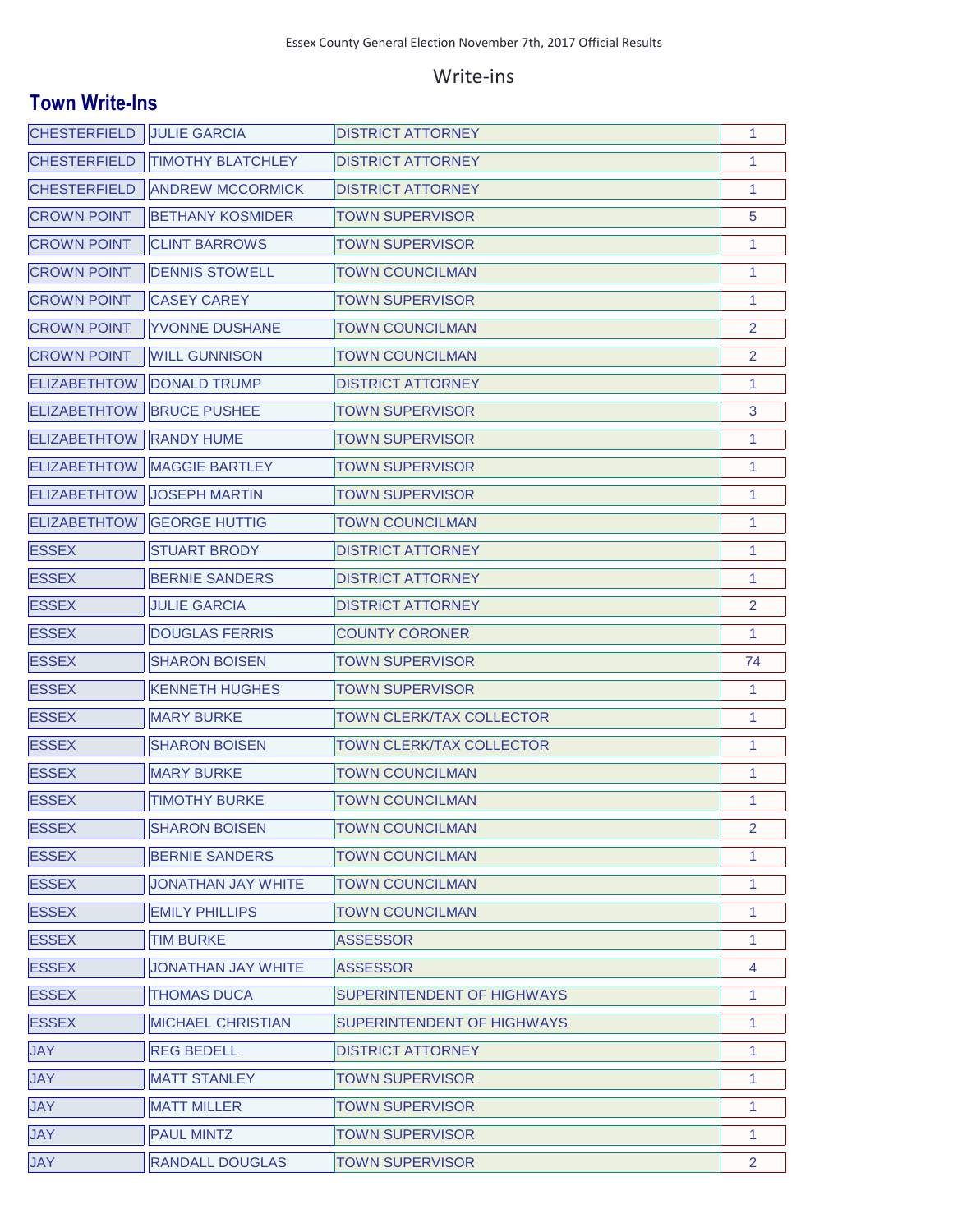#### Write-ins

#### **Town Write-Ins**

| <b>CHESTERFIELD</b> | <b>JULIE GARCIA</b>      | <b>DISTRICT ATTORNEY</b>          | 1.             |
|---------------------|--------------------------|-----------------------------------|----------------|
| <b>CHESTERFIELD</b> | <b>TIMOTHY BLATCHLEY</b> | <b>DISTRICT ATTORNEY</b>          | 1              |
| <b>CHESTERFIELD</b> | <b>ANDREW MCCORMICK</b>  | <b>DISTRICT ATTORNEY</b>          | 1              |
| <b>CROWN POINT</b>  | <b>BETHANY KOSMIDER</b>  | <b>TOWN SUPERVISOR</b>            | 5              |
| <b>CROWN POINT</b>  | <b>CLINT BARROWS</b>     | <b>TOWN SUPERVISOR</b>            | 1              |
| <b>CROWN POINT</b>  | <b>DENNIS STOWELL</b>    | <b>TOWN COUNCILMAN</b>            | 1              |
| <b>CROWN POINT</b>  | <b>CASEY CAREY</b>       | TOWN SUPERVISOR                   | $\mathbf{1}$   |
| <b>CROWN POINT</b>  | <b>YVONNE DUSHANE</b>    | TOWN COUNCILMAN                   | 2              |
| <b>CROWN POINT</b>  | <b>WILL GUNNISON</b>     | TOWN COUNCILMAN                   | 2              |
| <b>ELIZABETHTOW</b> | <b>DONALD TRUMP</b>      | <b>DISTRICT ATTORNEY</b>          | $\mathbf{1}$   |
| <b>ELIZABETHTOW</b> | <b>BRUCE PUSHEE</b>      | <b>TOWN SUPERVISOR</b>            | 3              |
| <b>ELIZABETHTOW</b> | <b>RANDY HUME</b>        | TOWN SUPERVISOR                   | 1              |
| <b>ELIZABETHTOW</b> | <b>MAGGIE BARTLEY</b>    | <b>TOWN SUPERVISOR</b>            | 1              |
| <b>ELIZABETHTOW</b> | <b>JOSEPH MARTIN</b>     | <b>TOWN SUPERVISOR</b>            | 1              |
| <b>ELIZABETHTOW</b> | <b>GEORGE HUTTIG</b>     | <b>TOWN COUNCILMAN</b>            | 1              |
| <b>ESSEX</b>        | <b>STUART BRODY</b>      | <b>DISTRICT ATTORNEY</b>          | 1              |
| <b>ESSEX</b>        | <b>BERNIE SANDERS</b>    | <b>DISTRICT ATTORNEY</b>          | $\mathbf{1}$   |
| <b>ESSEX</b>        | <b>JULIE GARCIA</b>      | <b>DISTRICT ATTORNEY</b>          | $\overline{2}$ |
| <b>ESSEX</b>        | <b>DOUGLAS FERRIS</b>    | <b>COUNTY CORONER</b>             | 1              |
| <b>ESSEX</b>        | <b>SHARON BOISEN</b>     | <b>TOWN SUPERVISOR</b>            | 74             |
| <b>ESSEX</b>        | <b>KENNETH HUGHES</b>    | <b>TOWN SUPERVISOR</b>            | $\mathbf{1}$   |
| <b>ESSEX</b>        | <b>MARY BURKE</b>        | <b>TOWN CLERK/TAX COLLECTOR</b>   | 1              |
| <b>ESSEX</b>        | <b>SHARON BOISEN</b>     | <b>TOWN CLERK/TAX COLLECTOR</b>   | 1              |
| <b>ESSEX</b>        | <b>MARY BURKE</b>        | <b>TOWN COUNCILMAN</b>            | 1              |
| <b>ESSEX</b>        | <b>TIMOTHY BURKE</b>     | <b>TOWN COUNCILMAN</b>            | 1              |
| <b>ESSEX</b>        | <b>SHARON BOISEN</b>     | <b>TOWN COUNCILMAN</b>            | 2              |
| <b>ESSEX</b>        | <b>BERNIE SANDERS</b>    | <b>TOWN COUNCILMAN</b>            | 1.             |
| <b>ESSEX</b>        | JONATHAN JAY WHITE       | <b>TOWN COUNCILMAN</b>            | 1.             |
| <b>ESSEX</b>        | <b>EMILY PHILLIPS</b>    | <b>TOWN COUNCILMAN</b>            | 1              |
| <b>ESSEX</b>        | <b>TIM BURKE</b>         | <b>ASSESSOR</b>                   | 1.             |
| <b>ESSEX</b>        | JONATHAN JAY WHITE       | <b>ASSESSOR</b>                   | 4              |
| <b>ESSEX</b>        | <b>THOMAS DUCA</b>       | <b>SUPERINTENDENT OF HIGHWAYS</b> | 1.             |
| <b>ESSEX</b>        | <b>MICHAEL CHRISTIAN</b> | SUPERINTENDENT OF HIGHWAYS        | 1              |
| <b>JAY</b>          | <b>REG BEDELL</b>        | <b>DISTRICT ATTORNEY</b>          | 1.             |
| <b>JAY</b>          | <b>MATT STANLEY</b>      | <b>TOWN SUPERVISOR</b>            | 1              |
| <b>JAY</b>          | <b>MATT MILLER</b>       | <b>TOWN SUPERVISOR</b>            | $\mathbf{1}$   |
| <b>JAY</b>          | <b>PAUL MINTZ</b>        | <b>TOWN SUPERVISOR</b>            | $\mathbf{1}$   |
| <b>JAY</b>          | <b>RANDALL DOUGLAS</b>   | <b>TOWN SUPERVISOR</b>            | $\overline{2}$ |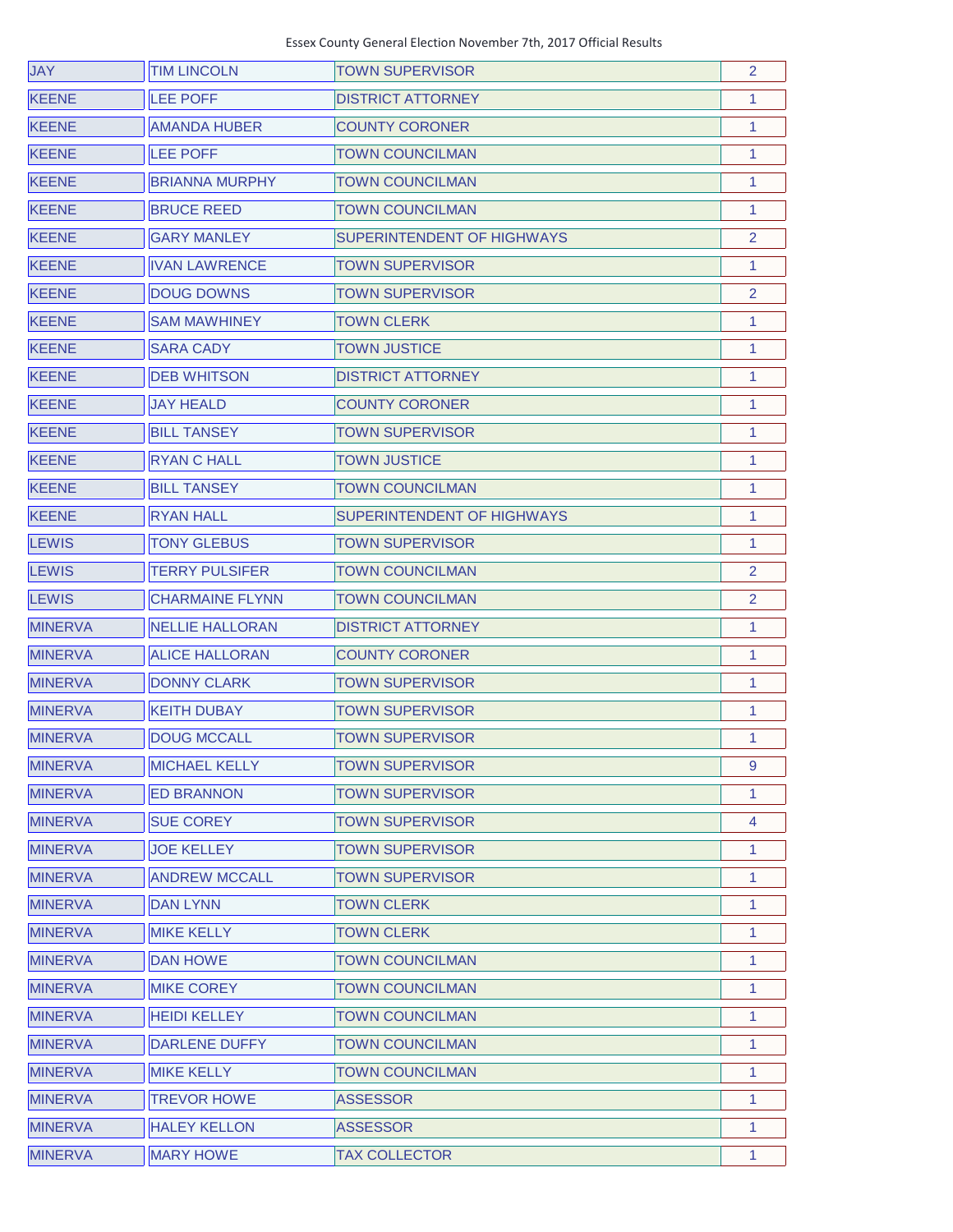| <b>JAY</b>     | <b>TIM LINCOLN</b>     | <b>TOWN SUPERVISOR</b>            | $\overline{2}$ |
|----------------|------------------------|-----------------------------------|----------------|
| <b>KEENE</b>   | <b>LEE POFF</b>        | <b>DISTRICT ATTORNEY</b>          | 1              |
| <b>KEENE</b>   | <b>AMANDA HUBER</b>    | <b>COUNTY CORONER</b>             | $\mathbf{1}$   |
| <b>KEENE</b>   | <b>LEE POFF</b>        | <b>TOWN COUNCILMAN</b>            | $\mathbf{1}$   |
| <b>KEENE</b>   | <b>BRIANNA MURPHY</b>  | <b>TOWN COUNCILMAN</b>            | 1              |
| <b>KEENE</b>   | <b>BRUCE REED</b>      | TOWN COUNCILMAN                   | $\mathbf{1}$   |
| <b>KEENE</b>   | <b>GARY MANLEY</b>     | <b>SUPERINTENDENT OF HIGHWAYS</b> | $\overline{2}$ |
| <b>KEENE</b>   | <b>IVAN LAWRENCE</b>   | TOWN SUPERVISOR                   | $\mathbf{1}$   |
| <b>KEENE</b>   | <b>DOUG DOWNS</b>      | <b>TOWN SUPERVISOR</b>            | $\overline{2}$ |
| <b>KEENE</b>   | <b>SAM MAWHINEY</b>    | TOWN CLERK                        | 1              |
| <b>KEENE</b>   | <b>SARA CADY</b>       | TOWN JUSTICE                      | 1              |
| <b>KEENE</b>   | <b>DEB WHITSON</b>     | <b>DISTRICT ATTORNEY</b>          | 1              |
| <b>KEENE</b>   | <b>JAY HEALD</b>       | <b>COUNTY CORONER</b>             | 1              |
| <b>KEENE</b>   | <b>BILL TANSEY</b>     | <b>TOWN SUPERVISOR</b>            | 1              |
| <b>KEENE</b>   | <b>RYAN C HALL</b>     | <b>TOWN JUSTICE</b>               | 1              |
| <b>KEENE</b>   | <b>BILL TANSEY</b>     | <b>TOWN COUNCILMAN</b>            | $\mathbf{1}$   |
| <b>KEENE</b>   | <b>RYAN HALL</b>       | <b>SUPERINTENDENT OF HIGHWAYS</b> | $\mathbf{1}$   |
| <b>LEWIS</b>   | <b>TONY GLEBUS</b>     | <b>TOWN SUPERVISOR</b>            | $\mathbf{1}$   |
| <b>LEWIS</b>   | <b>TERRY PULSIFER</b>  | <b>TOWN COUNCILMAN</b>            | $\overline{2}$ |
| <b>LEWIS</b>   | <b>CHARMAINE FLYNN</b> | <b>TOWN COUNCILMAN</b>            | $\overline{2}$ |
| <b>MINERVA</b> | <b>NELLIE HALLORAN</b> | <b>DISTRICT ATTORNEY</b>          | 1              |
| <b>MINERVA</b> | <b>ALICE HALLORAN</b>  | <b>COUNTY CORONER</b>             | 1              |
| <b>MINERVA</b> | <b>DONNY CLARK</b>     | TOWN SUPERVISOR                   | 1              |
| <b>MINERVA</b> | <b>KEITH DUBAY</b>     | <b>TOWN SUPERVISOR</b>            | 1              |
| <b>MINERVA</b> | <b>DOUG MCCALL</b>     | <b>TOWN SUPERVISOR</b>            | 1              |
| <b>MINERVA</b> | <b>MICHAEL KELLY</b>   | <b>TOWN SUPERVISOR</b>            | 9              |
| <b>MINERVA</b> | <b>ED BRANNON</b>      | <b>TOWN SUPERVISOR</b>            | 1              |
| <b>MINERVA</b> | <b>SUE COREY</b>       | <b>TOWN SUPERVISOR</b>            | 4              |
| <b>MINERVA</b> | <b>JOE KELLEY</b>      | <b>TOWN SUPERVISOR</b>            | 1              |
| <b>MINERVA</b> | <b>ANDREW MCCALL</b>   | <b>TOWN SUPERVISOR</b>            | 1              |
| <b>MINERVA</b> | <b>DAN LYNN</b>        | <b>TOWN CLERK</b>                 | 1              |
| <b>MINERVA</b> | <b>MIKE KELLY</b>      | <b>TOWN CLERK</b>                 | 1              |
| <b>MINERVA</b> | <b>DAN HOWE</b>        | <b>TOWN COUNCILMAN</b>            | 1              |
| <b>MINERVA</b> | <b>MIKE COREY</b>      | <b>TOWN COUNCILMAN</b>            | 1              |
| <b>MINERVA</b> | <b>HEIDI KELLEY</b>    | <b>TOWN COUNCILMAN</b>            | 1.             |
| <b>MINERVA</b> | <b>DARLENE DUFFY</b>   | <b>TOWN COUNCILMAN</b>            | 1              |
| <b>MINERVA</b> | <b>MIKE KELLY</b>      | <b>TOWN COUNCILMAN</b>            | 1              |
| <b>MINERVA</b> | <b>TREVOR HOWE</b>     | <b>ASSESSOR</b>                   | 1              |
| <b>MINERVA</b> | <b>HALEY KELLON</b>    | <b>ASSESSOR</b>                   | 1              |
| <b>MINERVA</b> | <b>MARY HOWE</b>       | <b>TAX COLLECTOR</b>              | 1              |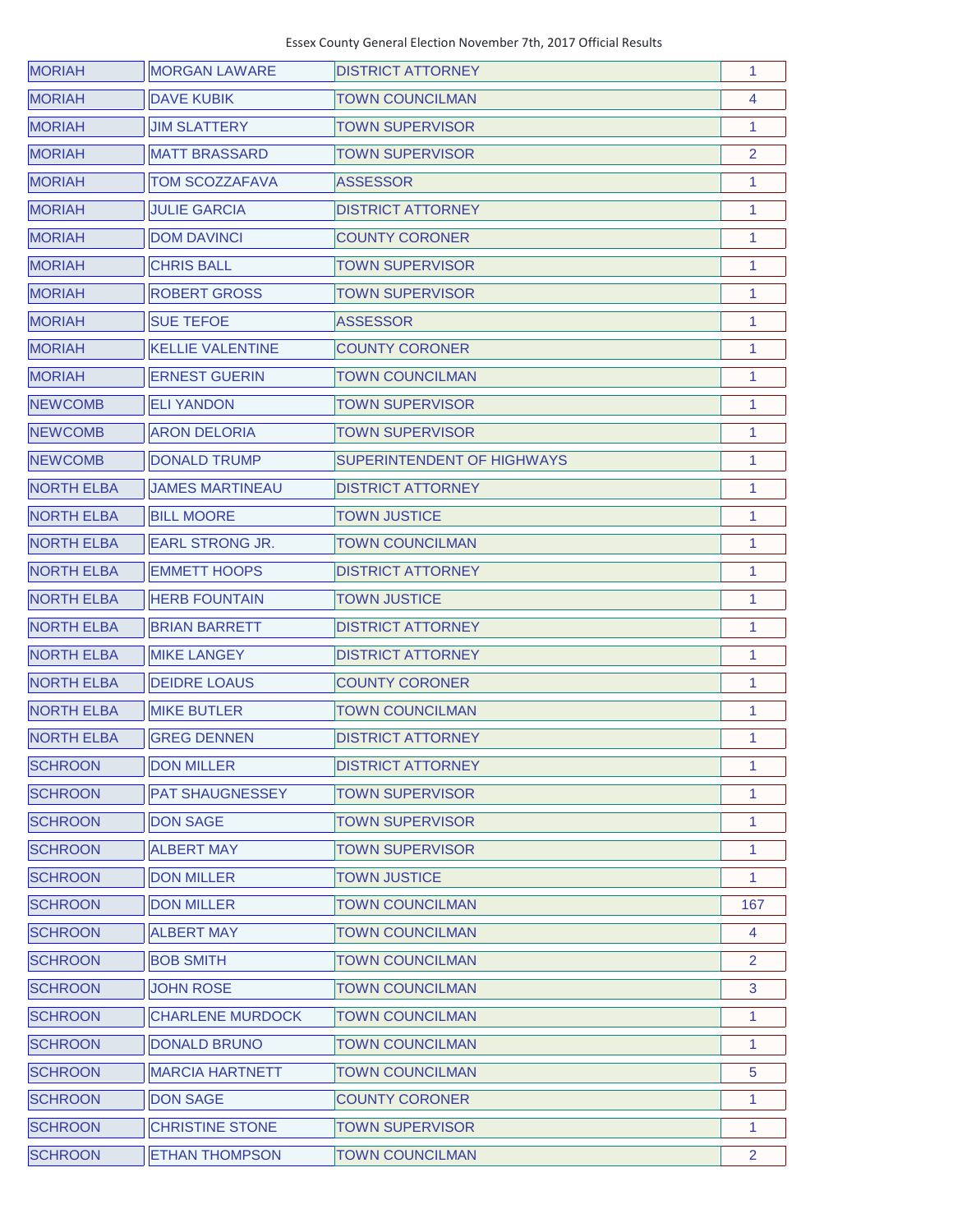| <b>MORIAH</b>     | <b>MORGAN LAWARE</b>    | <b>DISTRICT ATTORNEY</b>          | $\mathbf{1}$   |
|-------------------|-------------------------|-----------------------------------|----------------|
| <b>MORIAH</b>     | <b>DAVE KUBIK</b>       | <b>TOWN COUNCILMAN</b>            | 4              |
| <b>MORIAH</b>     | <b>JIM SLATTERY</b>     | <b>TOWN SUPERVISOR</b>            | 1              |
| <b>MORIAH</b>     | <b>MATT BRASSARD</b>    | <b>TOWN SUPERVISOR</b>            | $\overline{2}$ |
| <b>MORIAH</b>     | <b>TOM SCOZZAFAVA</b>   | <b>ASSESSOR</b>                   | $\mathbf{1}$   |
| <b>MORIAH</b>     | <b>JULIE GARCIA</b>     | <b>DISTRICT ATTORNEY</b>          | $\mathbf{1}$   |
| <b>MORIAH</b>     | <b>DOM DAVINCI</b>      | <b>COUNTY CORONER</b>             | $\mathbf{1}$   |
| <b>MORIAH</b>     | <b>CHRIS BALL</b>       | <b>TOWN SUPERVISOR</b>            | $\mathbf{1}$   |
| <b>MORIAH</b>     | <b>ROBERT GROSS</b>     | <b>TOWN SUPERVISOR</b>            | 1              |
| <b>MORIAH</b>     | <b>SUE TEFOE</b>        | <b>ASSESSOR</b>                   | $\mathbf{1}$   |
| <b>MORIAH</b>     | <b>KELLIE VALENTINE</b> | <b>COUNTY CORONER</b>             | $\mathbf{1}$   |
| <b>MORIAH</b>     | <b>ERNEST GUERIN</b>    | <b>TOWN COUNCILMAN</b>            | 1              |
| <b>NEWCOMB</b>    | <b>ELI YANDON</b>       | <b>TOWN SUPERVISOR</b>            | 1              |
| <b>NEWCOMB</b>    | <b>ARON DELORIA</b>     | <b>TOWN SUPERVISOR</b>            | 1              |
| <b>NEWCOMB</b>    | <b>DONALD TRUMP</b>     | <b>SUPERINTENDENT OF HIGHWAYS</b> | 1              |
| <b>NORTH ELBA</b> | <b>JAMES MARTINEAU</b>  | <b>DISTRICT ATTORNEY</b>          | 1              |
| <b>NORTH ELBA</b> | <b>BILL MOORE</b>       | <b>TOWN JUSTICE</b>               | 1              |
| <b>NORTH ELBA</b> | <b>EARL STRONG JR.</b>  | <b>TOWN COUNCILMAN</b>            | 1              |
| <b>NORTH ELBA</b> | <b>EMMETT HOOPS</b>     | <b>DISTRICT ATTORNEY</b>          | $\mathbf{1}$   |
| <b>NORTH ELBA</b> | <b>HERB FOUNTAIN</b>    | <b>TOWN JUSTICE</b>               | 1              |
| <b>NORTH ELBA</b> | <b>BRIAN BARRETT</b>    | <b>DISTRICT ATTORNEY</b>          | $\mathbf{1}$   |
| <b>NORTH ELBA</b> | <b>MIKE LANGEY</b>      | <b>DISTRICT ATTORNEY</b>          | 1              |
| <b>NORTH ELBA</b> | <b>DEIDRE LOAUS</b>     | <b>COUNTY CORONER</b>             | 1              |
| <b>NORTH ELBA</b> | <b>MIKE BUTLER</b>      | <b>TOWN COUNCILMAN</b>            | 1              |
| <b>NORTH ELBA</b> | <b>GREG DENNEN</b>      | <b>DISTRICT ATTORNEY</b>          | 1              |
| <b>SCHROON</b>    | <b>DON MILLER</b>       | <b>DISTRICT ATTORNEY</b>          | $\mathbf{1}$   |
| <b>SCHROON</b>    | <b>PAT SHAUGNESSEY</b>  | <b>TOWN SUPERVISOR</b>            | 1              |
| <b>SCHROON</b>    | <b>DON SAGE</b>         | <b>TOWN SUPERVISOR</b>            | 1              |
| <b>SCHROON</b>    | <b>ALBERT MAY</b>       | <b>TOWN SUPERVISOR</b>            | 1              |
| <b>SCHROON</b>    | <b>DON MILLER</b>       | <b>TOWN JUSTICE</b>               | 1              |
| <b>SCHROON</b>    | <b>DON MILLER</b>       | <b>TOWN COUNCILMAN</b>            | 167            |
| <b>SCHROON</b>    | <b>ALBERT MAY</b>       | <b>TOWN COUNCILMAN</b>            | 4              |
| <b>SCHROON</b>    | <b>BOB SMITH</b>        | <b>TOWN COUNCILMAN</b>            | 2              |
| <b>SCHROON</b>    | <b>JOHN ROSE</b>        | <b>TOWN COUNCILMAN</b>            | 3              |
| <b>SCHROON</b>    | <b>CHARLENE MURDOCK</b> | <b>TOWN COUNCILMAN</b>            | 1              |
| <b>SCHROON</b>    | <b>DONALD BRUNO</b>     | <b>TOWN COUNCILMAN</b>            | 1              |
| <b>SCHROON</b>    | <b>MARCIA HARTNETT</b>  | <b>TOWN COUNCILMAN</b>            | 5              |
| <b>SCHROON</b>    | <b>DON SAGE</b>         | <b>COUNTY CORONER</b>             | 1              |
| <b>SCHROON</b>    | <b>CHRISTINE STONE</b>  | <b>TOWN SUPERVISOR</b>            | 1              |
| <b>SCHROON</b>    | <b>ETHAN THOMPSON</b>   | <b>TOWN COUNCILMAN</b>            | $\overline{2}$ |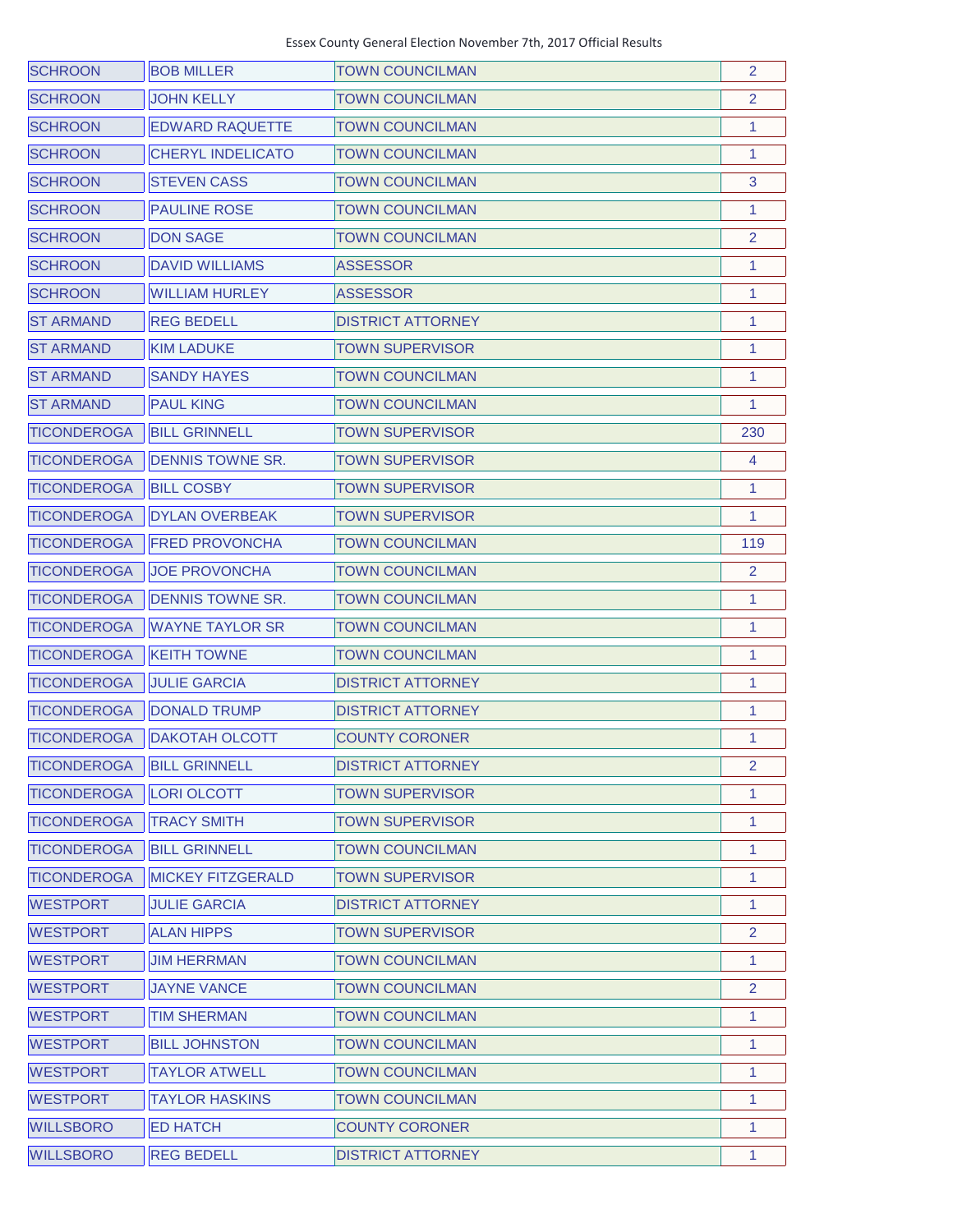| <b>SCHROON</b>     | <b>BOB MILLER</b>        | <b>TOWN COUNCILMAN</b>   | $\overline{2}$ |
|--------------------|--------------------------|--------------------------|----------------|
| <b>SCHROON</b>     | <b>JOHN KELLY</b>        | <b>TOWN COUNCILMAN</b>   | $\overline{2}$ |
| <b>SCHROON</b>     | <b>EDWARD RAQUETTE</b>   | <b>TOWN COUNCILMAN</b>   | 1              |
| <b>SCHROON</b>     | <b>CHERYL INDELICATO</b> | <b>TOWN COUNCILMAN</b>   | 1              |
| <b>SCHROON</b>     | <b>STEVEN CASS</b>       | <b>TOWN COUNCILMAN</b>   | 3              |
| <b>SCHROON</b>     | <b>PAULINE ROSE</b>      | <b>TOWN COUNCILMAN</b>   | 1              |
| <b>SCHROON</b>     | <b>DON SAGE</b>          | <b>TOWN COUNCILMAN</b>   | 2              |
| <b>SCHROON</b>     | <b>DAVID WILLIAMS</b>    | <b>ASSESSOR</b>          | $\mathbf{1}$   |
| <b>SCHROON</b>     | <b>WILLIAM HURLEY</b>    | <b>ASSESSOR</b>          | 1              |
| <b>ST ARMAND</b>   | <b>REG BEDELL</b>        | <b>DISTRICT ATTORNEY</b> | 1              |
| <b>ST ARMAND</b>   | <b>KIM LADUKE</b>        | <b>TOWN SUPERVISOR</b>   | 1              |
| <b>ST ARMAND</b>   | <b>SANDY HAYES</b>       | <b>TOWN COUNCILMAN</b>   | 1              |
| <b>ST ARMAND</b>   | <b>PAUL KING</b>         | <b>TOWN COUNCILMAN</b>   | 1              |
| <b>TICONDEROGA</b> | <b>BILL GRINNELL</b>     | <b>TOWN SUPERVISOR</b>   | 230            |
| <b>TICONDEROGA</b> | <b>DENNIS TOWNE SR.</b>  | <b>TOWN SUPERVISOR</b>   | 4              |
| <b>TICONDEROGA</b> | <b>BILL COSBY</b>        | <b>TOWN SUPERVISOR</b>   | 1              |
| <b>TICONDEROGA</b> | <b>DYLAN OVERBEAK</b>    | <b>TOWN SUPERVISOR</b>   | 1              |
| <b>TICONDEROGA</b> | <b>FRED PROVONCHA</b>    | <b>TOWN COUNCILMAN</b>   | 119            |
| <b>TICONDEROGA</b> | <b>JOE PROVONCHA</b>     | <b>TOWN COUNCILMAN</b>   | 2              |
| <b>TICONDEROGA</b> | <b>DENNIS TOWNE SR.</b>  | <b>TOWN COUNCILMAN</b>   | 1              |
| <b>TICONDEROGA</b> | <b>WAYNE TAYLOR SR</b>   | <b>TOWN COUNCILMAN</b>   | 1              |
| <b>TICONDEROGA</b> | <b>KEITH TOWNE</b>       | <b>TOWN COUNCILMAN</b>   | 1              |
| <b>TICONDEROGA</b> | <b>JULIE GARCIA</b>      | <b>DISTRICT ATTORNEY</b> | 1              |
| <b>TICONDEROGA</b> | <b>DONALD TRUMP</b>      | <b>DISTRICT ATTORNEY</b> | 1              |
| <b>TICONDEROGA</b> | <b>DAKOTAH OLCOTT</b>    | <b>COUNTY CORONER</b>    | 1              |
| <b>TICONDEROGA</b> | <b>BILL GRINNELL</b>     | <b>DISTRICT ATTORNEY</b> | $\overline{2}$ |
| <b>TICONDEROGA</b> | LORI OLCOTT              | <b>TOWN SUPERVISOR</b>   | 1.             |
| <b>TICONDEROGA</b> | <b>TRACY SMITH</b>       | <b>TOWN SUPERVISOR</b>   | 1              |
| <b>TICONDEROGA</b> | <b>BILL GRINNELL</b>     | <b>TOWN COUNCILMAN</b>   | 1              |
| <b>TICONDEROGA</b> | <b>MICKEY FITZGERALD</b> | <b>TOWN SUPERVISOR</b>   | 1              |
| <b>WESTPORT</b>    | <b>JULIE GARCIA</b>      | <b>DISTRICT ATTORNEY</b> | 1.             |
| <b>WESTPORT</b>    | <b>ALAN HIPPS</b>        | <b>TOWN SUPERVISOR</b>   | 2              |
| <b>WESTPORT</b>    | <b>JIM HERRMAN</b>       | <b>TOWN COUNCILMAN</b>   | 1              |
| <b>WESTPORT</b>    | <b>JAYNE VANCE</b>       | <b>TOWN COUNCILMAN</b>   | $\overline{2}$ |
| <b>WESTPORT</b>    | <b>TIM SHERMAN</b>       | <b>TOWN COUNCILMAN</b>   | 1              |
| <b>WESTPORT</b>    | <b>BILL JOHNSTON</b>     | <b>TOWN COUNCILMAN</b>   | 1              |
| <b>WESTPORT</b>    | <b>TAYLOR ATWELL</b>     | <b>TOWN COUNCILMAN</b>   | 1              |
| <b>WESTPORT</b>    | <b>TAYLOR HASKINS</b>    | <b>TOWN COUNCILMAN</b>   | 1              |
| <b>WILLSBORO</b>   | <b>ED HATCH</b>          | <b>COUNTY CORONER</b>    | 1.             |
| <b>WILLSBORO</b>   | <b>REG BEDELL</b>        | <b>DISTRICT ATTORNEY</b> | 1              |